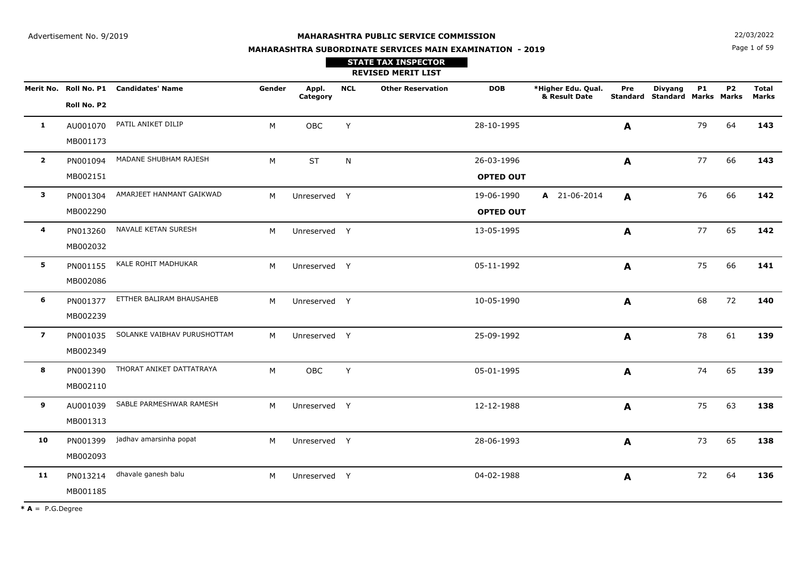Page 1 of 59**N**  $22/03/2022$ 

# **MAHARASHTRA SUBORDINATE SERVICES MAIN EXAMINATION - 2019**

# **REVISED MERIT LIST STATE TAX INSPECTOR**

|                         |             | Merit No. Roll No. P1 Candidates' Name | Gender | Appl.<br>Category | <b>NCL</b> | <b>Other Reservation</b> | <b>DOB</b>       | *Higher Edu. Qual.<br>& Result Date | Pre          | <b>Divyang</b><br><b>Standard Standard Marks Marks</b> | <b>P1</b> | <b>P2</b> | <b>Total</b><br><b>Marks</b> |
|-------------------------|-------------|----------------------------------------|--------|-------------------|------------|--------------------------|------------------|-------------------------------------|--------------|--------------------------------------------------------|-----------|-----------|------------------------------|
|                         | Roll No. P2 |                                        |        |                   |            |                          |                  |                                     |              |                                                        |           |           |                              |
| $\mathbf{1}$            | AU001070    | PATIL ANIKET DILIP                     | M      | OBC               | Y          |                          | 28-10-1995       |                                     | A            |                                                        | 79        | 64        | 143                          |
|                         | MB001173    |                                        |        |                   |            |                          |                  |                                     |              |                                                        |           |           |                              |
| $\overline{\mathbf{2}}$ | PN001094    | MADANE SHUBHAM RAJESH                  | M      | <b>ST</b>         | N          |                          | 26-03-1996       |                                     | $\mathbf{A}$ |                                                        | 77        | 66        | 143                          |
|                         | MB002151    |                                        |        |                   |            |                          | <b>OPTED OUT</b> |                                     |              |                                                        |           |           |                              |
| $\mathbf{3}$            | PN001304    | AMARJEET HANMANT GAIKWAD               | M      | Unreserved Y      |            |                          | 19-06-1990       | A 21-06-2014                        | A            |                                                        | 76        | 66        | 142                          |
|                         | MB002290    |                                        |        |                   |            |                          | <b>OPTED OUT</b> |                                     |              |                                                        |           |           |                              |
| 4                       | PN013260    | NAVALE KETAN SURESH                    | M      | Unreserved Y      |            |                          | 13-05-1995       |                                     | $\mathbf{A}$ |                                                        | 77        | 65        | 142                          |
|                         | MB002032    |                                        |        |                   |            |                          |                  |                                     |              |                                                        |           |           |                              |
| 5                       | PN001155    | KALE ROHIT MADHUKAR                    | M      | Unreserved Y      |            |                          | 05-11-1992       |                                     | A            |                                                        | 75        | 66        | 141                          |
|                         | MB002086    |                                        |        |                   |            |                          |                  |                                     |              |                                                        |           |           |                              |
| 6                       | PN001377    | ETTHER BALIRAM BHAUSAHEB               | M      | Unreserved Y      |            |                          | 10-05-1990       |                                     | $\mathbf{A}$ |                                                        | 68        | 72        | 140                          |
|                         | MB002239    |                                        |        |                   |            |                          |                  |                                     |              |                                                        |           |           |                              |
| $\overline{\mathbf{z}}$ | PN001035    | SOLANKE VAIBHAV PURUSHOTTAM            | M      | Unreserved Y      |            |                          | 25-09-1992       |                                     | $\mathbf{A}$ |                                                        | 78        | 61        | 139                          |
|                         | MB002349    |                                        |        |                   |            |                          |                  |                                     |              |                                                        |           |           |                              |
| 8                       | PN001390    | THORAT ANIKET DATTATRAYA               | M      | OBC               | Y          |                          | 05-01-1995       |                                     | $\mathbf{A}$ |                                                        | 74        | 65        | 139                          |
|                         | MB002110    |                                        |        |                   |            |                          |                  |                                     |              |                                                        |           |           |                              |
| 9                       | AU001039    | SABLE PARMESHWAR RAMESH                | M      | Unreserved Y      |            |                          | 12-12-1988       |                                     | $\mathbf{A}$ |                                                        | 75        | 63        | 138                          |
|                         | MB001313    |                                        |        |                   |            |                          |                  |                                     |              |                                                        |           |           |                              |
| 10                      | PN001399    | jadhav amarsinha popat                 | M      | Unreserved Y      |            |                          | 28-06-1993       |                                     | $\mathbf{A}$ |                                                        | 73        | 65        | 138                          |
|                         | MB002093    |                                        |        |                   |            |                          |                  |                                     |              |                                                        |           |           |                              |
| 11                      | PN013214    | dhavale ganesh balu                    | M      | Unreserved Y      |            |                          | 04-02-1988       |                                     | $\mathbf{A}$ |                                                        | 72        | 64        | 136                          |
|                         | MB001185    |                                        |        |                   |            |                          |                  |                                     |              |                                                        |           |           |                              |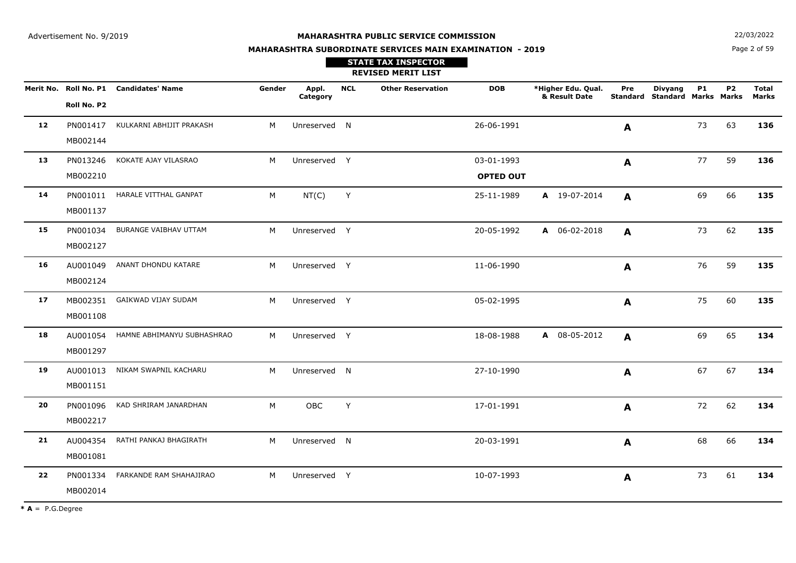**N**  $22/03/2022$ 

# **MAHARASHTRA SUBORDINATE SERVICES MAIN EXAMINATION - 2019**

Page 2 of 59

|    |                      |                                        |                |                   |            | <b>STATE TAX INSPECTOR</b><br><b>REVISED MERIT LIST</b> |                                |                                     |     |                                                 |           |           |                       |
|----|----------------------|----------------------------------------|----------------|-------------------|------------|---------------------------------------------------------|--------------------------------|-------------------------------------|-----|-------------------------------------------------|-----------|-----------|-----------------------|
|    | Roll No. P2          | Merit No. Roll No. P1 Candidates' Name | Gender         | Appl.<br>Category | <b>NCL</b> | <b>Other Reservation</b>                                | <b>DOB</b>                     | *Higher Edu. Qual.<br>& Result Date | Pre | <b>Divyang</b><br>Standard Standard Marks Marks | <b>P1</b> | <b>P2</b> | <b>Total</b><br>Marks |
| 12 | MB002144             | PN001417 KULKARNI ABHIJIT PRAKASH      | M              | Unreserved N      |            |                                                         | 26-06-1991                     |                                     | A   |                                                 | 73        | 63        | 136                   |
| 13 | PN013246<br>MB002210 | KOKATE AJAY VILASRAO                   | M              | Unreserved Y      |            |                                                         | 03-01-1993<br><b>OPTED OUT</b> |                                     | A   |                                                 | 77        | 59        | 136                   |
| 14 | MB001137             | PN001011 HARALE VITTHAL GANPAT         | M              | NT(C)             | Y          |                                                         | 25-11-1989                     | A 19-07-2014                        | A   |                                                 | 69        | 66        | 135                   |
| 15 | PN001034<br>MB002127 | BURANGE VAIBHAV UTTAM                  | M              | Unreserved Y      |            |                                                         | 20-05-1992                     | A 06-02-2018                        | A   |                                                 | 73        | 62        | 135                   |
| 16 | MB002124             | AU001049 ANANT DHONDU KATARE           | M <sub>1</sub> | Unreserved Y      |            |                                                         | 11-06-1990                     |                                     | A   |                                                 | 76        | 59        | 135                   |
| 17 | MB001108             | MB002351 GAIKWAD VIJAY SUDAM           | M <sub>1</sub> | Unreserved Y      |            |                                                         | 05-02-1995                     |                                     | A   |                                                 | 75        | 60        | 135                   |
| 18 | MB001297             | AU001054 HAMNE ABHIMANYU SUBHASHRAO    | M              | Unreserved Y      |            |                                                         | 18-08-1988                     | A 08-05-2012                        | A   |                                                 | 69        | 65        | 134                   |
| 19 | AU001013<br>MB001151 | NIKAM SWAPNIL KACHARU                  | M              | Unreserved N      |            |                                                         | 27-10-1990                     |                                     | A   |                                                 | 67        | 67        | 134                   |
| 20 | PN001096<br>MB002217 | KAD SHRIRAM JANARDHAN                  | M              | OBC               | Y          |                                                         | 17-01-1991                     |                                     | A   |                                                 | 72        | 62        | 134                   |
| 21 | AU004354<br>MB001081 | RATHI PANKAJ BHAGIRATH                 | M              | Unreserved N      |            |                                                         | 20-03-1991                     |                                     | A   |                                                 | 68        | 66        | 134                   |
| 22 | PN001334<br>MB002014 | FARKANDE RAM SHAHAJIRAO                | M              | Unreserved Y      |            |                                                         | 10-07-1993                     |                                     | A   |                                                 | 73        | 61        | 134                   |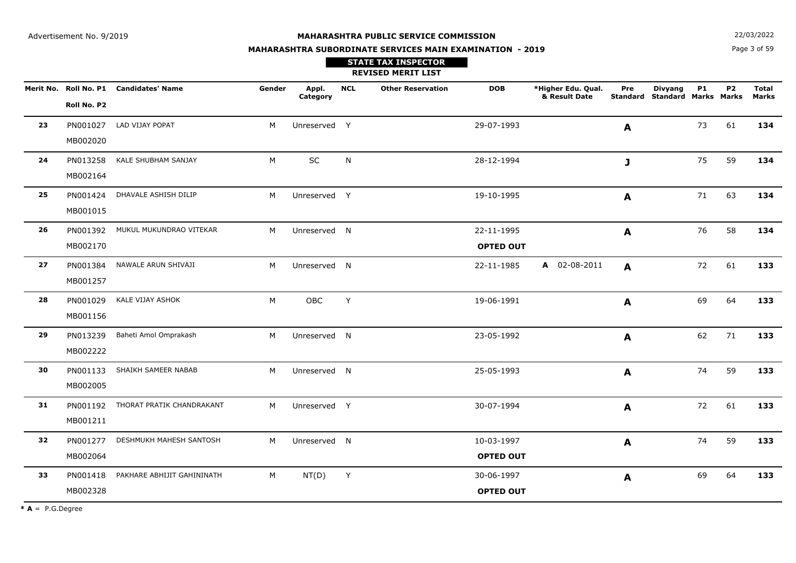**STATE TAX INSPECTOR**

**MAHARASHTRA SUBORDINATE SERVICES MAIN EXAMINATION - 2019**

**N**  $22/03/2022$ 

Page 3 of 59

|    |                      |                                        |        |                   |            | <b>REVISED MERIT LIST</b> |                                |                                     |              |                                                        |           |                |                              |
|----|----------------------|----------------------------------------|--------|-------------------|------------|---------------------------|--------------------------------|-------------------------------------|--------------|--------------------------------------------------------|-----------|----------------|------------------------------|
|    | Roll No. P2          | Merit No. Roll No. P1 Candidates' Name | Gender | Appl.<br>Category | <b>NCL</b> | <b>Other Reservation</b>  | <b>DOB</b>                     | *Higher Edu. Qual.<br>& Result Date | Pre          | <b>Divyang</b><br><b>Standard Standard Marks Marks</b> | <b>P1</b> | P <sub>2</sub> | <b>Total</b><br><b>Marks</b> |
| 23 | PN001027<br>MB002020 | LAD VIJAY POPAT                        | M      | Unreserved Y      |            |                           | 29-07-1993                     |                                     | A            |                                                        | 73        | 61             | 134                          |
| 24 | PN013258<br>MB002164 | KALE SHUBHAM SANJAY                    | М      | SC                | N          |                           | 28-12-1994                     |                                     | J            |                                                        | 75        | 59             | 134                          |
| 25 | PN001424<br>MB001015 | DHAVALE ASHISH DILIP                   | M      | Unreserved Y      |            |                           | 19-10-1995                     |                                     | $\mathbf{A}$ |                                                        | 71        | 63             | 134                          |
| 26 | PN001392<br>MB002170 | MUKUL MUKUNDRAO VITEKAR                | M      | Unreserved N      |            |                           | 22-11-1995<br><b>OPTED OUT</b> |                                     | A            |                                                        | 76        | 58             | 134                          |
| 27 | PN001384<br>MB001257 | NAWALE ARUN SHIVAJI                    | M      | Unreserved N      |            |                           | 22-11-1985                     | A 02-08-2011                        | A            |                                                        | 72        | 61             | 133                          |
| 28 | PN001029<br>MB001156 | KALE VIJAY ASHOK                       | M      | OBC               | Y          |                           | 19-06-1991                     |                                     | A            |                                                        | 69        | 64             | 133                          |
| 29 | PN013239<br>MB002222 | Baheti Amol Omprakash                  | M      | Unreserved N      |            |                           | 23-05-1992                     |                                     | A            |                                                        | 62        | 71             | 133                          |
| 30 | PN001133<br>MB002005 | SHAIKH SAMEER NABAB                    | M      | Unreserved N      |            |                           | 25-05-1993                     |                                     | A            |                                                        | 74        | 59             | 133                          |
| 31 | PN001192<br>MB001211 | THORAT PRATIK CHANDRAKANT              | M      | Unreserved Y      |            |                           | 30-07-1994                     |                                     | A            |                                                        | 72        | 61             | 133                          |
| 32 | PN001277<br>MB002064 | DESHMUKH MAHESH SANTOSH                | M      | Unreserved N      |            |                           | 10-03-1997<br><b>OPTED OUT</b> |                                     | A            |                                                        | 74        | 59             | 133                          |
| 33 | PN001418<br>MB002328 | PAKHARE ABHIJIT GAHININATH             | М      | NT(D)             | Y          |                           | 30-06-1997<br><b>OPTED OUT</b> |                                     | A            |                                                        | 69        | 64             | 133                          |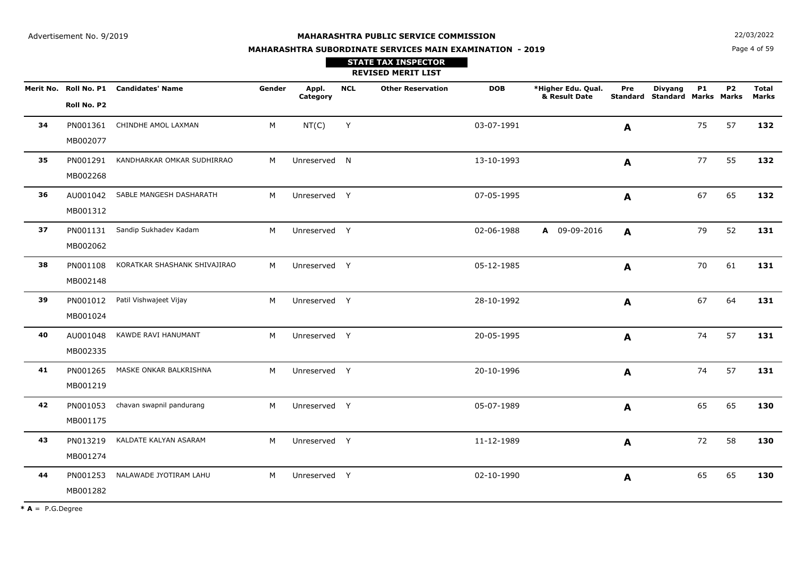**N**  $22/03/2022$ **MAHARASHTRA SUBORDINATE SERVICES MAIN EXAMINATION - 2019**

Page 4 of 59

|    |                      |                                        |        |                   |            | <b>STATE TAX INSPECTOR</b><br><b>REVISED MERIT LIST</b> |            |                                     |              |                                                 |           |           |                       |
|----|----------------------|----------------------------------------|--------|-------------------|------------|---------------------------------------------------------|------------|-------------------------------------|--------------|-------------------------------------------------|-----------|-----------|-----------------------|
|    | Roll No. P2          | Merit No. Roll No. P1 Candidates' Name | Gender | Appl.<br>Category | <b>NCL</b> | <b>Other Reservation</b>                                | <b>DOB</b> | *Higher Edu. Qual.<br>& Result Date | Pre          | <b>Divyang</b><br>Standard Standard Marks Marks | <b>P1</b> | <b>P2</b> | <b>Total</b><br>Marks |
| 34 | PN001361<br>MB002077 | CHINDHE AMOL LAXMAN                    | M      | NT(C)             | Y          |                                                         | 03-07-1991 |                                     | A            |                                                 | 75        | 57        | 132                   |
| 35 | PN001291<br>MB002268 | KANDHARKAR OMKAR SUDHIRRAO             | M      | Unreserved N      |            |                                                         | 13-10-1993 |                                     | A            |                                                 | 77        | 55        | 132                   |
| 36 | MB001312             | AU001042 SABLE MANGESH DASHARATH       | M      | Unreserved Y      |            |                                                         | 07-05-1995 |                                     | A            |                                                 | 67        | 65        | 132                   |
| 37 | PN001131<br>MB002062 | Sandip Sukhadev Kadam                  | M      | Unreserved Y      |            |                                                         | 02-06-1988 | A 09-09-2016                        | $\mathbf{A}$ |                                                 | 79        | 52        | 131                   |
| 38 | PN001108<br>MB002148 | KORATKAR SHASHANK SHIVAJIRAO           | M      | Unreserved Y      |            |                                                         | 05-12-1985 |                                     | A            |                                                 | 70        | 61        | 131                   |
| 39 | PN001012<br>MB001024 | Patil Vishwajeet Vijay                 | M      | Unreserved Y      |            |                                                         | 28-10-1992 |                                     | A            |                                                 | 67        | 64        | 131                   |
| 40 | AU001048<br>MB002335 | KAWDE RAVI HANUMANT                    | M      | Unreserved Y      |            |                                                         | 20-05-1995 |                                     | A            |                                                 | 74        | 57        | 131                   |
| 41 | PN001265<br>MB001219 | MASKE ONKAR BALKRISHNA                 | M      | Unreserved Y      |            |                                                         | 20-10-1996 |                                     | A            |                                                 | 74        | 57        | 131                   |
| 42 | PN001053<br>MB001175 | chavan swapnil pandurang               | M      | Unreserved Y      |            |                                                         | 05-07-1989 |                                     | A            |                                                 | 65        | 65        | 130                   |
| 43 | PN013219<br>MB001274 | KALDATE KALYAN ASARAM                  | M      | Unreserved Y      |            |                                                         | 11-12-1989 |                                     | A            |                                                 | 72        | 58        | 130                   |
| 44 | PN001253<br>MB001282 | NALAWADE JYOTIRAM LAHU                 | M      | Unreserved Y      |            |                                                         | 02-10-1990 |                                     | A            |                                                 | 65        | 65        | 130                   |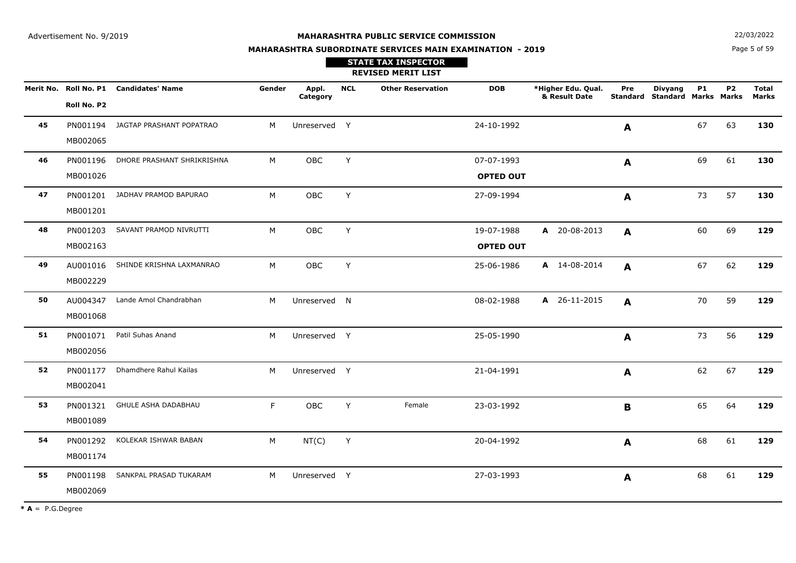**STATE TAX INSPECTOR**

**MAHARASHTRA SUBORDINATE SERVICES MAIN EXAMINATION - 2019**

**N**  $22/03/2022$ 

Page 5 of 59

|    |                      |                                        |        |                   |            | <b>REVISED MERIT LIST</b> |                                |                                     |              |                                                        |           |                |                       |
|----|----------------------|----------------------------------------|--------|-------------------|------------|---------------------------|--------------------------------|-------------------------------------|--------------|--------------------------------------------------------|-----------|----------------|-----------------------|
|    | Roll No. P2          | Merit No. Roll No. P1 Candidates' Name | Gender | Appl.<br>Category | <b>NCL</b> | <b>Other Reservation</b>  | <b>DOB</b>                     | *Higher Edu. Qual.<br>& Result Date | Pre          | <b>Divyang</b><br><b>Standard Standard Marks Marks</b> | <b>P1</b> | P <sub>2</sub> | <b>Total</b><br>Marks |
| 45 | PN001194<br>MB002065 | JAGTAP PRASHANT POPATRAO               | M      | Unreserved Y      |            |                           | 24-10-1992                     |                                     | A            |                                                        | 67        | 63             | 130                   |
| 46 | PN001196<br>MB001026 | DHORE PRASHANT SHRIKRISHNA             | M      | OBC               | Y          |                           | 07-07-1993<br><b>OPTED OUT</b> |                                     | A            |                                                        | 69        | 61             | 130                   |
| 47 | PN001201<br>MB001201 | JADHAV PRAMOD BAPURAO                  | M      | OBC               | Y          |                           | 27-09-1994                     |                                     | A            |                                                        | 73        | 57             | 130                   |
| 48 | PN001203<br>MB002163 | SAVANT PRAMOD NIVRUTTI                 | M      | OBC               | Y          |                           | 19-07-1988<br><b>OPTED OUT</b> | A 20-08-2013                        | $\mathbf{A}$ |                                                        | 60        | 69             | 129                   |
| 49 | AU001016<br>MB002229 | SHINDE KRISHNA LAXMANRAO               | M      | OBC               | Y          |                           | 25-06-1986                     | A 14-08-2014                        | A            |                                                        | 67        | 62             | 129                   |
| 50 | AU004347<br>MB001068 | Lande Amol Chandrabhan                 | M      | Unreserved N      |            |                           | 08-02-1988                     | A 26-11-2015                        | A            |                                                        | 70        | 59             | 129                   |
| 51 | PN001071<br>MB002056 | Patil Suhas Anand                      | M      | Unreserved Y      |            |                           | 25-05-1990                     |                                     | A            |                                                        | 73        | 56             | 129                   |
| 52 | PN001177<br>MB002041 | Dhamdhere Rahul Kailas                 | M      | Unreserved Y      |            |                           | 21-04-1991                     |                                     | A            |                                                        | 62        | 67             | 129                   |
| 53 | PN001321<br>MB001089 | <b>GHULE ASHA DADABHAU</b>             | F.     | <b>OBC</b>        | Y          | Female                    | 23-03-1992                     |                                     | B            |                                                        | 65        | 64             | 129                   |
| 54 | PN001292<br>MB001174 | KOLEKAR ISHWAR BABAN                   | M      | NT(C)             | Y          |                           | 20-04-1992                     |                                     | A            |                                                        | 68        | 61             | 129                   |
| 55 | PN001198<br>MB002069 | SANKPAL PRASAD TUKARAM                 | M      | Unreserved Y      |            |                           | 27-03-1993                     |                                     | A            |                                                        | 68        | 61             | 129                   |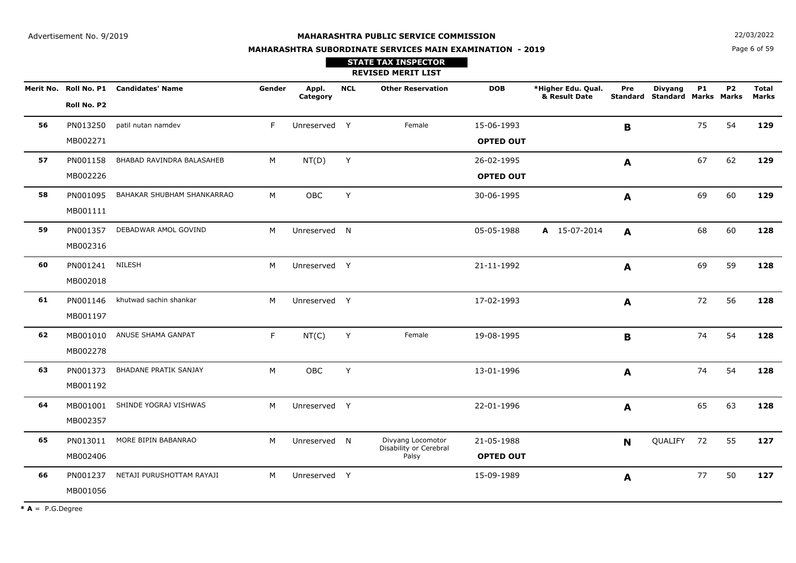Page 6 of 59**N**  $22/03/2022$ 

# **MAHARASHTRA SUBORDINATE SERVICES MAIN EXAMINATION - 2019**

**REVISED MERIT LIST STATE TAX INSPECTOR**

|    |             | Merit No. Roll No. P1 Candidates' Name | Gender | Appl.<br>Category | <b>NCL</b> | <b>Other Reservation</b>                    | <b>DOB</b>       | *Higher Edu. Qual.<br>& Result Date | Pre          | <b>Divyang</b><br><b>Standard Standard Marks Marks</b> | <b>P1</b> | P <sub>2</sub> | <b>Total</b><br><b>Marks</b> |
|----|-------------|----------------------------------------|--------|-------------------|------------|---------------------------------------------|------------------|-------------------------------------|--------------|--------------------------------------------------------|-----------|----------------|------------------------------|
|    | Roll No. P2 |                                        |        |                   |            |                                             |                  |                                     |              |                                                        |           |                |                              |
| 56 | PN013250    | patil nutan namdev                     | F.     | Unreserved Y      |            | Female                                      | 15-06-1993       |                                     | B            |                                                        | 75        | 54             | 129                          |
|    | MB002271    |                                        |        |                   |            |                                             | <b>OPTED OUT</b> |                                     |              |                                                        |           |                |                              |
| 57 | PN001158    | BHABAD RAVINDRA BALASAHEB              | M      | NT(D)             | Y          |                                             | 26-02-1995       |                                     | A            |                                                        | 67        | 62             | 129                          |
|    | MB002226    |                                        |        |                   |            |                                             | <b>OPTED OUT</b> |                                     |              |                                                        |           |                |                              |
| 58 | PN001095    | BAHAKAR SHUBHAM SHANKARRAO             | М      | OBC               | Y          |                                             | 30-06-1995       |                                     | A            |                                                        | 69        | 60             | 129                          |
|    | MB001111    |                                        |        |                   |            |                                             |                  |                                     |              |                                                        |           |                |                              |
| 59 | PN001357    | DEBADWAR AMOL GOVIND                   | M      | Unreserved N      |            |                                             | 05-05-1988       | A 15-07-2014                        | A            |                                                        | 68        | 60             | 128                          |
|    | MB002316    |                                        |        |                   |            |                                             |                  |                                     |              |                                                        |           |                |                              |
| 60 | PN001241    | NILESH                                 | M      | Unreserved Y      |            |                                             | 21-11-1992       |                                     | A            |                                                        | 69        | 59             | 128                          |
|    | MB002018    |                                        |        |                   |            |                                             |                  |                                     |              |                                                        |           |                |                              |
| 61 | PN001146    | khutwad sachin shankar                 | M      | Unreserved Y      |            |                                             | 17-02-1993       |                                     | A            |                                                        | 72        | 56             | 128                          |
|    | MB001197    |                                        |        |                   |            |                                             |                  |                                     |              |                                                        |           |                |                              |
| 62 |             | MB001010 ANUSE SHAMA GANPAT            | F.     | NT(C)             | Y          | Female                                      | 19-08-1995       |                                     | $\mathbf B$  |                                                        | 74        | 54             | 128                          |
|    | MB002278    |                                        |        |                   |            |                                             |                  |                                     |              |                                                        |           |                |                              |
| 63 | PN001373    | BHADANE PRATIK SANJAY                  | M      | <b>OBC</b>        | Y          |                                             | 13-01-1996       |                                     | $\mathbf{A}$ |                                                        | 74        | 54             | 128                          |
|    | MB001192    |                                        |        |                   |            |                                             |                  |                                     |              |                                                        |           |                |                              |
| 64 |             | MB001001 SHINDE YOGRAJ VISHWAS         | M      | Unreserved Y      |            |                                             | 22-01-1996       |                                     | $\mathbf{A}$ |                                                        | 65        | 63             | 128                          |
|    | MB002357    |                                        |        |                   |            |                                             |                  |                                     |              |                                                        |           |                |                              |
| 65 | PN013011    | MORE BIPIN BABANRAO                    | M      | Unreserved N      |            | Divyang Locomotor<br>Disability or Cerebral | 21-05-1988       |                                     | N            | QUALIFY 72                                             |           | 55             | 127                          |
|    | MB002406    |                                        |        |                   |            | Palsy                                       | <b>OPTED OUT</b> |                                     |              |                                                        |           |                |                              |
| 66 | PN001237    | NETAJI PURUSHOTTAM RAYAJI              | M      | Unreserved Y      |            |                                             | 15-09-1989       |                                     | A            |                                                        | 77        | 50             | 127                          |
|    | MB001056    |                                        |        |                   |            |                                             |                  |                                     |              |                                                        |           |                |                              |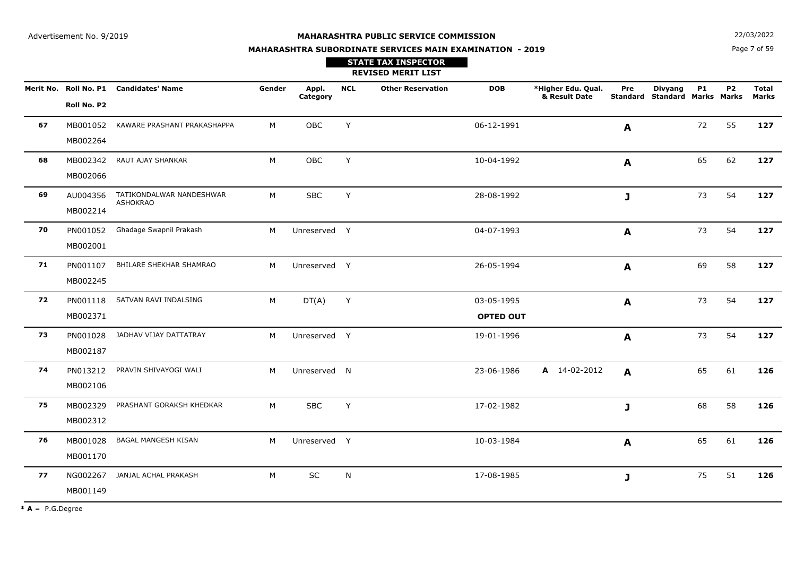Page 7 of 59**N**  $22/03/2022$ 

# **MAHARASHTRA SUBORDINATE SERVICES MAIN EXAMINATION - 2019**

**REVISED MERIT LIST STATE TAX INSPECTOR**

|    |             | Merit No. Roll No. P1 Candidates' Name      | Gender | Appl.<br>Category | <b>NCL</b> | <b>Other Reservation</b> | <b>DOB</b>       | *Higher Edu. Qual.<br>& Result Date | Pre              | <b>Divyang</b><br>Standard Standard Marks Marks | <b>P1</b> | P <sub>2</sub> | <b>Total</b><br><b>Marks</b> |
|----|-------------|---------------------------------------------|--------|-------------------|------------|--------------------------|------------------|-------------------------------------|------------------|-------------------------------------------------|-----------|----------------|------------------------------|
|    | Roll No. P2 |                                             |        |                   |            |                          |                  |                                     |                  |                                                 |           |                |                              |
| 67 | MB001052    | KAWARE PRASHANT PRAKASHAPPA                 | M      | OBC               | Y          |                          | 06-12-1991       |                                     | $\mathbf{A}$     |                                                 | 72        | 55             | 127                          |
|    | MB002264    |                                             |        |                   |            |                          |                  |                                     |                  |                                                 |           |                |                              |
| 68 | MB002342    | RAUT AJAY SHANKAR                           | M      | OBC               | Y          |                          | 10-04-1992       |                                     | $\blacktriangle$ |                                                 | 65        | 62             | 127                          |
|    | MB002066    |                                             |        |                   |            |                          |                  |                                     |                  |                                                 |           |                |                              |
| 69 | AU004356    | TATIKONDALWAR NANDESHWAR<br><b>ASHOKRAO</b> | M      | <b>SBC</b>        | Y          |                          | 28-08-1992       |                                     | $\mathbf{J}$     |                                                 | 73        | 54             | 127                          |
|    | MB002214    |                                             |        |                   |            |                          |                  |                                     |                  |                                                 |           |                |                              |
| 70 | PN001052    | Ghadage Swapnil Prakash                     | M      | Unreserved Y      |            |                          | 04-07-1993       |                                     | $\mathbf{A}$     |                                                 | 73        | 54             | 127                          |
|    | MB002001    |                                             |        |                   |            |                          |                  |                                     |                  |                                                 |           |                |                              |
| 71 | PN001107    | BHILARE SHEKHAR SHAMRAO                     | М      | Unreserved Y      |            |                          | 26-05-1994       |                                     | A                |                                                 | 69        | 58             | 127                          |
|    | MB002245    |                                             |        |                   |            |                          |                  |                                     |                  |                                                 |           |                |                              |
| 72 |             | PN001118 SATVAN RAVI INDALSING              | M      | DT(A)             | Y          |                          | 03-05-1995       |                                     | A                |                                                 | 73        | 54             | 127                          |
|    | MB002371    |                                             |        |                   |            |                          | <b>OPTED OUT</b> |                                     |                  |                                                 |           |                |                              |
| 73 |             | PN001028 JADHAV VIJAY DATTATRAY             | M      | Unreserved Y      |            |                          | 19-01-1996       |                                     | A                |                                                 | 73        | 54             | 127                          |
|    | MB002187    |                                             |        |                   |            |                          |                  |                                     |                  |                                                 |           |                |                              |
| 74 |             | PN013212 PRAVIN SHIVAYOGI WALI              | M      | Unreserved N      |            |                          | 23-06-1986       | A 14-02-2012                        | $\mathbf{A}$     |                                                 | 65        | 61             | 126                          |
|    | MB002106    |                                             |        |                   |            |                          |                  |                                     |                  |                                                 |           |                |                              |
| 75 |             | MB002329 PRASHANT GORAKSH KHEDKAR           | M      | <b>SBC</b>        | Y          |                          | 17-02-1982       |                                     | $\mathbf{J}$     |                                                 | 68        | 58             | 126                          |
|    | MB002312    |                                             |        |                   |            |                          |                  |                                     |                  |                                                 |           |                |                              |
| 76 |             | MB001028 BAGAL MANGESH KISAN                | M      | Unreserved Y      |            |                          | 10-03-1984       |                                     | $\mathbf{A}$     |                                                 | 65        | 61             | 126                          |
|    | MB001170    |                                             |        |                   |            |                          |                  |                                     |                  |                                                 |           |                |                              |
| 77 |             | NG002267 JANJAL ACHAL PRAKASH               | M      | $\sf SC$          | N          |                          | 17-08-1985       |                                     | $\mathbf{J}$     |                                                 | 75        | 51             | 126                          |
|    | MB001149    |                                             |        |                   |            |                          |                  |                                     |                  |                                                 |           |                |                              |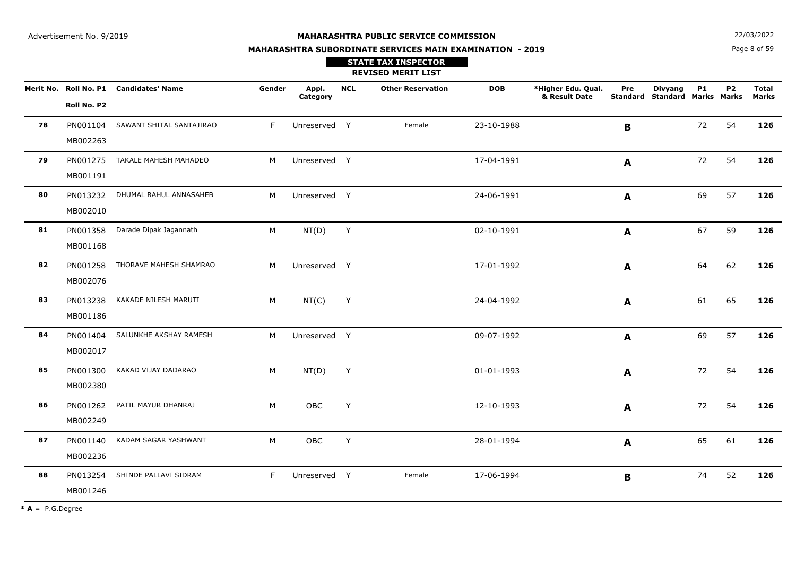**STATE TAX INSPECTOR**

**MAHARASHTRA SUBORDINATE SERVICES MAIN EXAMINATION - 2019**

**N**  $22/03/2022$ 

Page 8 of 59

|    |                      |                                        |        |                   |            | <b>REVISED MERIT LIST</b> |            |                                     |              |                                                 |           |           |                              |
|----|----------------------|----------------------------------------|--------|-------------------|------------|---------------------------|------------|-------------------------------------|--------------|-------------------------------------------------|-----------|-----------|------------------------------|
|    | Roll No. P2          | Merit No. Roll No. P1 Candidates' Name | Gender | Appl.<br>Category | <b>NCL</b> | <b>Other Reservation</b>  | <b>DOB</b> | *Higher Edu. Qual.<br>& Result Date | Pre          | <b>Divyang</b><br>Standard Standard Marks Marks | <b>P1</b> | <b>P2</b> | <b>Total</b><br><b>Marks</b> |
| 78 | PN001104<br>MB002263 | SAWANT SHITAL SANTAJIRAO               | F.     | Unreserved Y      |            | Female                    | 23-10-1988 |                                     | B            |                                                 | 72        | 54        | 126                          |
| 79 | PN001275<br>MB001191 | TAKALE MAHESH MAHADEO                  | M      | Unreserved Y      |            |                           | 17-04-1991 |                                     | $\mathbf{A}$ |                                                 | 72        | 54        | 126                          |
| 80 | PN013232<br>MB002010 | DHUMAL RAHUL ANNASAHEB                 | M      | Unreserved Y      |            |                           | 24-06-1991 |                                     | A            |                                                 | 69        | 57        | 126                          |
| 81 | PN001358<br>MB001168 | Darade Dipak Jagannath                 | M      | NT(D)             | Y          |                           | 02-10-1991 |                                     | A            |                                                 | 67        | 59        | 126                          |
| 82 | PN001258<br>MB002076 | THORAVE MAHESH SHAMRAO                 | M      | Unreserved Y      |            |                           | 17-01-1992 |                                     | A            |                                                 | 64        | 62        | 126                          |
| 83 | PN013238<br>MB001186 | KAKADE NILESH MARUTI                   | M      | NT(C)             | Y          |                           | 24-04-1992 |                                     | A            |                                                 | 61        | 65        | 126                          |
| 84 | PN001404<br>MB002017 | SALUNKHE AKSHAY RAMESH                 | M      | Unreserved Y      |            |                           | 09-07-1992 |                                     | A            |                                                 | 69        | 57        | 126                          |
| 85 | PN001300<br>MB002380 | KAKAD VIJAY DADARAO                    | M      | NT(D)             | Υ          |                           | 01-01-1993 |                                     | A            |                                                 | 72        | 54        | 126                          |
| 86 | PN001262<br>MB002249 | PATIL MAYUR DHANRAJ                    | M      | OBC               | Y          |                           | 12-10-1993 |                                     | A            |                                                 | 72        | 54        | 126                          |
| 87 | PN001140<br>MB002236 | KADAM SAGAR YASHWANT                   | M      | <b>OBC</b>        | Y          |                           | 28-01-1994 |                                     | A            |                                                 | 65        | 61        | 126                          |
| 88 | PN013254<br>MB001246 | SHINDE PALLAVI SIDRAM                  | F      | Unreserved Y      |            | Female                    | 17-06-1994 |                                     | $\mathbf B$  |                                                 | 74        | 52        | 126                          |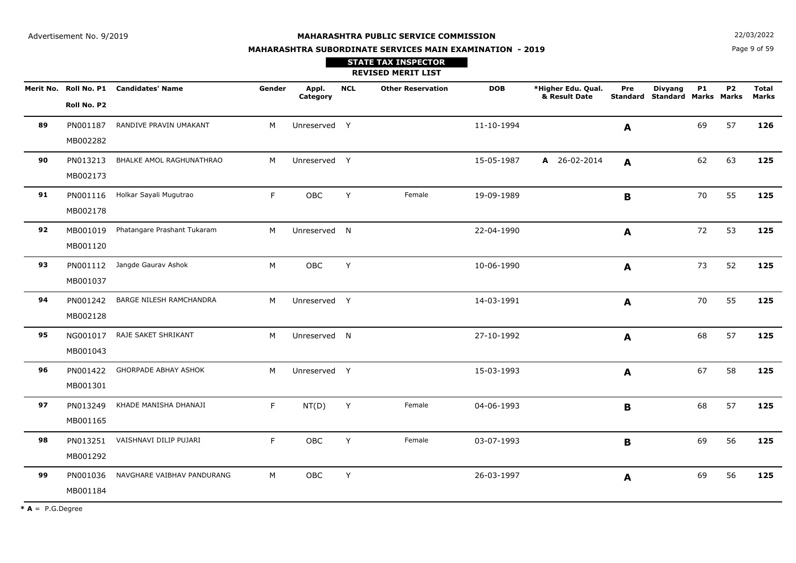**STATE TAX INSPECTOR**

**MAHARASHTRA SUBORDINATE SERVICES MAIN EXAMINATION - 2019**

**N**  $22/03/2022$ 

Page 9 of 59

|    |                      |                                        |        |                   |            | <b>REVISED MERIT LIST</b> |            |                                     |              |                                                 |           |           |                       |
|----|----------------------|----------------------------------------|--------|-------------------|------------|---------------------------|------------|-------------------------------------|--------------|-------------------------------------------------|-----------|-----------|-----------------------|
|    | Roll No. P2          | Merit No. Roll No. P1 Candidates' Name | Gender | Appl.<br>Category | <b>NCL</b> | <b>Other Reservation</b>  | <b>DOB</b> | *Higher Edu. Qual.<br>& Result Date | Pre          | <b>Divyang</b><br>Standard Standard Marks Marks | <b>P1</b> | <b>P2</b> | <b>Total</b><br>Marks |
| 89 | PN001187<br>MB002282 | RANDIVE PRAVIN UMAKANT                 | M      | Unreserved Y      |            |                           | 11-10-1994 |                                     | A            |                                                 | 69        | 57        | 126                   |
| 90 | PN013213<br>MB002173 | BHALKE AMOL RAGHUNATHRAO               | M      | Unreserved Y      |            |                           | 15-05-1987 | A 26-02-2014                        | A            |                                                 | 62        | 63        | 125                   |
| 91 | PN001116<br>MB002178 | Holkar Sayali Mugutrao                 | F.     | OBC               | Y          | Female                    | 19-09-1989 |                                     | $\mathbf B$  |                                                 | 70        | 55        | 125                   |
| 92 | MB001019<br>MB001120 | Phatangare Prashant Tukaram            | M      | Unreserved N      |            |                           | 22-04-1990 |                                     | $\mathbf{A}$ |                                                 | 72        | 53        | 125                   |
| 93 | MB001037             | PN001112 Jangde Gaurav Ashok           | M      | OBC               | Y          |                           | 10-06-1990 |                                     | $\mathbf{A}$ |                                                 | 73        | 52        | 125                   |
| 94 | PN001242<br>MB002128 | BARGE NILESH RAMCHANDRA                | M      | Unreserved Y      |            |                           | 14-03-1991 |                                     | A            |                                                 | 70        | 55        | 125                   |
| 95 | NG001017<br>MB001043 | RAJE SAKET SHRIKANT                    | M      | Unreserved N      |            |                           | 27-10-1992 |                                     | A            |                                                 | 68        | 57        | 125                   |
| 96 | PN001422<br>MB001301 | <b>GHORPADE ABHAY ASHOK</b>            | M      | Unreserved Y      |            |                           | 15-03-1993 |                                     | A            |                                                 | 67        | 58        | 125                   |
| 97 | PN013249<br>MB001165 | KHADE MANISHA DHANAJI                  | F      | NT(D)             | Y          | Female                    | 04-06-1993 |                                     | B            |                                                 | 68        | 57        | 125                   |
| 98 | PN013251<br>MB001292 | VAISHNAVI DILIP PUJARI                 | F      | OBC               | Y          | Female                    | 03-07-1993 |                                     | B            |                                                 | 69        | 56        | 125                   |
| 99 | PN001036<br>MB001184 | NAVGHARE VAIBHAV PANDURANG             | M      | OBC               | Υ          |                           | 26-03-1997 |                                     | A            |                                                 | 69        | 56        | 125                   |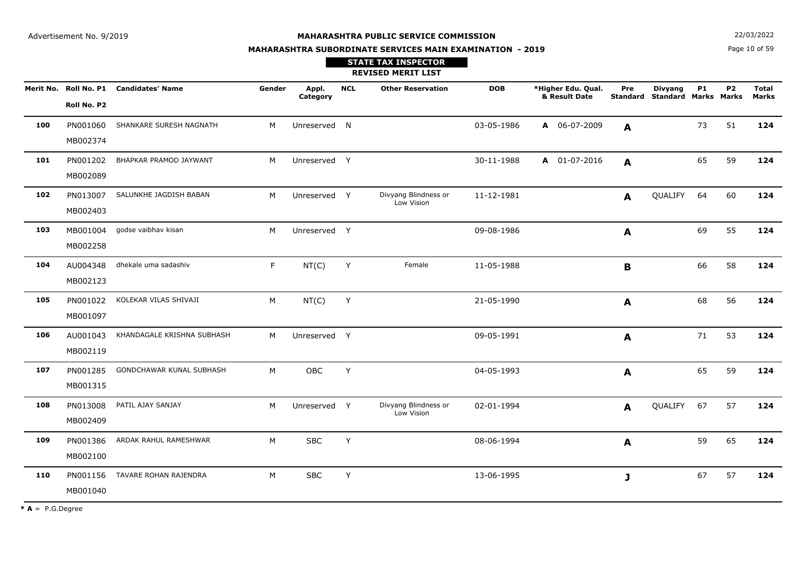**MAHARASHTRA SUBORDINATE SERVICES MAIN EXAMINATION - 2019**

**N**  $22/03/2022$ 

Page 10 of 59

|     |                      |                                        |        |                   |            | <b>STATE TAX INSPECTOR</b><br><b>REVISED MERIT LIST</b> |            |                                     |     |                                                 |           |           |                              |
|-----|----------------------|----------------------------------------|--------|-------------------|------------|---------------------------------------------------------|------------|-------------------------------------|-----|-------------------------------------------------|-----------|-----------|------------------------------|
|     | Roll No. P2          | Merit No. Roll No. P1 Candidates' Name | Gender | Appl.<br>Category | <b>NCL</b> | <b>Other Reservation</b>                                | <b>DOB</b> | *Higher Edu. Qual.<br>& Result Date | Pre | <b>Divyang</b><br>Standard Standard Marks Marks | <b>P1</b> | <b>P2</b> | <b>Total</b><br><b>Marks</b> |
| 100 | PN001060<br>MB002374 | SHANKARE SURESH NAGNATH                | M      | Unreserved N      |            |                                                         | 03-05-1986 | A 06-07-2009                        | A   |                                                 | 73        | 51        | 124                          |
| 101 | PN001202<br>MB002089 | BHAPKAR PRAMOD JAYWANT                 | M      | Unreserved Y      |            |                                                         | 30-11-1988 | A 01-07-2016                        | A   |                                                 | 65        | 59        | 124                          |
| 102 | PN013007<br>MB002403 | SALUNKHE JAGDISH BABAN                 | M      | Unreserved Y      |            | Divyang Blindness or<br>Low Vision                      | 11-12-1981 |                                     | A   | QUALIFY                                         | 64        | 60        | 124                          |
| 103 | MB001004<br>MB002258 | godse vaibhav kisan                    | M      | Unreserved Y      |            |                                                         | 09-08-1986 |                                     | A   |                                                 | 69        | 55        | 124                          |
| 104 | AU004348<br>MB002123 | dhekale uma sadashiv                   | F.     | NT(C)             | Y          | Female                                                  | 11-05-1988 |                                     | B   |                                                 | 66        | 58        | 124                          |
| 105 | PN001022<br>MB001097 | KOLEKAR VILAS SHIVAJI                  | M      | NT(C)             | Y          |                                                         | 21-05-1990 |                                     | A   |                                                 | 68        | 56        | 124                          |
| 106 | AU001043<br>MB002119 | KHANDAGALE KRISHNA SUBHASH             | M      | Unreserved Y      |            |                                                         | 09-05-1991 |                                     | A   |                                                 | 71        | 53        | 124                          |
| 107 | PN001285<br>MB001315 | GONDCHAWAR KUNAL SUBHASH               | M      | OBC               | Y          |                                                         | 04-05-1993 |                                     | A   |                                                 | 65        | 59        | 124                          |
| 108 | PN013008<br>MB002409 | PATIL AJAY SANJAY                      | M      | Unreserved Y      |            | Divyang Blindness or<br>Low Vision                      | 02-01-1994 |                                     | A   | QUALIFY                                         | 67        | 57        | 124                          |
| 109 | PN001386<br>MB002100 | ARDAK RAHUL RAMESHWAR                  | M      | <b>SBC</b>        | Y          |                                                         | 08-06-1994 |                                     | A   |                                                 | 59        | 65        | 124                          |
| 110 | PN001156<br>MB001040 | TAVARE ROHAN RAJENDRA                  | M      | <b>SBC</b>        | Y          |                                                         | 13-06-1995 |                                     | J   |                                                 | 67        | 57        | 124                          |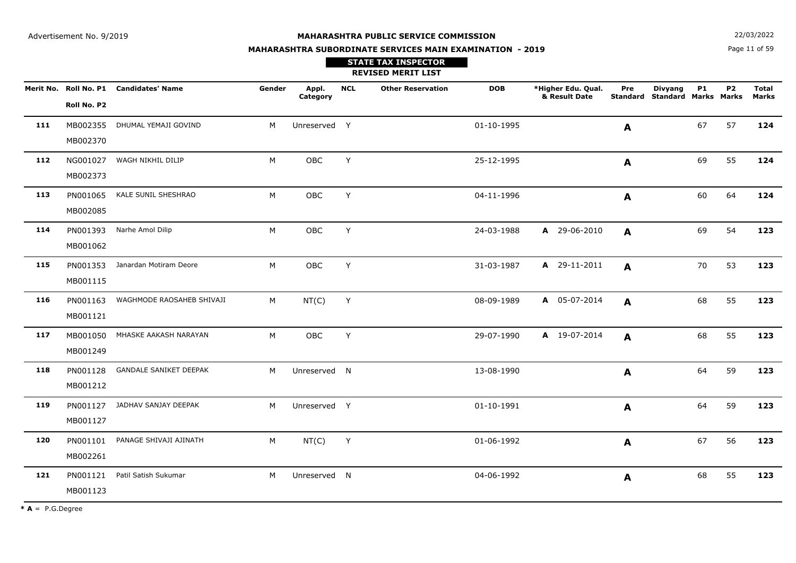Page 11 of 59**N**  $22/03/2022$ 

# **MAHARASHTRA SUBORDINATE SERVICES MAIN EXAMINATION - 2019**

# **REVISED MERIT LIST STATE TAX INSPECTOR**

|     | Roll No. P2          | Merit No. Roll No. P1 Candidates' Name | Gender | Appl.<br>Category | <b>NCL</b> | <b>Other Reservation</b> | <b>DOB</b> | *Higher Edu. Qual.<br>& Result Date | Pre              | <b>Divyang</b><br>Standard Standard Marks Marks | <b>P1</b> | P <sub>2</sub> | <b>Total</b><br><b>Marks</b> |
|-----|----------------------|----------------------------------------|--------|-------------------|------------|--------------------------|------------|-------------------------------------|------------------|-------------------------------------------------|-----------|----------------|------------------------------|
| 111 | MB002355<br>MB002370 | DHUMAL YEMAJI GOVIND                   | M      | Unreserved Y      |            |                          | 01-10-1995 |                                     | A                |                                                 | 67        | 57             | 124                          |
| 112 | NG001027<br>MB002373 | WAGH NIKHIL DILIP                      | M      | OBC               | Y          |                          | 25-12-1995 |                                     | $\blacktriangle$ |                                                 | 69        | 55             | 124                          |
| 113 | PN001065<br>MB002085 | KALE SUNIL SHESHRAO                    | M      | OBC               | Y          |                          | 04-11-1996 |                                     | A                |                                                 | 60        | 64             | 124                          |
| 114 | PN001393<br>MB001062 | Narhe Amol Dilip                       | M      | OBC               | Y          |                          | 24-03-1988 | A 29-06-2010                        | A                |                                                 | 69        | 54             | 123                          |
| 115 | MB001115             | PN001353 Janardan Motiram Deore        | М      | OBC               | Y          |                          | 31-03-1987 | A 29-11-2011                        | A                |                                                 | 70        | 53             | 123                          |
| 116 | MB001121             | PN001163 WAGHMODE RAOSAHEB SHIVAJI     | М      | NT(C)             | Y          |                          | 08-09-1989 | A 05-07-2014                        | A                |                                                 | 68        | 55             | 123                          |
| 117 | MB001050<br>MB001249 | MHASKE AAKASH NARAYAN                  | М      | OBC               | Y          |                          | 29-07-1990 | A 19-07-2014                        | A                |                                                 | 68        | 55             | 123                          |
| 118 | PN001128<br>MB001212 | <b>GANDALE SANIKET DEEPAK</b>          | M      | Unreserved N      |            |                          | 13-08-1990 |                                     | A                |                                                 | 64        | 59             | 123                          |
| 119 | PN001127<br>MB001127 | JADHAV SANJAY DEEPAK                   | M      | Unreserved Y      |            |                          | 01-10-1991 |                                     | $\mathbf{A}$     |                                                 | 64        | 59             | 123                          |
| 120 | PN001101<br>MB002261 | PANAGE SHIVAJI AJINATH                 | M      | NT(C)             | Y          |                          | 01-06-1992 |                                     | A                |                                                 | 67        | 56             | 123                          |
| 121 | PN001121<br>MB001123 | Patil Satish Sukumar                   | M      | Unreserved N      |            |                          | 04-06-1992 |                                     | $\mathbf{A}$     |                                                 | 68        | 55             | 123                          |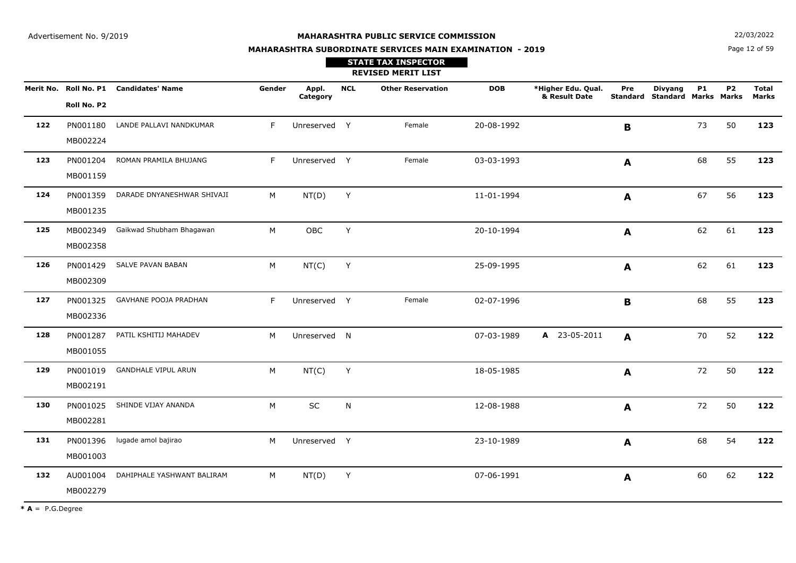**N**  $22/03/2022$ 

# **MAHARASHTRA SUBORDINATE SERVICES MAIN EXAMINATION - 2019STATE TAX INSPECTOR**

Page 12 of 59

|     |                      |                                        |        |                   |            | <b>REVISED MERIT LIST</b> |            |                                     |              |                                                        |           |           |                              |
|-----|----------------------|----------------------------------------|--------|-------------------|------------|---------------------------|------------|-------------------------------------|--------------|--------------------------------------------------------|-----------|-----------|------------------------------|
|     | Roll No. P2          | Merit No. Roll No. P1 Candidates' Name | Gender | Appl.<br>Category | <b>NCL</b> | <b>Other Reservation</b>  | <b>DOB</b> | *Higher Edu. Qual.<br>& Result Date | Pre          | <b>Divyang</b><br><b>Standard Standard Marks Marks</b> | <b>P1</b> | <b>P2</b> | <b>Total</b><br><b>Marks</b> |
| 122 | PN001180<br>MB002224 | LANDE PALLAVI NANDKUMAR                | F.     | Unreserved Y      |            | Female                    | 20-08-1992 |                                     | B            |                                                        | 73        | 50        | 123                          |
| 123 | PN001204<br>MB001159 | ROMAN PRAMILA BHUJANG                  | F      | Unreserved Y      |            | Female                    | 03-03-1993 |                                     | A            |                                                        | 68        | 55        | 123                          |
| 124 | PN001359<br>MB001235 | DARADE DNYANESHWAR SHIVAJI             | M      | NT(D)             | Y          |                           | 11-01-1994 |                                     | A            |                                                        | 67        | 56        | 123                          |
| 125 | MB002349<br>MB002358 | Gaikwad Shubham Bhagawan               | M      | OBC               | Y          |                           | 20-10-1994 |                                     | A            |                                                        | 62        | 61        | 123                          |
| 126 | PN001429<br>MB002309 | SALVE PAVAN BABAN                      | M      | NT(C)             | Y          |                           | 25-09-1995 |                                     | A            |                                                        | 62        | 61        | 123                          |
| 127 | PN001325<br>MB002336 | GAVHANE POOJA PRADHAN                  | F      | Unreserved Y      |            | Female                    | 02-07-1996 |                                     | $\mathbf B$  |                                                        | 68        | 55        | 123                          |
| 128 | PN001287<br>MB001055 | PATIL KSHITIJ MAHADEV                  | M      | Unreserved N      |            |                           | 07-03-1989 | A 23-05-2011                        | $\mathbf{A}$ |                                                        | 70        | 52        | 122                          |
| 129 | PN001019<br>MB002191 | <b>GANDHALE VIPUL ARUN</b>             | M      | NT(C)             | Y          |                           | 18-05-1985 |                                     | A            |                                                        | 72        | 50        | 122                          |
| 130 | PN001025<br>MB002281 | SHINDE VIJAY ANANDA                    | M      | SC                | N          |                           | 12-08-1988 |                                     | A            |                                                        | 72        | 50        | 122                          |
| 131 | PN001396<br>MB001003 | lugade amol bajirao                    | M      | Unreserved Y      |            |                           | 23-10-1989 |                                     | A            |                                                        | 68        | 54        | 122                          |
| 132 | AU001004<br>MB002279 | DAHIPHALE YASHWANT BALIRAM             | М      | NT(D)             | Y          |                           | 07-06-1991 |                                     | A            |                                                        | 60        | 62        | 122                          |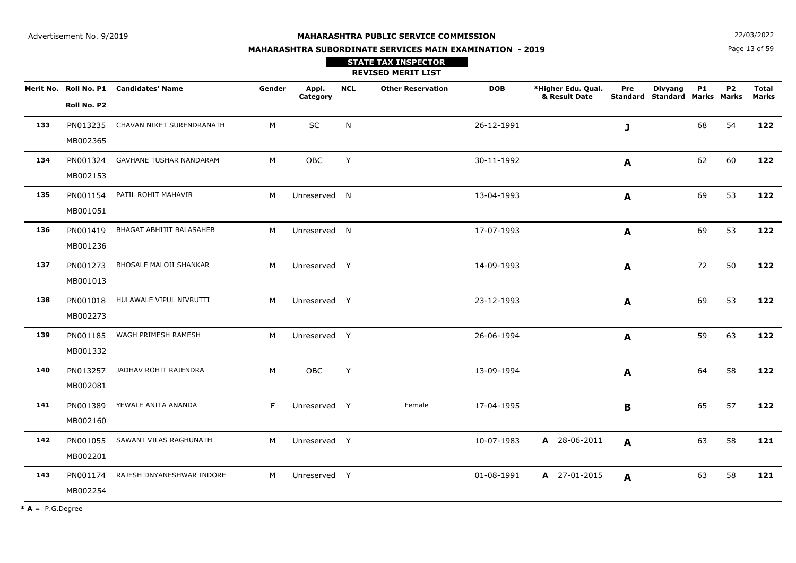**N**  $22/03/2022$ 

# **MAHARASHTRA SUBORDINATE SERVICES MAIN EXAMINATION - 2019STATE TAX INSPECTOR**

Page 13 of 59

|     |                      |                                        |        |                   |            | <b>REVISED MERIT LIST</b> |            |                                     |              |                                                 |           |                |                       |
|-----|----------------------|----------------------------------------|--------|-------------------|------------|---------------------------|------------|-------------------------------------|--------------|-------------------------------------------------|-----------|----------------|-----------------------|
|     | Roll No. P2          | Merit No. Roll No. P1 Candidates' Name | Gender | Appl.<br>Category | <b>NCL</b> | <b>Other Reservation</b>  | <b>DOB</b> | *Higher Edu. Qual.<br>& Result Date | Pre          | <b>Divyang</b><br>Standard Standard Marks Marks | <b>P1</b> | P <sub>2</sub> | <b>Total</b><br>Marks |
| 133 | PN013235<br>MB002365 | CHAVAN NIKET SURENDRANATH              | M      | SC                | N          |                           | 26-12-1991 |                                     | $\mathbf{J}$ |                                                 | 68        | 54             | 122                   |
| 134 | PN001324<br>MB002153 | <b>GAVHANE TUSHAR NANDARAM</b>         | M      | OBC               | Y          |                           | 30-11-1992 |                                     | A            |                                                 | 62        | 60             | 122                   |
| 135 | PN001154<br>MB001051 | PATIL ROHIT MAHAVIR                    | M      | Unreserved N      |            |                           | 13-04-1993 |                                     | A            |                                                 | 69        | 53             | 122                   |
| 136 | PN001419<br>MB001236 | BHAGAT ABHIJIT BALASAHEB               | M      | Unreserved N      |            |                           | 17-07-1993 |                                     | A            |                                                 | 69        | 53             | 122                   |
| 137 | PN001273<br>MB001013 | BHOSALE MALOJI SHANKAR                 | M      | Unreserved Y      |            |                           | 14-09-1993 |                                     | A            |                                                 | 72        | 50             | 122                   |
| 138 | PN001018<br>MB002273 | HULAWALE VIPUL NIVRUTTI                | M      | Unreserved Y      |            |                           | 23-12-1993 |                                     | A            |                                                 | 69        | 53             | 122                   |
| 139 | PN001185<br>MB001332 | WAGH PRIMESH RAMESH                    | M      | Unreserved Y      |            |                           | 26-06-1994 |                                     | A            |                                                 | 59        | 63             | 122                   |
| 140 | PN013257<br>MB002081 | JADHAV ROHIT RAJENDRA                  | M      | <b>OBC</b>        | Y          |                           | 13-09-1994 |                                     | A            |                                                 | 64        | 58             | 122                   |
| 141 | PN001389<br>MB002160 | YEWALE ANITA ANANDA                    | F      | Unreserved Y      |            | Female                    | 17-04-1995 |                                     | B            |                                                 | 65        | 57             | 122                   |
| 142 | PN001055<br>MB002201 | SAWANT VILAS RAGHUNATH                 | M      | Unreserved Y      |            |                           | 10-07-1983 | A 28-06-2011                        | A            |                                                 | 63        | 58             | 121                   |
| 143 | PN001174<br>MB002254 | RAJESH DNYANESHWAR INDORE              | M      | Unreserved Y      |            |                           | 01-08-1991 | A 27-01-2015                        | A            |                                                 | 63        | 58             | 121                   |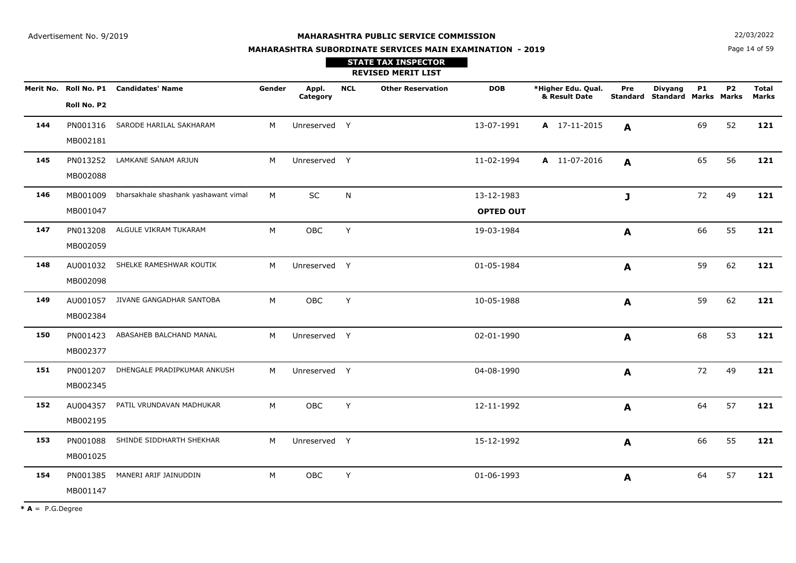**MAHARASHTRA SUBORDINATE SERVICES MAIN EXAMINATION - 2019**

**N**  $22/03/2022$ 

Page 14 of 59

|     |                      |                                        |        |                   |              | <b>STATE TAX INSPECTOR</b><br><b>REVISED MERIT LIST</b> |                                |                                     |              |                                                        |           |           |                              |
|-----|----------------------|----------------------------------------|--------|-------------------|--------------|---------------------------------------------------------|--------------------------------|-------------------------------------|--------------|--------------------------------------------------------|-----------|-----------|------------------------------|
|     | Roll No. P2          | Merit No. Roll No. P1 Candidates' Name | Gender | Appl.<br>Category | <b>NCL</b>   | <b>Other Reservation</b>                                | <b>DOB</b>                     | *Higher Edu. Qual.<br>& Result Date | Pre          | <b>Divyang</b><br><b>Standard Standard Marks Marks</b> | <b>P1</b> | <b>P2</b> | <b>Total</b><br><b>Marks</b> |
| 144 | PN001316<br>MB002181 | SARODE HARILAL SAKHARAM                | M      | Unreserved Y      |              |                                                         | 13-07-1991                     | A 17-11-2015                        | A            |                                                        | 69        | 52        | 121                          |
| 145 | PN013252<br>MB002088 | LAMKANE SANAM ARJUN                    | M      | Unreserved Y      |              |                                                         | 11-02-1994                     | A 11-07-2016                        | A            |                                                        | 65        | 56        | 121                          |
| 146 | MB001009<br>MB001047 | bharsakhale shashank yashawant vimal   | M      | SC                | $\mathsf{N}$ |                                                         | 13-12-1983<br><b>OPTED OUT</b> |                                     | $\mathbf{J}$ |                                                        | 72        | 49        | 121                          |
| 147 | PN013208<br>MB002059 | ALGULE VIKRAM TUKARAM                  | M      | OBC               | Y            |                                                         | 19-03-1984                     |                                     | $\mathbf{A}$ |                                                        | 66        | 55        | 121                          |
| 148 | AU001032<br>MB002098 | SHELKE RAMESHWAR KOUTIK                | M      | Unreserved Y      |              |                                                         | 01-05-1984                     |                                     | $\mathbf{A}$ |                                                        | 59        | 62        | 121                          |
| 149 | AU001057<br>MB002384 | JIVANE GANGADHAR SANTOBA               | M      | OBC               | Y            |                                                         | 10-05-1988                     |                                     | A            |                                                        | 59        | 62        | 121                          |
| 150 | PN001423<br>MB002377 | ABASAHEB BALCHAND MANAL                | M      | Unreserved Y      |              |                                                         | 02-01-1990                     |                                     | A            |                                                        | 68        | 53        | 121                          |
| 151 | PN001207<br>MB002345 | DHENGALE PRADIPKUMAR ANKUSH            | M      | Unreserved Y      |              |                                                         | 04-08-1990                     |                                     | A            |                                                        | 72        | 49        | 121                          |
| 152 | AU004357<br>MB002195 | PATIL VRUNDAVAN MADHUKAR               | M      | OBC               | Υ            |                                                         | 12-11-1992                     |                                     | A            |                                                        | 64        | 57        | 121                          |
| 153 | PN001088<br>MB001025 | SHINDE SIDDHARTH SHEKHAR               | M      | Unreserved Y      |              |                                                         | 15-12-1992                     |                                     | A            |                                                        | 66        | 55        | 121                          |
| 154 | PN001385<br>MB001147 | MANERI ARIF JAINUDDIN                  | M      | OBC               | Y            |                                                         | 01-06-1993                     |                                     | A            |                                                        | 64        | 57        | 121                          |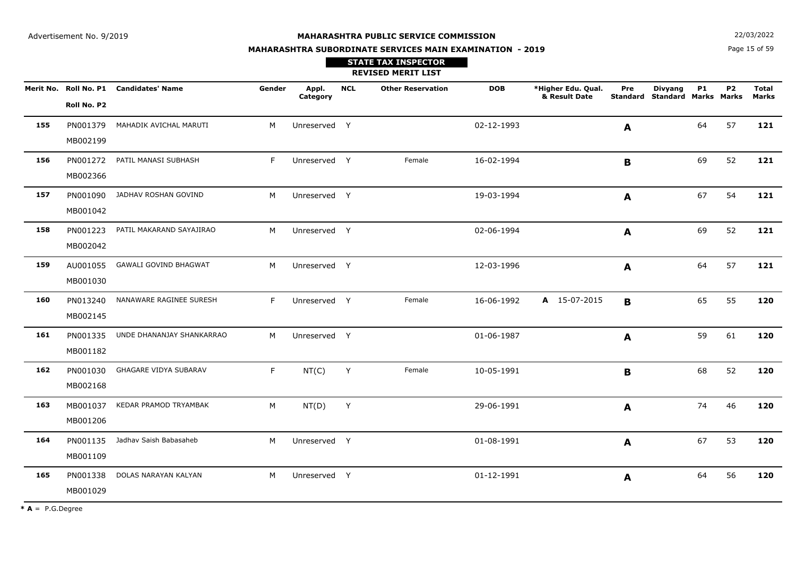**STATE TAX INSPECTOR**

**MAHARASHTRA SUBORDINATE SERVICES MAIN EXAMINATION - 2019**

**N**  $22/03/2022$ 

Page 15 of 59

|     |                      |                                        |        |                   |            | <b>REVISED MERIT LIST</b> |            |                                     |     |                                                 |           |                |                       |
|-----|----------------------|----------------------------------------|--------|-------------------|------------|---------------------------|------------|-------------------------------------|-----|-------------------------------------------------|-----------|----------------|-----------------------|
|     | Roll No. P2          | Merit No. Roll No. P1 Candidates' Name | Gender | Appl.<br>Category | <b>NCL</b> | <b>Other Reservation</b>  | <b>DOB</b> | *Higher Edu. Qual.<br>& Result Date | Pre | <b>Divyang</b><br>Standard Standard Marks Marks | <b>P1</b> | P <sub>2</sub> | <b>Total</b><br>Marks |
| 155 | PN001379<br>MB002199 | MAHADIK AVICHAL MARUTI                 | M      | Unreserved Y      |            |                           | 02-12-1993 |                                     | A   |                                                 | 64        | 57             | 121                   |
| 156 | PN001272<br>MB002366 | PATIL MANASI SUBHASH                   | F      | Unreserved Y      |            | Female                    | 16-02-1994 |                                     | B   |                                                 | 69        | 52             | 121                   |
| 157 | PN001090<br>MB001042 | JADHAV ROSHAN GOVIND                   | M      | Unreserved Y      |            |                           | 19-03-1994 |                                     | A   |                                                 | 67        | 54             | 121                   |
| 158 | PN001223<br>MB002042 | PATIL MAKARAND SAYAJIRAO               | M      | Unreserved Y      |            |                           | 02-06-1994 |                                     | A   |                                                 | 69        | 52             | 121                   |
| 159 | AU001055<br>MB001030 | <b>GAWALI GOVIND BHAGWAT</b>           | M      | Unreserved Y      |            |                           | 12-03-1996 |                                     | A   |                                                 | 64        | 57             | 121                   |
| 160 | PN013240<br>MB002145 | NANAWARE RAGINEE SURESH                | F.     | Unreserved Y      |            | Female                    | 16-06-1992 | A 15-07-2015                        | B   |                                                 | 65        | 55             | 120                   |
| 161 | PN001335<br>MB001182 | UNDE DHANANJAY SHANKARRAO              | M      | Unreserved Y      |            |                           | 01-06-1987 |                                     | A   |                                                 | 59        | 61             | 120                   |
| 162 | PN001030<br>MB002168 | GHAGARE VIDYA SUBARAV                  | F.     | NT(C)             | Y          | Female                    | 10-05-1991 |                                     | B   |                                                 | 68        | 52             | 120                   |
| 163 | MB001037<br>MB001206 | KEDAR PRAMOD TRYAMBAK                  | M      | NT(D)             | Y          |                           | 29-06-1991 |                                     | A   |                                                 | 74        | 46             | 120                   |
| 164 | PN001135<br>MB001109 | Jadhav Saish Babasaheb                 | M      | Unreserved Y      |            |                           | 01-08-1991 |                                     | A   |                                                 | 67        | 53             | 120                   |
| 165 | PN001338<br>MB001029 | DOLAS NARAYAN KALYAN                   | M      | Unreserved Y      |            |                           | 01-12-1991 |                                     | A   |                                                 | 64        | 56             | 120                   |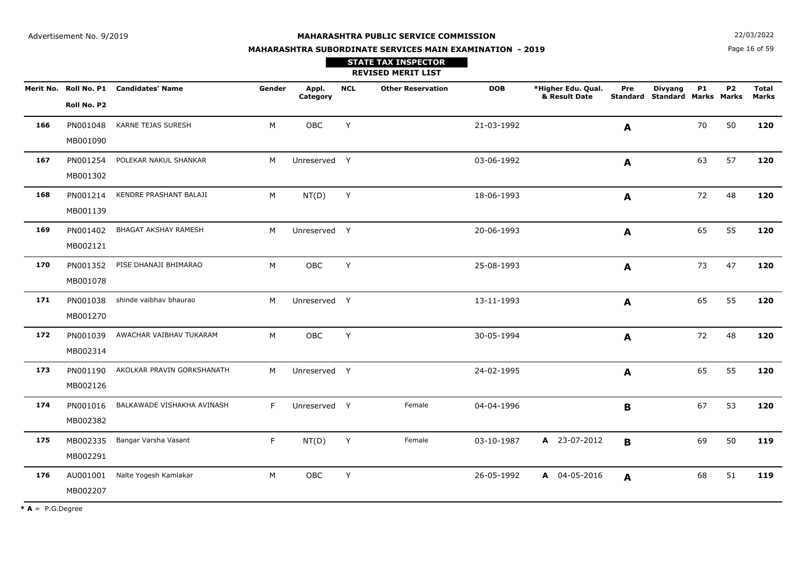**N**  $22/03/2022$ 

# **MAHARASHTRA SUBORDINATE SERVICES MAIN EXAMINATION - 2019STATE TAX INSPECTOR**

Page 16 of 59

|     |                      |                                        |        |                   |            | <b>REVISED MERIT LIST</b> |            |                                     |                  |                                                 |           |                |                       |
|-----|----------------------|----------------------------------------|--------|-------------------|------------|---------------------------|------------|-------------------------------------|------------------|-------------------------------------------------|-----------|----------------|-----------------------|
|     | Roll No. P2          | Merit No. Roll No. P1 Candidates' Name | Gender | Appl.<br>Category | <b>NCL</b> | <b>Other Reservation</b>  | <b>DOB</b> | *Higher Edu. Qual.<br>& Result Date | Pre              | <b>Divyang</b><br>Standard Standard Marks Marks | <b>P1</b> | P <sub>2</sub> | <b>Total</b><br>Marks |
| 166 | PN001048<br>MB001090 | KARNE TEJAS SURESH                     | M      | <b>OBC</b>        | Y          |                           | 21-03-1992 |                                     | A                |                                                 | 70        | 50             | 120                   |
| 167 | PN001254<br>MB001302 | POLEKAR NAKUL SHANKAR                  | M      | Unreserved Y      |            |                           | 03-06-1992 |                                     | $\boldsymbol{A}$ |                                                 | 63        | 57             | 120                   |
| 168 | PN001214<br>MB001139 | KENDRE PRASHANT BALAJI                 | М      | NT(D)             | Y          |                           | 18-06-1993 |                                     | A                |                                                 | 72        | 48             | 120                   |
| 169 | PN001402<br>MB002121 | BHAGAT AKSHAY RAMESH                   | M      | Unreserved Y      |            |                           | 20-06-1993 |                                     | A                |                                                 | 65        | 55             | 120                   |
| 170 | PN001352<br>MB001078 | PISE DHANAJI BHIMARAO                  | M      | OBC               | Y          |                           | 25-08-1993 |                                     | A                |                                                 | 73        | 47             | 120                   |
| 171 | PN001038<br>MB001270 | shinde vaibhav bhaurao                 | M      | Unreserved Y      |            |                           | 13-11-1993 |                                     | A                |                                                 | 65        | 55             | 120                   |
| 172 | PN001039<br>MB002314 | AWACHAR VAIBHAV TUKARAM                | M      | OBC               | Y          |                           | 30-05-1994 |                                     | A                |                                                 | 72        | 48             | 120                   |
| 173 | PN001190<br>MB002126 | AKOLKAR PRAVIN GORKSHANATH             | M      | Unreserved Y      |            |                           | 24-02-1995 |                                     | A                |                                                 | 65        | 55             | 120                   |
| 174 | PN001016<br>MB002382 | BALKAWADE VISHAKHA AVINASH             | F.     | Unreserved Y      |            | Female                    | 04-04-1996 |                                     | B                |                                                 | 67        | 53             | 120                   |
| 175 | MB002335<br>MB002291 | Bangar Varsha Vasant                   | F      | NT(D)             | Y          | Female                    | 03-10-1987 | A 23-07-2012                        | B                |                                                 | 69        | 50             | 119                   |
| 176 | AU001001<br>MB002207 | Nalte Yogesh Kamlakar                  | M      | <b>OBC</b>        | Y          |                           | 26-05-1992 | A 04-05-2016                        | A                |                                                 | 68        | 51             | 119                   |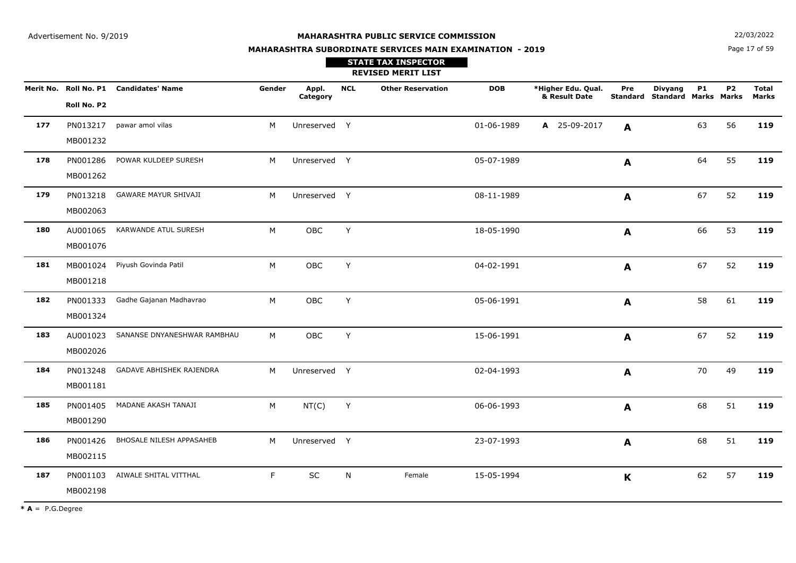**MAHARASHTRA SUBORDINATE SERVICES MAIN EXAMINATION - 2019**

**N**  $22/03/2022$ 

Page 17 of 59

|     |             |                                        |        |                   |            | <b>STATE TAX INSPECTOR</b><br><b>REVISED MERIT LIST</b> |            |                                     |              |                                                 |           |           |                              |
|-----|-------------|----------------------------------------|--------|-------------------|------------|---------------------------------------------------------|------------|-------------------------------------|--------------|-------------------------------------------------|-----------|-----------|------------------------------|
|     |             | Merit No. Roll No. P1 Candidates' Name | Gender | Appl.<br>Category | <b>NCL</b> | <b>Other Reservation</b>                                | <b>DOB</b> | *Higher Edu. Qual.<br>& Result Date | Pre          | <b>Divyang</b><br>Standard Standard Marks Marks | <b>P1</b> | <b>P2</b> | <b>Total</b><br><b>Marks</b> |
|     | Roll No. P2 |                                        |        |                   |            |                                                         |            |                                     |              |                                                 |           |           |                              |
| 177 | PN013217    | pawar amol vilas                       | M      | Unreserved Y      |            |                                                         | 01-06-1989 | A 25-09-2017                        | A            |                                                 | 63        | 56        | 119                          |
|     | MB001232    |                                        |        |                   |            |                                                         |            |                                     |              |                                                 |           |           |                              |
| 178 | PN001286    | POWAR KULDEEP SURESH                   | M      | Unreserved Y      |            |                                                         | 05-07-1989 |                                     | A            |                                                 | 64        | 55        | 119                          |
|     | MB001262    |                                        |        |                   |            |                                                         |            |                                     |              |                                                 |           |           |                              |
| 179 | PN013218    | <b>GAWARE MAYUR SHIVAJI</b>            | M      | Unreserved Y      |            |                                                         | 08-11-1989 |                                     | A            |                                                 | 67        | 52        | 119                          |
|     | MB002063    |                                        |        |                   |            |                                                         |            |                                     |              |                                                 |           |           |                              |
| 180 | AU001065    | KARWANDE ATUL SURESH                   | M      | OBC               | Y          |                                                         | 18-05-1990 |                                     | A            |                                                 | 66        | 53        | 119                          |
|     | MB001076    |                                        |        |                   |            |                                                         |            |                                     |              |                                                 |           |           |                              |
| 181 | MB001024    | Piyush Govinda Patil                   | M      | OBC               | Y          |                                                         | 04-02-1991 |                                     | $\mathbf{A}$ |                                                 | 67        | 52        | 119                          |
|     | MB001218    |                                        |        |                   |            |                                                         |            |                                     |              |                                                 |           |           |                              |
| 182 | PN001333    | Gadhe Gajanan Madhavrao                | M      | OBC               | Y          |                                                         | 05-06-1991 |                                     | $\mathbf{A}$ |                                                 | 58        | 61        | 119                          |
|     | MB001324    |                                        |        |                   |            |                                                         |            |                                     |              |                                                 |           |           |                              |
| 183 | AU001023    | SANANSE DNYANESHWAR RAMBHAU            | M      | OBC               | Y          |                                                         | 15-06-1991 |                                     | $\mathbf{A}$ |                                                 | 67        | 52        | 119                          |
|     | MB002026    |                                        |        |                   |            |                                                         |            |                                     |              |                                                 |           |           |                              |
| 184 | PN013248    | GADAVE ABHISHEK RAJENDRA               | M      | Unreserved Y      |            |                                                         | 02-04-1993 |                                     | A            |                                                 | 70        | 49        | 119                          |
|     | MB001181    |                                        |        |                   |            |                                                         |            |                                     |              |                                                 |           |           |                              |
| 185 | PN001405    | MADANE AKASH TANAJI                    | M      | NT(C)             | Y          |                                                         | 06-06-1993 |                                     | A            |                                                 | 68        | 51        | 119                          |
|     | MB001290    |                                        |        |                   |            |                                                         |            |                                     |              |                                                 |           |           |                              |
| 186 | PN001426    | BHOSALE NILESH APPASAHEB               | M      | Unreserved Y      |            |                                                         | 23-07-1993 |                                     | A            |                                                 | 68        | 51        | 119                          |
|     | MB002115    |                                        |        |                   |            |                                                         |            |                                     |              |                                                 |           |           |                              |
| 187 | PN001103    | AIWALE SHITAL VITTHAL                  | F      | SC                | N          | Female                                                  | 15-05-1994 |                                     | $\mathbf K$  |                                                 | 62        | 57        | 119                          |
|     | MB002198    |                                        |        |                   |            |                                                         |            |                                     |              |                                                 |           |           |                              |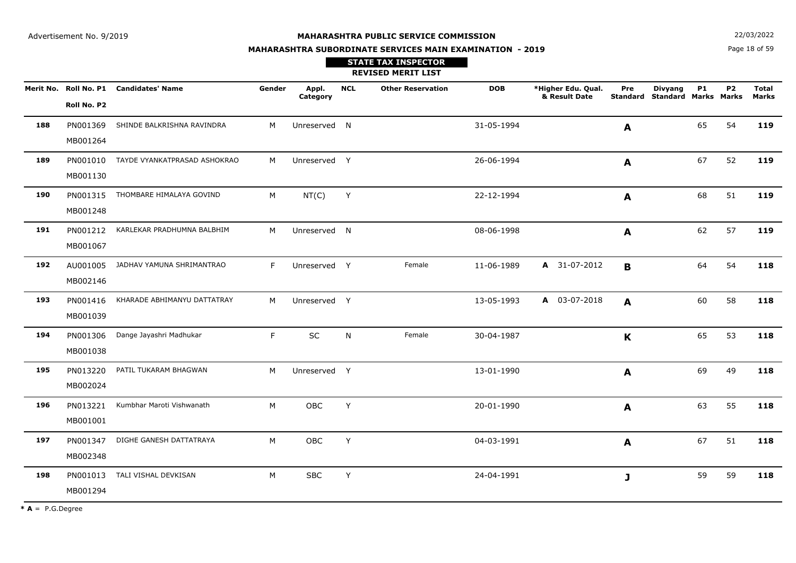**STATE TAX INSPECTOR**

**MAHARASHTRA SUBORDINATE SERVICES MAIN EXAMINATION - 2019**

**N**  $22/03/2022$ 

Page 18 of 59

|     |                      |                                        |        |                   |            | <b>REVISED MERIT LIST</b> |            |                                     |              |                                                        |           |                |                              |
|-----|----------------------|----------------------------------------|--------|-------------------|------------|---------------------------|------------|-------------------------------------|--------------|--------------------------------------------------------|-----------|----------------|------------------------------|
|     | Roll No. P2          | Merit No. Roll No. P1 Candidates' Name | Gender | Appl.<br>Category | <b>NCL</b> | <b>Other Reservation</b>  | <b>DOB</b> | *Higher Edu. Qual.<br>& Result Date | Pre          | <b>Divyang</b><br><b>Standard Standard Marks Marks</b> | <b>P1</b> | P <sub>2</sub> | <b>Total</b><br><b>Marks</b> |
| 188 | PN001369<br>MB001264 | SHINDE BALKRISHNA RAVINDRA             | M      | Unreserved N      |            |                           | 31-05-1994 |                                     | A            |                                                        | 65        | 54             | 119                          |
| 189 | PN001010<br>MB001130 | TAYDE VYANKATPRASAD ASHOKRAO           | M      | Unreserved Y      |            |                           | 26-06-1994 |                                     | A            |                                                        | 67        | 52             | 119                          |
| 190 | PN001315<br>MB001248 | THOMBARE HIMALAYA GOVIND               | M      | NT(C)             | Y          |                           | 22-12-1994 |                                     | A            |                                                        | 68        | 51             | 119                          |
| 191 | PN001212<br>MB001067 | KARLEKAR PRADHUMNA BALBHIM             | M      | Unreserved N      |            |                           | 08-06-1998 |                                     | A            |                                                        | 62        | 57             | 119                          |
| 192 | AU001005<br>MB002146 | JADHAV YAMUNA SHRIMANTRAO              | F      | Unreserved Y      |            | Female                    | 11-06-1989 | A 31-07-2012                        | B            |                                                        | 64        | 54             | 118                          |
| 193 | PN001416<br>MB001039 | KHARADE ABHIMANYU DATTATRAY            | M      | Unreserved Y      |            |                           | 13-05-1993 | A 03-07-2018                        | A            |                                                        | 60        | 58             | 118                          |
| 194 | PN001306<br>MB001038 | Dange Jayashri Madhukar                | F      | SC                | N.         | Female                    | 30-04-1987 |                                     | K            |                                                        | 65        | 53             | 118                          |
| 195 | PN013220<br>MB002024 | PATIL TUKARAM BHAGWAN                  | M      | Unreserved Y      |            |                           | 13-01-1990 |                                     | A            |                                                        | 69        | 49             | 118                          |
| 196 | PN013221<br>MB001001 | Kumbhar Maroti Vishwanath              | M      | OBC               | Y          |                           | 20-01-1990 |                                     | A            |                                                        | 63        | 55             | 118                          |
| 197 | PN001347<br>MB002348 | DIGHE GANESH DATTATRAYA                | M      | <b>OBC</b>        | Y          |                           | 04-03-1991 |                                     | A            |                                                        | 67        | 51             | 118                          |
| 198 | PN001013<br>MB001294 | TALI VISHAL DEVKISAN                   | M      | <b>SBC</b>        | Y          |                           | 24-04-1991 |                                     | $\mathbf{J}$ |                                                        | 59        | 59             | 118                          |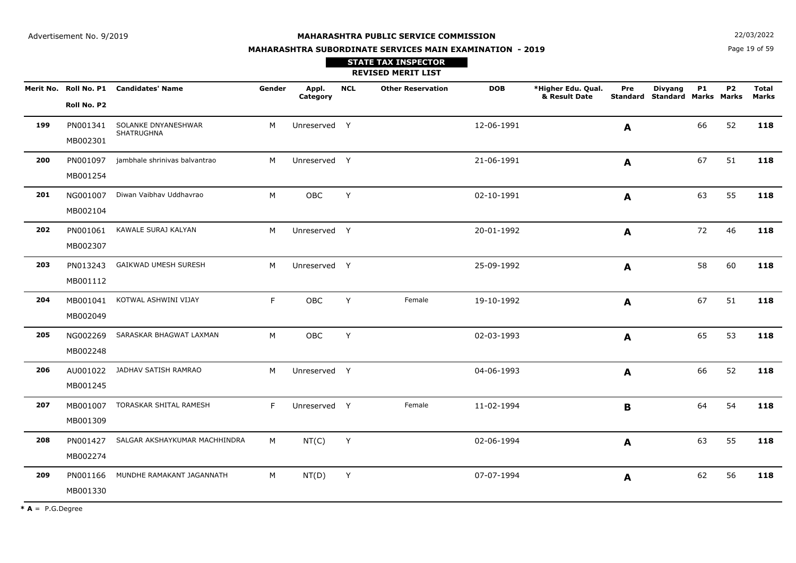**N**  $22/03/2022$ 

# **MAHARASHTRA SUBORDINATE SERVICES MAIN EXAMINATION - 2019**

Page 19 of 59

|     |                      |                                            |        |                   |            | <b>STATE TAX INSPECTOR</b><br><b>REVISED MERIT LIST</b> |            |                                     |              |                                                        |           |           |                       |
|-----|----------------------|--------------------------------------------|--------|-------------------|------------|---------------------------------------------------------|------------|-------------------------------------|--------------|--------------------------------------------------------|-----------|-----------|-----------------------|
|     | Roll No. P2          | Merit No. Roll No. P1 Candidates' Name     | Gender | Appl.<br>Category | <b>NCL</b> | <b>Other Reservation</b>                                | <b>DOB</b> | *Higher Edu. Qual.<br>& Result Date | Pre          | <b>Divyang</b><br><b>Standard Standard Marks Marks</b> | <b>P1</b> | <b>P2</b> | <b>Total</b><br>Marks |
| 199 | MB002301             | PN001341 SOLANKE DNYANESHWAR<br>SHATRUGHNA | M      | Unreserved Y      |            |                                                         | 12-06-1991 |                                     | A            |                                                        | 66        | 52        | 118                   |
| 200 | MB001254             | PN001097 jambhale shrinivas balvantrao     | M      | Unreserved Y      |            |                                                         | 21-06-1991 |                                     | A            |                                                        | 67        | 51        | 118                   |
| 201 | MB002104             | NG001007 Diwan Vaibhav Uddhavrao           | M      | OBC               | Y          |                                                         | 02-10-1991 |                                     | A            |                                                        | 63        | 55        | 118                   |
| 202 | MB002307             | PN001061 KAWALE SURAJ KALYAN               | M      | Unreserved Y      |            |                                                         | 20-01-1992 |                                     | A            |                                                        | 72        | 46        | 118                   |
| 203 | MB001112             | PN013243 GAIKWAD UMESH SURESH              | M      | Unreserved Y      |            |                                                         | 25-09-1992 |                                     | A            |                                                        | 58        | 60        | 118                   |
| 204 | MB002049             | MB001041 KOTWAL ASHWINI VIJAY              | F      | <b>OBC</b>        | Y          | Female                                                  | 19-10-1992 |                                     | A            |                                                        | 67        | 51        | 118                   |
| 205 | MB002248             | NG002269 SARASKAR BHAGWAT LAXMAN           | M      | OBC               | Y          |                                                         | 02-03-1993 |                                     | $\mathbf{A}$ |                                                        | 65        | 53        | 118                   |
| 206 | MB001245             | AU001022 JADHAV SATISH RAMRAO              | M      | Unreserved Y      |            |                                                         | 04-06-1993 |                                     | A            |                                                        | 66        | 52        | 118                   |
| 207 | MB001007<br>MB001309 | TORASKAR SHITAL RAMESH                     | F      | Unreserved Y      |            | Female                                                  | 11-02-1994 |                                     | B            |                                                        | 64        | 54        | 118                   |
| 208 | MB002274             | PN001427 SALGAR AKSHAYKUMAR MACHHINDRA     | M      | NT(C)             | Y          |                                                         | 02-06-1994 |                                     | A            |                                                        | 63        | 55        | 118                   |
| 209 | MB001330             | PN001166 MUNDHE RAMAKANT JAGANNATH         | M      | NT(D)             | Y          |                                                         | 07-07-1994 |                                     | A            |                                                        | 62        | 56        | 118                   |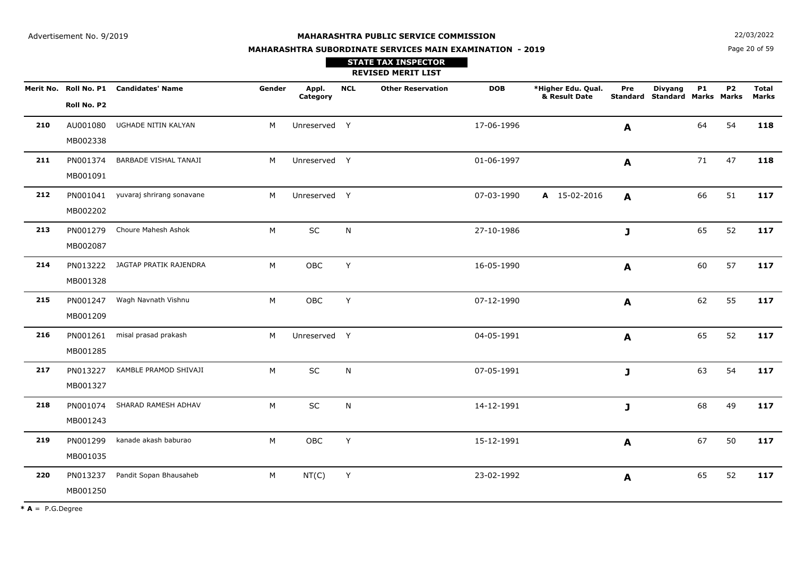**N**  $22/03/2022$ 

# **MAHARASHTRA SUBORDINATE SERVICES MAIN EXAMINATION - 2019STATE TAX INSPECTOR**

Page 20 of 59

|     |                      |                                        |        |                   |            | <b>REVISED MERIT LIST</b> |            |                                     |              |                                                 |           |                |                              |
|-----|----------------------|----------------------------------------|--------|-------------------|------------|---------------------------|------------|-------------------------------------|--------------|-------------------------------------------------|-----------|----------------|------------------------------|
|     | Roll No. P2          | Merit No. Roll No. P1 Candidates' Name | Gender | Appl.<br>Category | <b>NCL</b> | <b>Other Reservation</b>  | <b>DOB</b> | *Higher Edu. Qual.<br>& Result Date | Pre          | <b>Divyang</b><br>Standard Standard Marks Marks | <b>P1</b> | P <sub>2</sub> | <b>Total</b><br><b>Marks</b> |
| 210 | AU001080<br>MB002338 | UGHADE NITIN KALYAN                    | M      | Unreserved Y      |            |                           | 17-06-1996 |                                     | A            |                                                 | 64        | 54             | 118                          |
| 211 | PN001374<br>MB001091 | BARBADE VISHAL TANAJI                  | M      | Unreserved Y      |            |                           | 01-06-1997 |                                     | A            |                                                 | 71        | 47             | 118                          |
| 212 | MB002202             | PN001041 yuvaraj shrirang sonavane     | M      | Unreserved Y      |            |                           | 07-03-1990 | A 15-02-2016                        | A            |                                                 | 66        | 51             | 117                          |
| 213 | PN001279<br>MB002087 | Choure Mahesh Ashok                    | M      | SC                | N          |                           | 27-10-1986 |                                     | $\mathbf{J}$ |                                                 | 65        | 52             | 117                          |
| 214 | PN013222<br>MB001328 | JAGTAP PRATIK RAJENDRA                 | M      | OBC               | Y          |                           | 16-05-1990 |                                     | $\mathbf{A}$ |                                                 | 60        | 57             | 117                          |
| 215 | PN001247<br>MB001209 | Wagh Navnath Vishnu                    | M      | OBC               | Y          |                           | 07-12-1990 |                                     | $\mathbf{A}$ |                                                 | 62        | 55             | 117                          |
| 216 | PN001261<br>MB001285 | misal prasad prakash                   | M      | Unreserved Y      |            |                           | 04-05-1991 |                                     | A            |                                                 | 65        | 52             | 117                          |
| 217 | PN013227<br>MB001327 | KAMBLE PRAMOD SHIVAJI                  | M      | SC                | N          |                           | 07-05-1991 |                                     | $\mathbf{J}$ |                                                 | 63        | 54             | 117                          |
| 218 | PN001074<br>MB001243 | SHARAD RAMESH ADHAV                    | M      | SC                | N          |                           | 14-12-1991 |                                     | J            |                                                 | 68        | 49             | 117                          |
| 219 | PN001299<br>MB001035 | kanade akash baburao                   | M      | OBC               | Y          |                           | 15-12-1991 |                                     | A            |                                                 | 67        | 50             | 117                          |
| 220 | PN013237<br>MB001250 | Pandit Sopan Bhausaheb                 | M      | NT(C)             | Υ          |                           | 23-02-1992 |                                     | A            |                                                 | 65        | 52             | 117                          |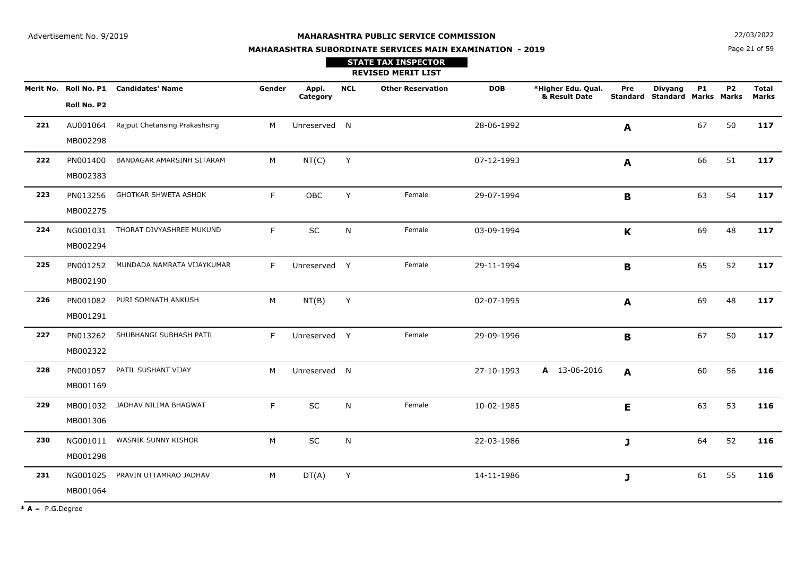**STATE TAX INSPECTOR**

**MAHARASHTRA SUBORDINATE SERVICES MAIN EXAMINATION - 2019**

**N**  $22/03/2022$ 

Page 21 of 59

|     |                      |                                        |        |                   |            | <b>REVISED MERIT LIST</b> |            |                                     |             |                                                        |           |           |                              |
|-----|----------------------|----------------------------------------|--------|-------------------|------------|---------------------------|------------|-------------------------------------|-------------|--------------------------------------------------------|-----------|-----------|------------------------------|
|     | Roll No. P2          | Merit No. Roll No. P1 Candidates' Name | Gender | Appl.<br>Category | <b>NCL</b> | <b>Other Reservation</b>  | <b>DOB</b> | *Higher Edu. Qual.<br>& Result Date | Pre         | <b>Divyang</b><br><b>Standard Standard Marks Marks</b> | <b>P1</b> | <b>P2</b> | <b>Total</b><br><b>Marks</b> |
| 221 | AU001064<br>MB002298 | Rajput Chetansing Prakashsing          | M      | Unreserved N      |            |                           | 28-06-1992 |                                     | A           |                                                        | 67        | 50        | 117                          |
| 222 | PN001400<br>MB002383 | BANDAGAR AMARSINH SITARAM              | M      | NT(C)             | Y          |                           | 07-12-1993 |                                     | A           |                                                        | 66        | 51        | 117                          |
| 223 | PN013256<br>MB002275 | <b>GHOTKAR SHWETA ASHOK</b>            | F.     | OBC               | Y          | Female                    | 29-07-1994 |                                     | B           |                                                        | 63        | 54        | 117                          |
| 224 | NG001031<br>MB002294 | THORAT DIVYASHREE MUKUND               | F.     | SC                | N          | Female                    | 03-09-1994 |                                     | K           |                                                        | 69        | 48        | 117                          |
| 225 | PN001252<br>MB002190 | MUNDADA NAMRATA VIJAYKUMAR             | F.     | Unreserved Y      |            | Female                    | 29-11-1994 |                                     | $\mathbf B$ |                                                        | 65        | 52        | 117                          |
| 226 | PN001082<br>MB001291 | PURI SOMNATH ANKUSH                    | M      | NT(B)             | Y          |                           | 02-07-1995 |                                     | A           |                                                        | 69        | 48        | 117                          |
| 227 | PN013262<br>MB002322 | SHUBHANGI SUBHASH PATIL                | F.     | Unreserved Y      |            | Female                    | 29-09-1996 |                                     | B           |                                                        | 67        | 50        | 117                          |
| 228 | PN001057<br>MB001169 | PATIL SUSHANT VIJAY                    | M      | Unreserved N      |            |                           | 27-10-1993 | A 13-06-2016                        | A           |                                                        | 60        | 56        | 116                          |
| 229 | MB001032<br>MB001306 | JADHAV NILIMA BHAGWAT                  | F.     | SC                | ${\sf N}$  | Female                    | 10-02-1985 |                                     | E           |                                                        | 63        | 53        | 116                          |
| 230 | NG001011<br>MB001298 | WASNIK SUNNY KISHOR                    | M      | SC                | N          |                           | 22-03-1986 |                                     | J           |                                                        | 64        | 52        | 116                          |
| 231 | NG001025<br>MB001064 | PRAVIN UTTAMRAO JADHAV                 | M      | DT(A)             | Y          |                           | 14-11-1986 |                                     | J           |                                                        | 61        | 55        | 116                          |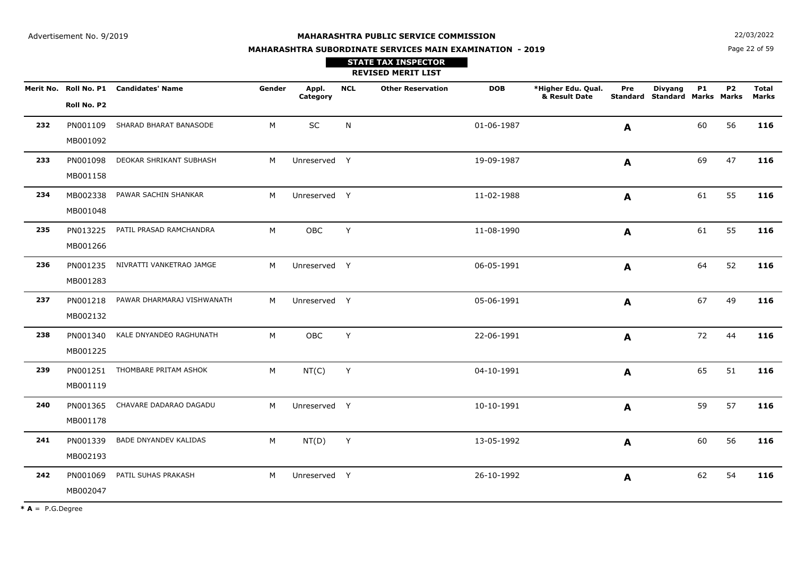**N**  $22/03/2022$ 

# **MAHARASHTRA SUBORDINATE SERVICES MAIN EXAMINATION - 2019STATE TAX INSPECTOR**

Page 22 of 59

|     |                      |                                        |        |                   |            | <b>REVISED MERIT LIST</b> |            |                                     |              |                                                 |           |                |                       |
|-----|----------------------|----------------------------------------|--------|-------------------|------------|---------------------------|------------|-------------------------------------|--------------|-------------------------------------------------|-----------|----------------|-----------------------|
|     | Roll No. P2          | Merit No. Roll No. P1 Candidates' Name | Gender | Appl.<br>Category | <b>NCL</b> | <b>Other Reservation</b>  | <b>DOB</b> | *Higher Edu. Qual.<br>& Result Date | Pre          | <b>Divyang</b><br>Standard Standard Marks Marks | <b>P1</b> | P <sub>2</sub> | <b>Total</b><br>Marks |
| 232 | PN001109<br>MB001092 | SHARAD BHARAT BANASODE                 | M      | SC                | N          |                           | 01-06-1987 |                                     | A            |                                                 | 60        | 56             | 116                   |
| 233 | PN001098<br>MB001158 | DEOKAR SHRIKANT SUBHASH                | M      | Unreserved Y      |            |                           | 19-09-1987 |                                     | A            |                                                 | 69        | 47             | 116                   |
| 234 | MB002338<br>MB001048 | PAWAR SACHIN SHANKAR                   | M      | Unreserved Y      |            |                           | 11-02-1988 |                                     | A            |                                                 | 61        | 55             | 116                   |
| 235 | PN013225<br>MB001266 | PATIL PRASAD RAMCHANDRA                | M      | OBC               | Y          |                           | 11-08-1990 |                                     | A            |                                                 | 61        | 55             | 116                   |
| 236 | PN001235<br>MB001283 | NIVRATTI VANKETRAO JAMGE               | M      | Unreserved Y      |            |                           | 06-05-1991 |                                     | A            |                                                 | 64        | 52             | 116                   |
| 237 | PN001218<br>MB002132 | PAWAR DHARMARAJ VISHWANATH             | M      | Unreserved Y      |            |                           | 05-06-1991 |                                     | A            |                                                 | 67        | 49             | 116                   |
| 238 | PN001340<br>MB001225 | KALE DNYANDEO RAGHUNATH                | M      | OBC               | Y          |                           | 22-06-1991 |                                     | A            |                                                 | 72        | 44             | 116                   |
| 239 | PN001251<br>MB001119 | THOMBARE PRITAM ASHOK                  | M      | NT(C)             | Y          |                           | 04-10-1991 |                                     | A            |                                                 | 65        | 51             | 116                   |
| 240 | PN001365<br>MB001178 | CHAVARE DADARAO DAGADU                 | M      | Unreserved Y      |            |                           | 10-10-1991 |                                     | A            |                                                 | 59        | 57             | 116                   |
| 241 | PN001339<br>MB002193 | <b>BADE DNYANDEV KALIDAS</b>           | M      | NT(D)             | Y          |                           | 13-05-1992 |                                     | A            |                                                 | 60        | 56             | 116                   |
| 242 | PN001069<br>MB002047 | PATIL SUHAS PRAKASH                    | M      | Unreserved Y      |            |                           | 26-10-1992 |                                     | $\mathbf{A}$ |                                                 | 62        | 54             | 116                   |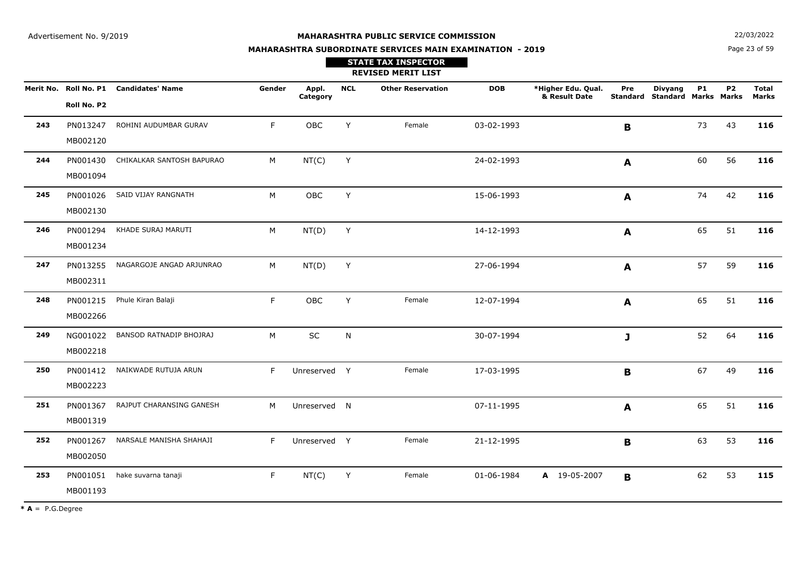**N**  $22/03/2022$ 

# **MAHARASHTRA SUBORDINATE SERVICES MAIN EXAMINATION - 2019STATE TAX INSPECTOR**

Page 23 of 59

|     |                      |                                        |        |                   |            | <b>REVISED MERIT LIST</b> |            |                                     |             |                                                 |           |                |                       |
|-----|----------------------|----------------------------------------|--------|-------------------|------------|---------------------------|------------|-------------------------------------|-------------|-------------------------------------------------|-----------|----------------|-----------------------|
|     | Roll No. P2          | Merit No. Roll No. P1 Candidates' Name | Gender | Appl.<br>Category | <b>NCL</b> | <b>Other Reservation</b>  | <b>DOB</b> | *Higher Edu. Qual.<br>& Result Date | Pre         | <b>Divyang</b><br>Standard Standard Marks Marks | <b>P1</b> | P <sub>2</sub> | <b>Total</b><br>Marks |
| 243 | PN013247<br>MB002120 | ROHINI AUDUMBAR GURAV                  | F.     | OBC               | Y          | Female                    | 03-02-1993 |                                     | $\mathbf B$ |                                                 | 73        | 43             | 116                   |
| 244 | PN001430<br>MB001094 | CHIKALKAR SANTOSH BAPURAO              | M      | NT(C)             | Y          |                           | 24-02-1993 |                                     | A           |                                                 | 60        | 56             | 116                   |
| 245 | PN001026<br>MB002130 | SAID VIJAY RANGNATH                    | M      | OBC               | Y          |                           | 15-06-1993 |                                     | A           |                                                 | 74        | 42             | 116                   |
| 246 | PN001294<br>MB001234 | KHADE SURAJ MARUTI                     | M      | NT(D)             | Y          |                           | 14-12-1993 |                                     | A           |                                                 | 65        | 51             | 116                   |
| 247 | PN013255<br>MB002311 | NAGARGOJE ANGAD ARJUNRAO               | M      | NT(D)             | Y          |                           | 27-06-1994 |                                     | A           |                                                 | 57        | 59             | 116                   |
| 248 | PN001215<br>MB002266 | Phule Kiran Balaji                     | F.     | <b>OBC</b>        | Y          | Female                    | 12-07-1994 |                                     | A           |                                                 | 65        | 51             | 116                   |
| 249 | NG001022<br>MB002218 | BANSOD RATNADIP BHOJRAJ                | M      | $\sf SC$          | N          |                           | 30-07-1994 |                                     | J           |                                                 | 52        | 64             | 116                   |
| 250 | PN001412<br>MB002223 | NAIKWADE RUTUJA ARUN                   | F      | Unreserved Y      |            | Female                    | 17-03-1995 |                                     | B           |                                                 | 67        | 49             | 116                   |
| 251 | PN001367<br>MB001319 | RAJPUT CHARANSING GANESH               | M      | Unreserved N      |            |                           | 07-11-1995 |                                     | A           |                                                 | 65        | 51             | 116                   |
| 252 | PN001267<br>MB002050 | NARSALE MANISHA SHAHAJI                | F      | Unreserved Y      |            | Female                    | 21-12-1995 |                                     | B           |                                                 | 63        | 53             | 116                   |
| 253 | PN001051<br>MB001193 | hake suvarna tanaji                    | F.     | NT(C)             | Y          | Female                    | 01-06-1984 | A 19-05-2007                        | B           |                                                 | 62        | 53             | 115                   |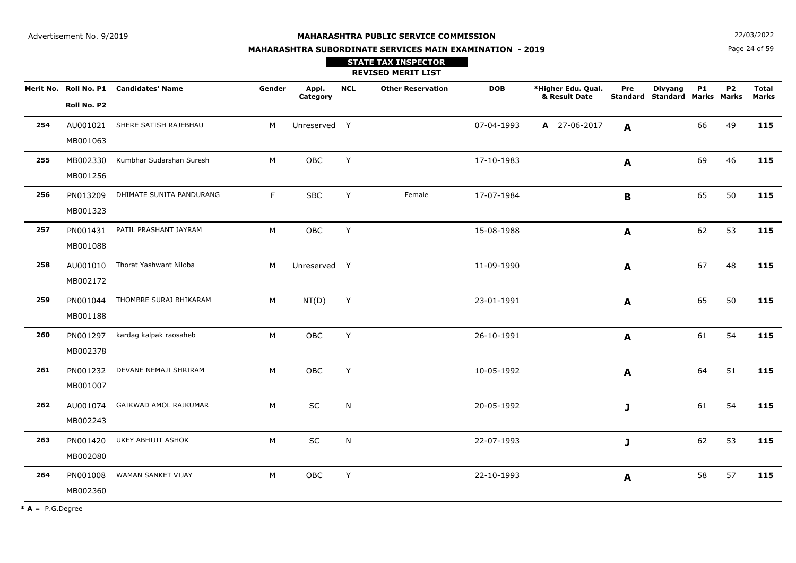**MAHARASHTRA SUBORDINATE SERVICES MAIN EXAMINATION - 2019**

**N**  $22/03/2022$ 

Page 24 of 59

|     |             |                                        |        |                   |            | <b>STATE TAX INSPECTOR</b><br><b>REVISED MERIT LIST</b> |            |                                     |     |                                                        |           |           |                              |
|-----|-------------|----------------------------------------|--------|-------------------|------------|---------------------------------------------------------|------------|-------------------------------------|-----|--------------------------------------------------------|-----------|-----------|------------------------------|
|     | Roll No. P2 | Merit No. Roll No. P1 Candidates' Name | Gender | Appl.<br>Category | <b>NCL</b> | <b>Other Reservation</b>                                | <b>DOB</b> | *Higher Edu. Qual.<br>& Result Date | Pre | <b>Divyang</b><br><b>Standard Standard Marks Marks</b> | <b>P1</b> | <b>P2</b> | <b>Total</b><br><b>Marks</b> |
| 254 |             | AU001021 SHERE SATISH RAJEBHAU         | M      | Unreserved Y      |            |                                                         | 07-04-1993 | A 27-06-2017                        |     |                                                        | 66        | 49        | 115                          |
|     | MB001063    |                                        |        |                   |            |                                                         |            |                                     | A   |                                                        |           |           |                              |
| 255 | MB002330    | Kumbhar Sudarshan Suresh               | M      | OBC               | Y          |                                                         | 17-10-1983 |                                     | A   |                                                        | 69        | 46        | 115                          |
|     | MB001256    |                                        |        |                   |            |                                                         |            |                                     |     |                                                        |           |           |                              |
| 256 | PN013209    | DHIMATE SUNITA PANDURANG               | F.     | <b>SBC</b>        | Y          | Female                                                  | 17-07-1984 |                                     | B   |                                                        | 65        | 50        | 115                          |
|     | MB001323    |                                        |        |                   |            |                                                         |            |                                     |     |                                                        |           |           |                              |
| 257 | PN001431    | PATIL PRASHANT JAYRAM                  | М      | OBC               | Y          |                                                         | 15-08-1988 |                                     | A   |                                                        | 62        | 53        | 115                          |
|     | MB001088    |                                        |        |                   |            |                                                         |            |                                     |     |                                                        |           |           |                              |
| 258 | AU001010    | Thorat Yashwant Niloba                 | M      | Unreserved Y      |            |                                                         | 11-09-1990 |                                     | A   |                                                        | 67        | 48        | 115                          |
|     | MB002172    |                                        |        |                   |            |                                                         |            |                                     |     |                                                        |           |           |                              |
| 259 |             | PN001044 THOMBRE SURAJ BHIKARAM        | M      | NT(D)             | Y          |                                                         | 23-01-1991 |                                     | A   |                                                        | 65        | 50        | 115                          |
|     | MB001188    |                                        |        |                   |            |                                                         |            |                                     |     |                                                        |           |           |                              |
| 260 | PN001297    | kardag kalpak raosaheb                 | М      | OBC               | Y          |                                                         | 26-10-1991 |                                     | A   |                                                        | 61        | 54        | 115                          |
|     | MB002378    |                                        |        |                   |            |                                                         |            |                                     |     |                                                        |           |           |                              |
| 261 | PN001232    | DEVANE NEMAJI SHRIRAM                  | М      | OBC               | Y          |                                                         | 10-05-1992 |                                     | A   |                                                        | 64        | 51        | 115                          |
|     | MB001007    |                                        |        |                   |            |                                                         |            |                                     |     |                                                        |           |           |                              |
| 262 | AU001074    | GAIKWAD AMOL RAJKUMAR                  | M      | SC                | N          |                                                         | 20-05-1992 |                                     | J   |                                                        | 61        | 54        | 115                          |
|     | MB002243    |                                        |        |                   |            |                                                         |            |                                     |     |                                                        |           |           |                              |
| 263 | PN001420    | UKEY ABHIJIT ASHOK                     | M      | SC                | N          |                                                         | 22-07-1993 |                                     | J   |                                                        | 62        | 53        | 115                          |
|     | MB002080    |                                        |        |                   |            |                                                         |            |                                     |     |                                                        |           |           |                              |
| 264 | PN001008    | WAMAN SANKET VIJAY                     | М      | OBC               | Y          |                                                         | 22-10-1993 |                                     | A   |                                                        | 58        | 57        | 115                          |
|     | MB002360    |                                        |        |                   |            |                                                         |            |                                     |     |                                                        |           |           |                              |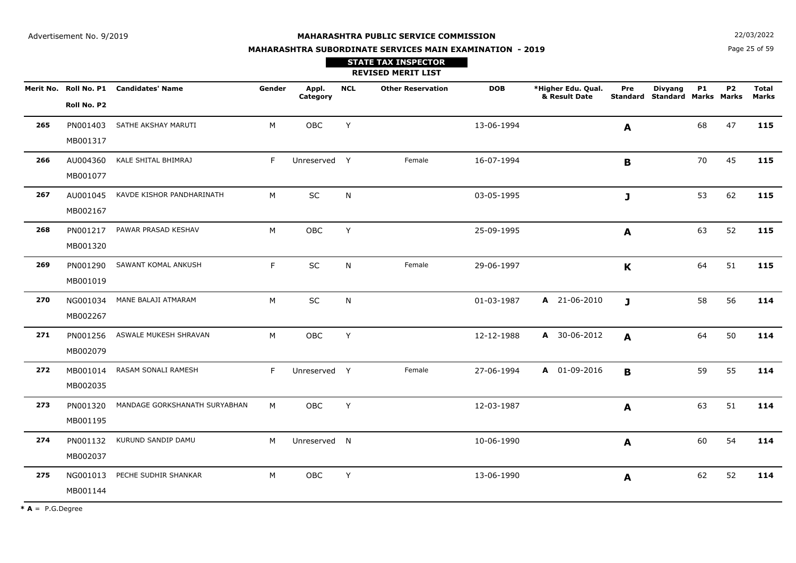**N**  $22/03/2022$ 

# **MAHARASHTRA SUBORDINATE SERVICES MAIN EXAMINATION - 2019STATE TAX INSPECTOR**

Page 25 of 59

|     |                      |                                        |        |                   |            | <b>REVISED MERIT LIST</b> |            |                                     |              |                                                 |    |                |                       |
|-----|----------------------|----------------------------------------|--------|-------------------|------------|---------------------------|------------|-------------------------------------|--------------|-------------------------------------------------|----|----------------|-----------------------|
|     | Roll No. P2          | Merit No. Roll No. P1 Candidates' Name | Gender | Appl.<br>Category | <b>NCL</b> | <b>Other Reservation</b>  | <b>DOB</b> | *Higher Edu. Qual.<br>& Result Date | Pre          | <b>Divyang</b><br>Standard Standard Marks Marks | P1 | P <sub>2</sub> | <b>Total</b><br>Marks |
| 265 | PN001403<br>MB001317 | SATHE AKSHAY MARUTI                    | M      | OBC               | Y          |                           | 13-06-1994 |                                     | A            |                                                 | 68 | 47             | 115                   |
| 266 | AU004360<br>MB001077 | KALE SHITAL BHIMRAJ                    | F.     | Unreserved Y      |            | Female                    | 16-07-1994 |                                     | B            |                                                 | 70 | 45             | 115                   |
| 267 | AU001045<br>MB002167 | KAVDE KISHOR PANDHARINATH              | M      | SC                | N          |                           | 03-05-1995 |                                     | $\mathbf{J}$ |                                                 | 53 | 62             | 115                   |
| 268 | PN001217<br>MB001320 | PAWAR PRASAD KESHAV                    | M      | OBC               | Y          |                           | 25-09-1995 |                                     | A            |                                                 | 63 | 52             | 115                   |
| 269 | PN001290<br>MB001019 | SAWANT KOMAL ANKUSH                    | F.     | $\sf SC$          | N          | Female                    | 29-06-1997 |                                     | $\mathbf K$  |                                                 | 64 | 51             | 115                   |
| 270 | NG001034<br>MB002267 | MANE BALAJI ATMARAM                    | M      | SC                | ${\sf N}$  |                           | 01-03-1987 | A 21-06-2010                        | $\mathbf{J}$ |                                                 | 58 | 56             | 114                   |
| 271 | PN001256<br>MB002079 | ASWALE MUKESH SHRAVAN                  | M      | OBC               | Y          |                           | 12-12-1988 | A 30-06-2012                        | A            |                                                 | 64 | 50             | 114                   |
| 272 | MB001014<br>MB002035 | RASAM SONALI RAMESH                    | F      | Unreserved Y      |            | Female                    | 27-06-1994 | A 01-09-2016                        | B            |                                                 | 59 | 55             | 114                   |
| 273 | PN001320<br>MB001195 | MANDAGE GORKSHANATH SURYABHAN          | M      | OBC               | Y          |                           | 12-03-1987 |                                     | A            |                                                 | 63 | 51             | 114                   |
| 274 | PN001132<br>MB002037 | KURUND SANDIP DAMU                     | M      | Unreserved N      |            |                           | 10-06-1990 |                                     | A            |                                                 | 60 | 54             | 114                   |
| 275 | NG001013<br>MB001144 | PECHE SUDHIR SHANKAR                   | M      | OBC               | Y          |                           | 13-06-1990 |                                     | A            |                                                 | 62 | 52             | 114                   |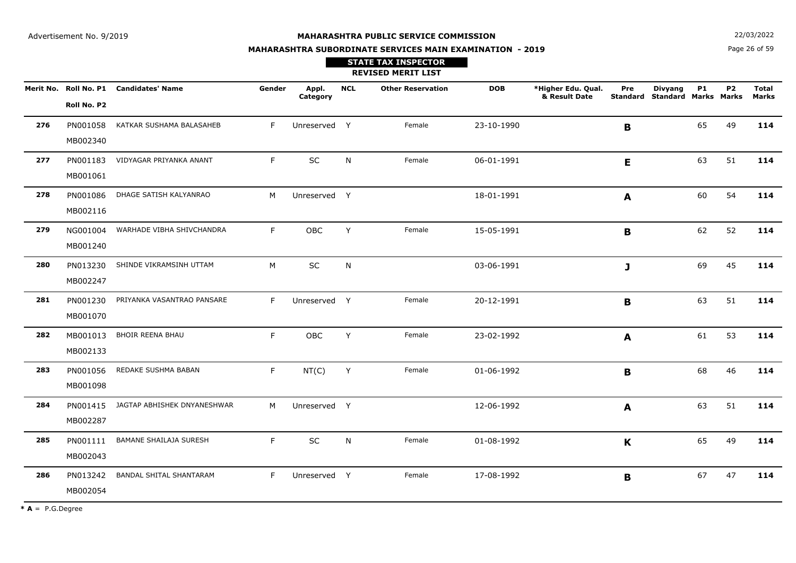**N**  $22/03/2022$ 

# **MAHARASHTRA SUBORDINATE SERVICES MAIN EXAMINATION - 2019STATE TAX INSPECTOR**

Page 26 of 59

|     |                      |                                        |        |                   |            | <b>REVISED MERIT LIST</b> |            |                                     |                 |                                               |           |    |                              |
|-----|----------------------|----------------------------------------|--------|-------------------|------------|---------------------------|------------|-------------------------------------|-----------------|-----------------------------------------------|-----------|----|------------------------------|
|     | Roll No. P2          | Merit No. Roll No. P1 Candidates' Name | Gender | Appl.<br>Category | <b>NCL</b> | <b>Other Reservation</b>  | <b>DOB</b> | *Higher Edu. Qual.<br>& Result Date | Pre<br>Standard | <b>Divyang</b><br><b>Standard Marks Marks</b> | <b>P1</b> | P2 | <b>Total</b><br><b>Marks</b> |
| 276 | PN001058<br>MB002340 | KATKAR SUSHAMA BALASAHEB               | F      | Unreserved Y      |            | Female                    | 23-10-1990 |                                     | B               |                                               | 65        | 49 | 114                          |
| 277 | PN001183<br>MB001061 | VIDYAGAR PRIYANKA ANANT                | F.     | SC                | N          | Female                    | 06-01-1991 |                                     | E               |                                               | 63        | 51 | 114                          |
| 278 | PN001086<br>MB002116 | DHAGE SATISH KALYANRAO                 | M      | Unreserved Y      |            |                           | 18-01-1991 |                                     | A               |                                               | 60        | 54 | 114                          |
| 279 | NG001004<br>MB001240 | WARHADE VIBHA SHIVCHANDRA              | F      | OBC               | Y          | Female                    | 15-05-1991 |                                     | B               |                                               | 62        | 52 | 114                          |
| 280 | PN013230<br>MB002247 | SHINDE VIKRAMSINH UTTAM                | M      | SC                | N          |                           | 03-06-1991 |                                     | J               |                                               | 69        | 45 | 114                          |
| 281 | PN001230<br>MB001070 | PRIYANKA VASANTRAO PANSARE             | F      | Unreserved Y      |            | Female                    | 20-12-1991 |                                     | $\mathbf B$     |                                               | 63        | 51 | 114                          |
| 282 | MB001013<br>MB002133 | <b>BHOIR REENA BHAU</b>                | F.     | OBC               | Y          | Female                    | 23-02-1992 |                                     | A               |                                               | 61        | 53 | 114                          |
| 283 | PN001056<br>MB001098 | REDAKE SUSHMA BABAN                    | F.     | NT(C)             | Y          | Female                    | 01-06-1992 |                                     | B               |                                               | 68        | 46 | 114                          |
| 284 | PN001415<br>MB002287 | JAGTAP ABHISHEK DNYANESHWAR            | M      | Unreserved Y      |            |                           | 12-06-1992 |                                     | A               |                                               | 63        | 51 | 114                          |
| 285 | PN001111<br>MB002043 | <b>BAMANE SHAILAJA SURESH</b>          | F.     | SC                | N          | Female                    | 01-08-1992 |                                     | $\mathbf K$     |                                               | 65        | 49 | 114                          |
| 286 | PN013242<br>MB002054 | BANDAL SHITAL SHANTARAM                | F.     | Unreserved Y      |            | Female                    | 17-08-1992 |                                     | $\mathbf B$     |                                               | 67        | 47 | 114                          |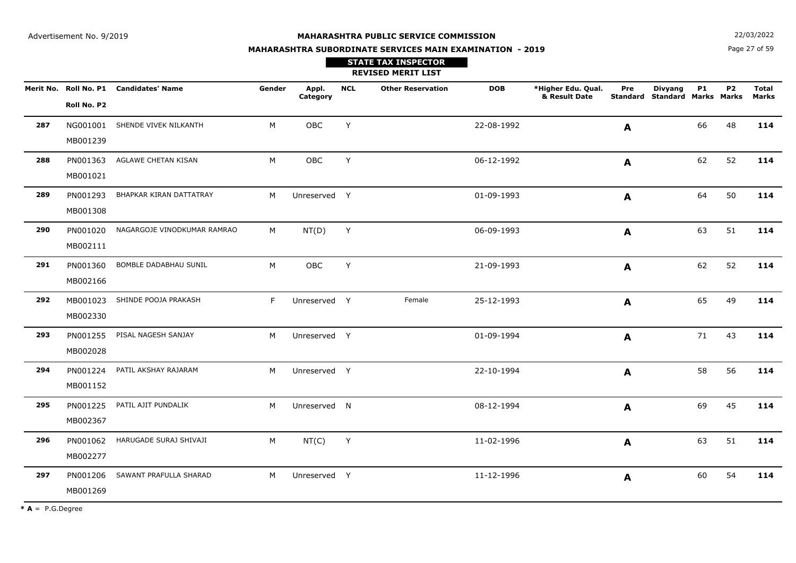**N**  $22/03/2022$ 

#### **MAHARASHTRA SUBORDINATE SERVICES MAIN EXAMINATION - 2019**

Page 27 of 59

|     |                      |                                        |        |                   |            | <b>STATE TAX INSPECTOR</b><br><b>REVISED MERIT LIST</b> |            |                                     |              |                                                        |           |           |                       |
|-----|----------------------|----------------------------------------|--------|-------------------|------------|---------------------------------------------------------|------------|-------------------------------------|--------------|--------------------------------------------------------|-----------|-----------|-----------------------|
|     | Roll No. P2          | Merit No. Roll No. P1 Candidates' Name | Gender | Appl.<br>Category | <b>NCL</b> | <b>Other Reservation</b>                                | <b>DOB</b> | *Higher Edu. Qual.<br>& Result Date | Pre          | <b>Divyang</b><br><b>Standard Standard Marks Marks</b> | <b>P1</b> | <b>P2</b> | <b>Total</b><br>Marks |
| 287 | MB001239             | NG001001 SHENDE VIVEK NILKANTH         | M      | OBC               | Y          |                                                         | 22-08-1992 |                                     | A            |                                                        | 66        | 48        | 114                   |
| 288 | PN001363<br>MB001021 | AGLAWE CHETAN KISAN                    | M      | OBC               | Y          |                                                         | 06-12-1992 |                                     | $\mathbf{A}$ |                                                        | 62        | 52        | 114                   |
| 289 | PN001293<br>MB001308 | BHAPKAR KIRAN DATTATRAY                | M      | Unreserved Y      |            |                                                         | 01-09-1993 |                                     | A            |                                                        | 64        | 50        | 114                   |
| 290 | PN001020<br>MB002111 | NAGARGOJE VINODKUMAR RAMRAO            | M      | NT(D)             | Y          |                                                         | 06-09-1993 |                                     | A            |                                                        | 63        | 51        | 114                   |
| 291 | PN001360<br>MB002166 | BOMBLE DADABHAU SUNIL                  | M      | OBC               | Y          |                                                         | 21-09-1993 |                                     | A            |                                                        | 62        | 52        | 114                   |
| 292 | MB001023<br>MB002330 | SHINDE POOJA PRAKASH                   | F      | Unreserved Y      |            | Female                                                  | 25-12-1993 |                                     | A            |                                                        | 65        | 49        | 114                   |
| 293 | PN001255<br>MB002028 | PISAL NAGESH SANJAY                    | M      | Unreserved Y      |            |                                                         | 01-09-1994 |                                     | A            |                                                        | 71        | 43        | 114                   |
| 294 | PN001224<br>MB001152 | PATIL AKSHAY RAJARAM                   | M      | Unreserved Y      |            |                                                         | 22-10-1994 |                                     | A            |                                                        | 58        | 56        | 114                   |
| 295 | PN001225<br>MB002367 | PATIL AJIT PUNDALIK                    | M      | Unreserved N      |            |                                                         | 08-12-1994 |                                     | A            |                                                        | 69        | 45        | 114                   |
| 296 | PN001062<br>MB002277 | HARUGADE SURAJ SHIVAJI                 | M      | NT(C)             | Y          |                                                         | 11-02-1996 |                                     | A            |                                                        | 63        | 51        | 114                   |
| 297 | MB001269             | PN001206 SAWANT PRAFULLA SHARAD        | M      | Unreserved Y      |            |                                                         | 11-12-1996 |                                     | $\mathbf{A}$ |                                                        | 60        | 54        | 114                   |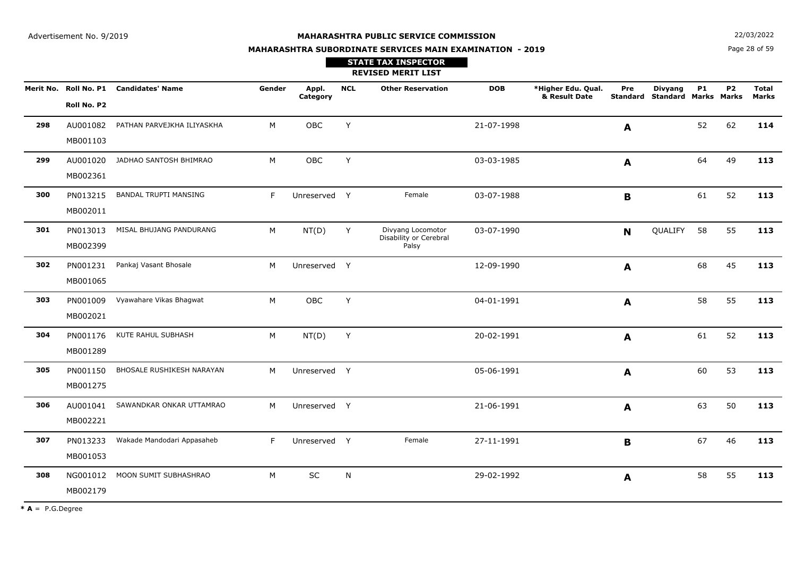**N**  $22/03/2022$ 

# **MAHARASHTRA SUBORDINATE SERVICES MAIN EXAMINATION - 2019**

Page 28 of 59

|     |                      |                                        |        |                   |            | <b>STATE TAX INSPECTOR</b><br><b>REVISED MERIT LIST</b> |            |                                     |              |                                                 |           |           |                              |
|-----|----------------------|----------------------------------------|--------|-------------------|------------|---------------------------------------------------------|------------|-------------------------------------|--------------|-------------------------------------------------|-----------|-----------|------------------------------|
|     | Roll No. P2          | Merit No. Roll No. P1 Candidates' Name | Gender | Appl.<br>Category | <b>NCL</b> | <b>Other Reservation</b>                                | <b>DOB</b> | *Higher Edu. Qual.<br>& Result Date | Pre          | <b>Divyang</b><br>Standard Standard Marks Marks | <b>P1</b> | <b>P2</b> | <b>Total</b><br><b>Marks</b> |
| 298 | MB001103             | AU001082 PATHAN PARVEJKHA ILIYASKHA    | M      | OBC               | Y          |                                                         | 21-07-1998 |                                     | A            |                                                 | 52        | 62        | 114                          |
| 299 | AU001020<br>MB002361 | JADHAO SANTOSH BHIMRAO                 | M      | OBC               | Y          |                                                         | 03-03-1985 |                                     | A            |                                                 | 64        | 49        | 113                          |
| 300 | PN013215<br>MB002011 | <b>BANDAL TRUPTI MANSING</b>           | F      | Unreserved Y      |            | Female                                                  | 03-07-1988 |                                     | B            |                                                 | 61        | 52        | 113                          |
| 301 | PN013013<br>MB002399 | MISAL BHUJANG PANDURANG                | M      | NT(D)             | Y          | Divyang Locomotor<br>Disability or Cerebral<br>Palsy    | 03-07-1990 |                                     | N            | QUALIFY                                         | 58        | 55        | 113                          |
| 302 | PN001231<br>MB001065 | Pankaj Vasant Bhosale                  | M      | Unreserved Y      |            |                                                         | 12-09-1990 |                                     | A            |                                                 | 68        | 45        | 113                          |
| 303 | PN001009<br>MB002021 | Vyawahare Vikas Bhagwat                | M      | OBC               | Y          |                                                         | 04-01-1991 |                                     | A            |                                                 | 58        | 55        | 113                          |
| 304 | PN001176<br>MB001289 | KUTE RAHUL SUBHASH                     | M      | NT(D)             | Y          |                                                         | 20-02-1991 |                                     | A            |                                                 | 61        | 52        | 113                          |
| 305 | PN001150<br>MB001275 | BHOSALE RUSHIKESH NARAYAN              | M      | Unreserved Y      |            |                                                         | 05-06-1991 |                                     | A            |                                                 | 60        | 53        | 113                          |
| 306 | AU001041<br>MB002221 | SAWANDKAR ONKAR UTTAMRAO               | M      | Unreserved Y      |            |                                                         | 21-06-1991 |                                     | A            |                                                 | 63        | 50        | 113                          |
| 307 | PN013233<br>MB001053 | Wakade Mandodari Appasaheb             | F.     | Unreserved Y      |            | Female                                                  | 27-11-1991 |                                     | B            |                                                 | 67        | 46        | 113                          |
| 308 | NG001012<br>MB002179 | MOON SUMIT SUBHASHRAO                  | M      | SC                | N          |                                                         | 29-02-1992 |                                     | $\mathbf{A}$ |                                                 | 58        | 55        | 113                          |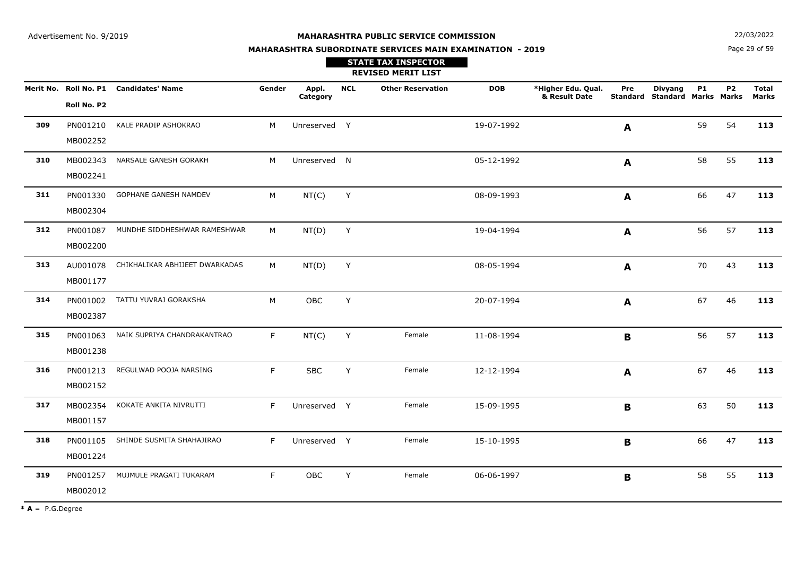**STATE TAX INSPECTOR**

**MAHARASHTRA SUBORDINATE SERVICES MAIN EXAMINATION - 2019**

**N**  $22/03/2022$ 

Page 29 of 59

#### **REVISED MERIT LIST Merit No. \*Higher Edu. Qual. Roll No. P1 Candidates' Name Gender Appl. DOB& Result Date CategoryNCL Other Reservation Total Standard Marks Marks StandardMarksPreP1P2Roll No. P2Divyang309** PN001210KALE PRADIP ASHOKRAO M M Unreserved Y 19-07-1992 **A** 59 54 **113** MB002252**A310** MB002343NARSALE GANESH GORAKH M M Unreserved N 05-12-1992 **A** 58 55 **113** MB002241**A311** PN001330GOPHANE GANESH NAMDEV M M NT(C) Y 08-09-1993 **A** 66 47 **113** MB002304**A312** PN001087MUNDHE SIDDHESHWAR RAMESHWAR M NT(D) <sup>Y</sup> 19-04-1994 <sup>56</sup> <sup>57</sup> **<sup>113</sup>** MB002200**A313** AU001078CHIKHALIKAR ABHIJEET DWARKADAS M M NT(D) Y 08-05-1994 **A** 70 43 **113** MB001177**A314** PN001002TATTU YUVRAJ GORAKSHA M M OBC Y 20-07-1994 **A** 67 46 **113** MB002387**A315** PN0010633 NAIK SUPRIYA CHANDRAKANTRAO F NT(C) Y Female 11-08-1994 **B** B 56 57 **113** MB001238**B316** PN001213REGULWAD POOJA NARSING<br>
F
SBC C Y Female 12-12-1994 **A** 67 46 **113** MB002152**A317** MB002354 KOKATE ANKITA NIVRUTTI <sup>F</sup> Unreserved <sup>Y</sup> Female 15-09-1995 <sup>63</sup> <sup>50</sup> **<sup>113</sup>** MB001157**B318**PN001105 SHINDE SUSMITA SHAHAJIRAO 5 SHINDE SUSMITA SHAHAJIRAO F Unreserved Y Female 15-10-1995 **B** B 66 47 **113** MB001224**B3199** PN001257 MUJMULE PRAGATI TUKARAM F OBC C Y Female 06-06-1997 **B** 58 55 **113** MB002012**B**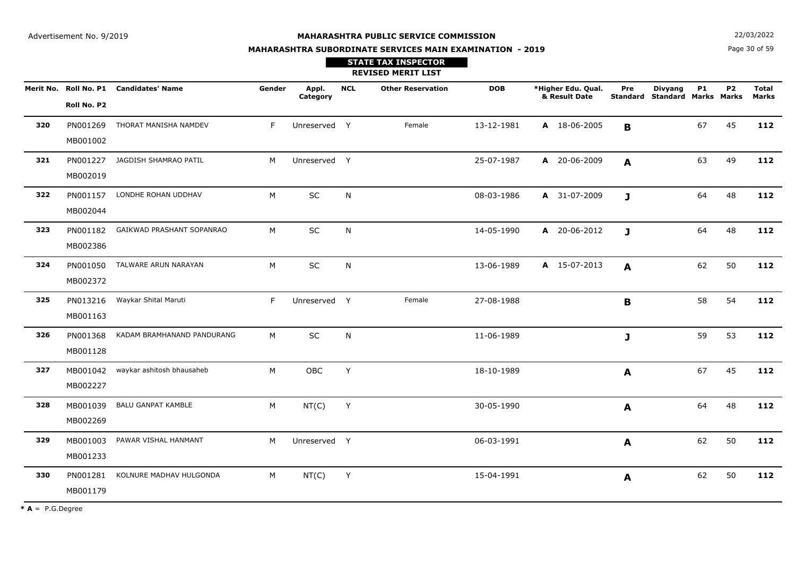**MAHARASHTRA SUBORDINATE SERVICES MAIN EXAMINATION - 2019**

**N**  $22/03/2022$ 

Page 30 of 59

|     |                      |                                        |        |                   |              | <b>STATE TAX INSPECTOR</b><br><b>REVISED MERIT LIST</b> |            |                                     |              |                                                 |           |           |                       |
|-----|----------------------|----------------------------------------|--------|-------------------|--------------|---------------------------------------------------------|------------|-------------------------------------|--------------|-------------------------------------------------|-----------|-----------|-----------------------|
|     | Roll No. P2          | Merit No. Roll No. P1 Candidates' Name | Gender | Appl.<br>Category | <b>NCL</b>   | <b>Other Reservation</b>                                | <b>DOB</b> | *Higher Edu. Qual.<br>& Result Date | Pre          | <b>Divyang</b><br>Standard Standard Marks Marks | <b>P1</b> | <b>P2</b> | <b>Total</b><br>Marks |
| 320 | PN001269<br>MB001002 | THORAT MANISHA NAMDEV                  | F      | Unreserved Y      |              | Female                                                  | 13-12-1981 | A 18-06-2005                        | B            |                                                 | 67        | 45        | 112                   |
| 321 | PN001227<br>MB002019 | JAGDISH SHAMRAO PATIL                  | M      | Unreserved Y      |              |                                                         | 25-07-1987 | A 20-06-2009                        | A            |                                                 | 63        | 49        | 112                   |
| 322 | PN001157<br>MB002044 | LONDHE ROHAN UDDHAV                    | M      | SC                | N            |                                                         | 08-03-1986 | A 31-07-2009                        | $\mathbf{J}$ |                                                 | 64        | 48        | 112                   |
| 323 | PN001182<br>MB002386 | GAIKWAD PRASHANT SOPANRAO              | M      | SC                | N            |                                                         | 14-05-1990 | A 20-06-2012                        | $\mathbf{J}$ |                                                 | 64        | 48        | 112                   |
| 324 | PN001050<br>MB002372 | TALWARE ARUN NARAYAN                   | M      | SC                | $\mathsf{N}$ |                                                         | 13-06-1989 | A 15-07-2013                        | A            |                                                 | 62        | 50        | 112                   |
| 325 | PN013216<br>MB001163 | Waykar Shital Maruti                   | F      | Unreserved Y      |              | Female                                                  | 27-08-1988 |                                     | B            |                                                 | 58        | 54        | 112                   |
| 326 | PN001368<br>MB001128 | KADAM BRAMHANAND PANDURANG             | M      | <b>SC</b>         | N            |                                                         | 11-06-1989 |                                     | J            |                                                 | 59        | 53        | 112                   |
| 327 | MB001042<br>MB002227 | waykar ashitosh bhausaheb              | M      | <b>OBC</b>        | Y            |                                                         | 18-10-1989 |                                     | A            |                                                 | 67        | 45        | 112                   |
| 328 | MB001039<br>MB002269 | <b>BALU GANPAT KAMBLE</b>              | М      | NT(C)             | Y            |                                                         | 30-05-1990 |                                     | A            |                                                 | 64        | 48        | 112                   |
| 329 | MB001003<br>MB001233 | PAWAR VISHAL HANMANT                   | M      | Unreserved Y      |              |                                                         | 06-03-1991 |                                     | A            |                                                 | 62        | 50        | 112                   |
| 330 | PN001281<br>MB001179 | KOLNURE MADHAV HULGONDA                | M      | NT(C)             | Y            |                                                         | 15-04-1991 |                                     | A            |                                                 | 62        | 50        | 112                   |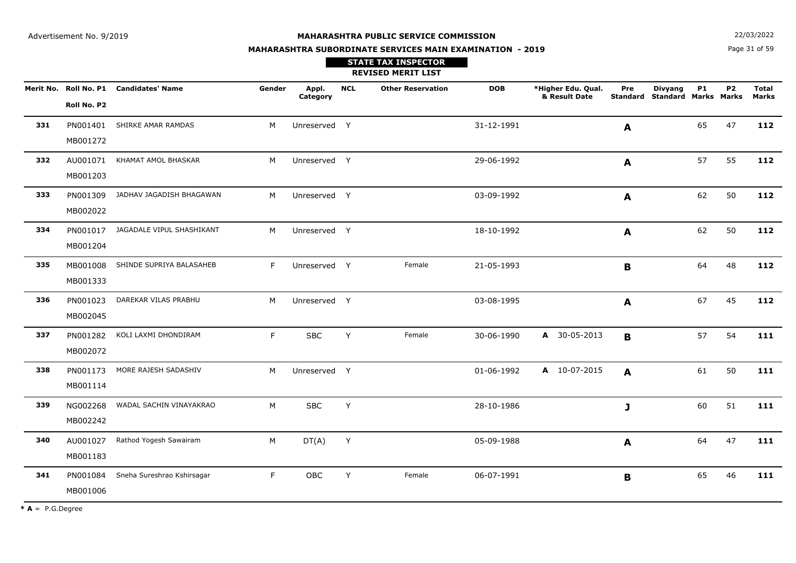**STATE TAX INSPECTOR**

**MAHARASHTRA SUBORDINATE SERVICES MAIN EXAMINATION - 2019**

**N**  $22/03/2022$ 

Page 31 of 59

|     |                      |                                        |        |                   |            | <b>REVISED MERIT LIST</b> |            |                                     |             |                                                        |           |                |                              |
|-----|----------------------|----------------------------------------|--------|-------------------|------------|---------------------------|------------|-------------------------------------|-------------|--------------------------------------------------------|-----------|----------------|------------------------------|
|     | Roll No. P2          | Merit No. Roll No. P1 Candidates' Name | Gender | Appl.<br>Category | <b>NCL</b> | <b>Other Reservation</b>  | <b>DOB</b> | *Higher Edu. Qual.<br>& Result Date | Pre         | <b>Divyang</b><br><b>Standard Standard Marks Marks</b> | <b>P1</b> | P <sub>2</sub> | <b>Total</b><br><b>Marks</b> |
| 331 | PN001401             | SHIRKE AMAR RAMDAS                     | M      | Unreserved Y      |            |                           | 31-12-1991 |                                     | A           |                                                        | 65        | 47             | 112                          |
| 332 | MB001272<br>AU001071 | KHAMAT AMOL BHASKAR                    | M      | Unreserved Y      |            |                           | 29-06-1992 |                                     | A           |                                                        | 57        | 55             | 112                          |
|     | MB001203             |                                        |        |                   |            |                           |            |                                     |             |                                                        |           |                |                              |
| 333 | PN001309             | JADHAV JAGADISH BHAGAWAN               | M      | Unreserved Y      |            |                           | 03-09-1992 |                                     | A           |                                                        | 62        | 50             | 112                          |
|     | MB002022             |                                        |        |                   |            |                           |            |                                     |             |                                                        |           |                |                              |
| 334 | MB001204             | PN001017 JAGADALE VIPUL SHASHIKANT     | M      | Unreserved Y      |            |                           | 18-10-1992 |                                     | A           |                                                        | 62        | 50             | 112                          |
| 335 | MB001008<br>MB001333 | SHINDE SUPRIYA BALASAHEB               | F.     | Unreserved Y      |            | Female                    | 21-05-1993 |                                     | B           |                                                        | 64        | 48             | 112                          |
| 336 | PN001023<br>MB002045 | DAREKAR VILAS PRABHU                   | M      | Unreserved Y      |            |                           | 03-08-1995 |                                     | A           |                                                        | 67        | 45             | 112                          |
| 337 | PN001282<br>MB002072 | KOLI LAXMI DHONDIRAM                   | F      | <b>SBC</b>        | Y          | Female                    | 30-06-1990 | A 30-05-2013                        | B           |                                                        | 57        | 54             | 111                          |
| 338 | PN001173<br>MB001114 | MORE RAJESH SADASHIV                   | M      | Unreserved Y      |            |                           | 01-06-1992 | A 10-07-2015                        | A           |                                                        | 61        | 50             | 111                          |
| 339 | NG002268<br>MB002242 | WADAL SACHIN VINAYAKRAO                | M      | <b>SBC</b>        | Υ          |                           | 28-10-1986 |                                     | J           |                                                        | 60        | 51             | 111                          |
| 340 | AU001027<br>MB001183 | Rathod Yogesh Sawairam                 | М      | DT(A)             | Y          |                           | 05-09-1988 |                                     | A           |                                                        | 64        | 47             | 111                          |
| 341 | PN001084<br>MB001006 | Sneha Sureshrao Kshirsagar             | F.     | OBC               | Y          | Female                    | 06-07-1991 |                                     | $\mathbf B$ |                                                        | 65        | 46             | 111                          |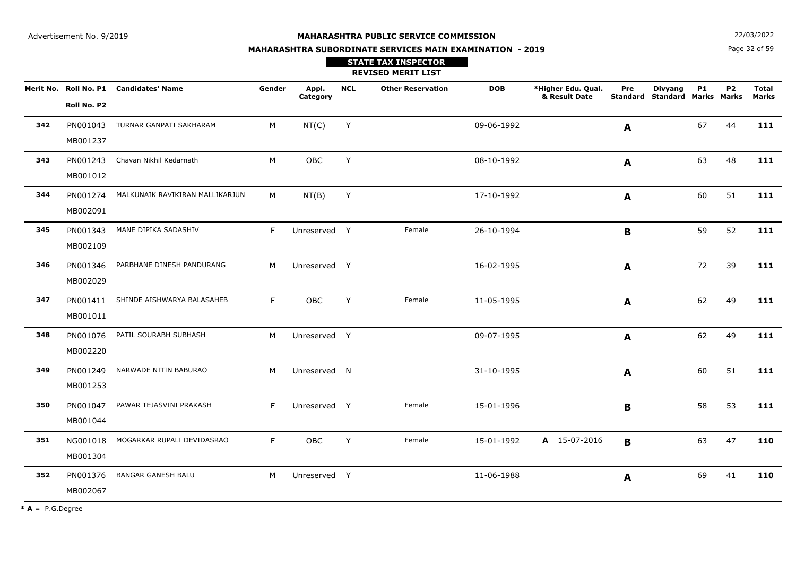**N**  $22/03/2022$ 

# **MAHARASHTRA SUBORDINATE SERVICES MAIN EXAMINATION - 2019STATE TAX INSPECTOR**

Page 32 of 59

|     |                      |                                        |        |                   |            | <b>REVISED MERIT LIST</b> |            |                                     |             |                                                 |           |           |                              |
|-----|----------------------|----------------------------------------|--------|-------------------|------------|---------------------------|------------|-------------------------------------|-------------|-------------------------------------------------|-----------|-----------|------------------------------|
|     | Roll No. P2          | Merit No. Roll No. P1 Candidates' Name | Gender | Appl.<br>Category | <b>NCL</b> | <b>Other Reservation</b>  | <b>DOB</b> | *Higher Edu. Qual.<br>& Result Date | Pre         | <b>Divyang</b><br>Standard Standard Marks Marks | <b>P1</b> | <b>P2</b> | <b>Total</b><br><b>Marks</b> |
| 342 | PN001043<br>MB001237 | TURNAR GANPATI SAKHARAM                | м      | NT(C)             | Y          |                           | 09-06-1992 |                                     | A           |                                                 | 67        | 44        | 111                          |
| 343 | PN001243<br>MB001012 | Chavan Nikhil Kedarnath                | M      | OBC               | Y          |                           | 08-10-1992 |                                     | A           |                                                 | 63        | 48        | 111                          |
| 344 | PN001274<br>MB002091 | MALKUNAIK RAVIKIRAN MALLIKARJUN        | M      | NT(B)             | Y          |                           | 17-10-1992 |                                     | A           |                                                 | 60        | 51        | 111                          |
| 345 | PN001343<br>MB002109 | MANE DIPIKA SADASHIV                   | F      | Unreserved Y      |            | Female                    | 26-10-1994 |                                     | $\mathbf B$ |                                                 | 59        | 52        | 111                          |
| 346 | PN001346<br>MB002029 | PARBHANE DINESH PANDURANG              | M      | Unreserved Y      |            |                           | 16-02-1995 |                                     | A           |                                                 | 72        | 39        | 111                          |
| 347 | MB001011             | PN001411 SHINDE AISHWARYA BALASAHEB    | F.     | OBC               | Y          | Female                    | 11-05-1995 |                                     | A           |                                                 | 62        | 49        | 111                          |
| 348 | PN001076<br>MB002220 | PATIL SOURABH SUBHASH                  | M      | Unreserved Y      |            |                           | 09-07-1995 |                                     | A           |                                                 | 62        | 49        | 111                          |
| 349 | PN001249<br>MB001253 | NARWADE NITIN BABURAO                  | M      | Unreserved N      |            |                           | 31-10-1995 |                                     | A           |                                                 | 60        | 51        | 111                          |
| 350 | PN001047<br>MB001044 | PAWAR TEJASVINI PRAKASH                | F.     | Unreserved Y      |            | Female                    | 15-01-1996 |                                     | B           |                                                 | 58        | 53        | 111                          |
| 351 | NG001018<br>MB001304 | MOGARKAR RUPALI DEVIDASRAO             | F      | OBC               | Y          | Female                    | 15-01-1992 | A 15-07-2016                        | B           |                                                 | 63        | 47        | 110                          |
| 352 | PN001376<br>MB002067 | <b>BANGAR GANESH BALU</b>              | M      | Unreserved Y      |            |                           | 11-06-1988 |                                     | A           |                                                 | 69        | 41        | 110                          |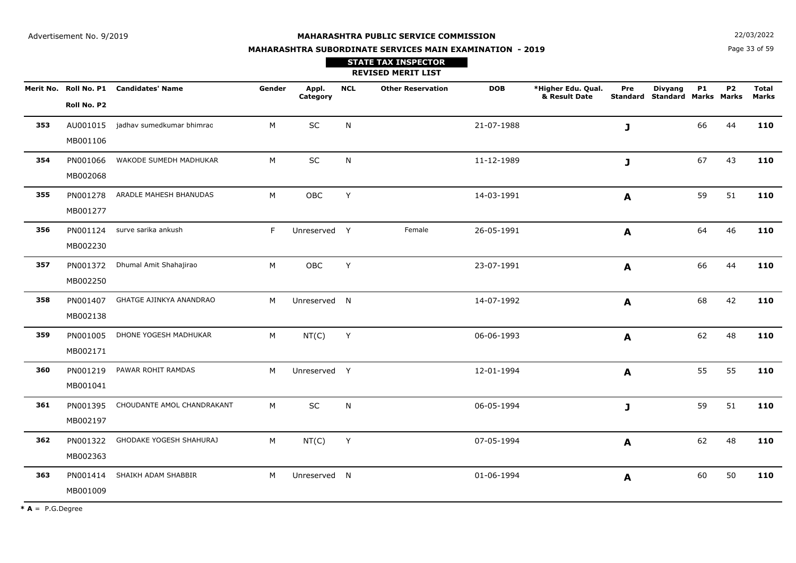**N**  $22/03/2022$ 

# **MAHARASHTRA SUBORDINATE SERVICES MAIN EXAMINATION - 2019STATE TAX INSPECTOR**

Page 33 of 59

|     |                      |                                        |        |                   |            | <b>REVISED MERIT LIST</b> |            |                                     |                  |                                                        |           |                |                |
|-----|----------------------|----------------------------------------|--------|-------------------|------------|---------------------------|------------|-------------------------------------|------------------|--------------------------------------------------------|-----------|----------------|----------------|
|     | Roll No. P2          | Merit No. Roll No. P1 Candidates' Name | Gender | Appl.<br>Category | <b>NCL</b> | <b>Other Reservation</b>  | <b>DOB</b> | *Higher Edu. Qual.<br>& Result Date | Pre              | <b>Divyang</b><br><b>Standard Standard Marks Marks</b> | <b>P1</b> | P <sub>2</sub> | Total<br>Marks |
| 353 | MB001106             | AU001015 jadhav sumedkumar bhimrao     | M      | SC                | N          |                           | 21-07-1988 |                                     | J                |                                                        | 66        | 44             | 110            |
| 354 | PN001066<br>MB002068 | WAKODE SUMEDH MADHUKAR                 | M      | SC                | N          |                           | 11-12-1989 |                                     | J                |                                                        | 67        | 43             | 110            |
| 355 | PN001278<br>MB001277 | ARADLE MAHESH BHANUDAS                 | M      | OBC               | Y          |                           | 14-03-1991 |                                     | $\boldsymbol{A}$ |                                                        | 59        | 51             | 110            |
| 356 | MB002230             | PN001124 surve sarika ankush           | F.     | Unreserved Y      |            | Female                    | 26-05-1991 |                                     | $\boldsymbol{A}$ |                                                        | 64        | 46             | 110            |
| 357 | PN001372<br>MB002250 | Dhumal Amit Shahajirao                 | M      | OBC               | Y          |                           | 23-07-1991 |                                     | $\boldsymbol{A}$ |                                                        | 66        | 44             | 110            |
| 358 | MB002138             | PN001407 GHATGE AJINKYA ANANDRAO       | M      | Unreserved N      |            |                           | 14-07-1992 |                                     | A                |                                                        | 68        | 42             | 110            |
| 359 | PN001005<br>MB002171 | DHONE YOGESH MADHUKAR                  | M      | NT(C)             | Y          |                           | 06-06-1993 |                                     | A                |                                                        | 62        | 48             | 110            |
| 360 | PN001219<br>MB001041 | PAWAR ROHIT RAMDAS                     | M      | Unreserved Y      |            |                           | 12-01-1994 |                                     | A                |                                                        | 55        | 55             | 110            |
| 361 | PN001395<br>MB002197 | CHOUDANTE AMOL CHANDRAKANT             | M      | $\sf SC$          | N          |                           | 06-05-1994 |                                     | J                |                                                        | 59        | 51             | 110            |
| 362 | PN001322<br>MB002363 | GHODAKE YOGESH SHAHURAJ                | M      | NT(C)             | Y          |                           | 07-05-1994 |                                     | A                |                                                        | 62        | 48             | 110            |
| 363 | MB001009             | PN001414 SHAIKH ADAM SHABBIR           | M      | Unreserved N      |            |                           | 01-06-1994 |                                     | A                |                                                        | 60        | 50             | 110            |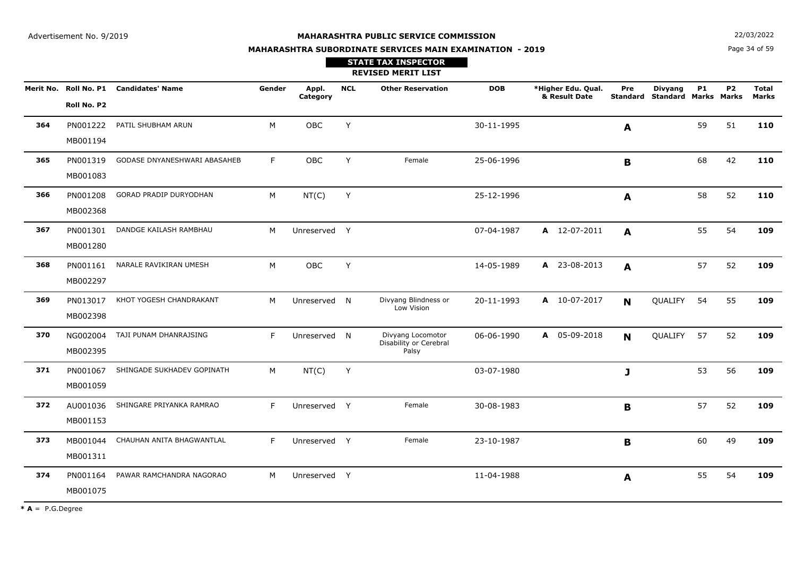**MAHARASHTRA SUBORDINATE SERVICES MAIN EXAMINATION - 2019STATE TAX INSPECTOR**

**N**  $22/03/2022$ 

Page 34 of 59

|     |                                      |                              |        |                   |            | <b>REVISED MERIT LIST</b>                            |            |                                     |                 |                                               |           |           |                              |
|-----|--------------------------------------|------------------------------|--------|-------------------|------------|------------------------------------------------------|------------|-------------------------------------|-----------------|-----------------------------------------------|-----------|-----------|------------------------------|
|     | Merit No. Roll No. P1<br>Roll No. P2 | <b>Candidates' Name</b>      | Gender | Appl.<br>Category | <b>NCL</b> | <b>Other Reservation</b>                             | <b>DOB</b> | *Higher Edu. Qual.<br>& Result Date | Pre<br>Standard | <b>Divyang</b><br><b>Standard Marks Marks</b> | <b>P1</b> | <b>P2</b> | <b>Total</b><br><b>Marks</b> |
| 364 | PN001222<br>MB001194                 | PATIL SHUBHAM ARUN           | M      | <b>OBC</b>        | Y          |                                                      | 30-11-1995 |                                     | A               |                                               | 59        | 51        | 110                          |
| 365 | PN001319<br>MB001083                 | GODASE DNYANESHWARI ABASAHEB | F.     | OBC               | Y          | Female                                               | 25-06-1996 |                                     | B               |                                               | 68        | 42        | 110                          |
| 366 | PN001208<br>MB002368                 | GORAD PRADIP DURYODHAN       | M      | NT(C)             | Y          |                                                      | 25-12-1996 |                                     | A               |                                               | 58        | 52        | 110                          |
| 367 | PN001301<br>MB001280                 | DANDGE KAILASH RAMBHAU       | M      | Unreserved Y      |            |                                                      | 07-04-1987 | A 12-07-2011                        | A               |                                               | 55        | 54        | 109                          |
| 368 | PN001161<br>MB002297                 | NARALE RAVIKIRAN UMESH       | M      | OBC               | Y          |                                                      | 14-05-1989 | A 23-08-2013                        | A               |                                               | 57        | 52        | 109                          |
| 369 | PN013017<br>MB002398                 | KHOT YOGESH CHANDRAKANT      | M      | Unreserved N      |            | Divyang Blindness or<br>Low Vision                   | 20-11-1993 | A 10-07-2017                        | N               | QUALIFY                                       | 54        | 55        | 109                          |
| 370 | NG002004<br>MB002395                 | TAJI PUNAM DHANRAJSING       | F      | Unreserved N      |            | Divyang Locomotor<br>Disability or Cerebral<br>Palsy | 06-06-1990 | A 05-09-2018                        | N               | QUALIFY                                       | 57        | 52        | 109                          |
| 371 | PN001067<br>MB001059                 | SHINGADE SUKHADEV GOPINATH   | M      | NT(C)             | Y          |                                                      | 03-07-1980 |                                     | J               |                                               | 53        | 56        | 109                          |
| 372 | AU001036<br>MB001153                 | SHINGARE PRIYANKA RAMRAO     | F      | Unreserved Y      |            | Female                                               | 30-08-1983 |                                     | $\mathbf B$     |                                               | 57        | 52        | 109                          |
| 373 | MB001044<br>MB001311                 | CHAUHAN ANITA BHAGWANTLAL    | F      | Unreserved Y      |            | Female                                               | 23-10-1987 |                                     | B               |                                               | 60        | 49        | 109                          |
| 374 | PN001164<br>MB001075                 | PAWAR RAMCHANDRA NAGORAO     | M      | Unreserved Y      |            |                                                      | 11-04-1988 |                                     | A               |                                               | 55        | 54        | 109                          |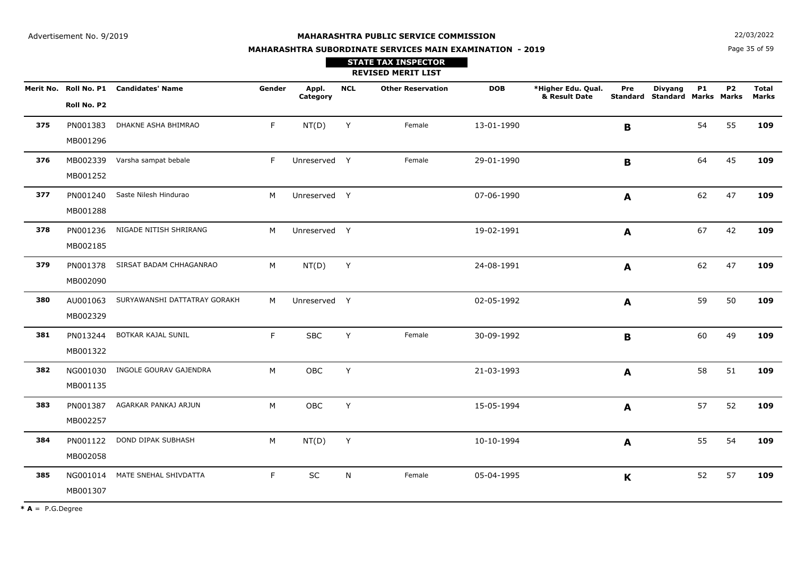**STATE TAX INSPECTOR**

**MAHARASHTRA SUBORDINATE SERVICES MAIN EXAMINATION - 2019**

**N**  $22/03/2022$ 

Page 35 of 59

|     |                      |                                        |        |                   |            | <b>REVISED MERIT LIST</b> |            |                                     |             |                                                 |           |                |                       |
|-----|----------------------|----------------------------------------|--------|-------------------|------------|---------------------------|------------|-------------------------------------|-------------|-------------------------------------------------|-----------|----------------|-----------------------|
|     | Roll No. P2          | Merit No. Roll No. P1 Candidates' Name | Gender | Appl.<br>Category | <b>NCL</b> | <b>Other Reservation</b>  | <b>DOB</b> | *Higher Edu. Qual.<br>& Result Date | Pre         | <b>Divyang</b><br>Standard Standard Marks Marks | <b>P1</b> | P <sub>2</sub> | <b>Total</b><br>Marks |
| 375 | PN001383<br>MB001296 | DHAKNE ASHA BHIMRAO                    | F.     | NT(D)             | Y          | Female                    | 13-01-1990 |                                     | $\mathbf B$ |                                                 | 54        | 55             | 109                   |
| 376 | MB002339<br>MB001252 | Varsha sampat bebale                   | F.     | Unreserved Y      |            | Female                    | 29-01-1990 |                                     | B           |                                                 | 64        | 45             | 109                   |
| 377 | PN001240<br>MB001288 | Saste Nilesh Hindurao                  | M      | Unreserved Y      |            |                           | 07-06-1990 |                                     | A           |                                                 | 62        | 47             | 109                   |
| 378 | PN001236<br>MB002185 | NIGADE NITISH SHRIRANG                 | M      | Unreserved Y      |            |                           | 19-02-1991 |                                     | A           |                                                 | 67        | 42             | 109                   |
| 379 | PN001378<br>MB002090 | SIRSAT BADAM CHHAGANRAO                | М      | NT(D)             | Y          |                           | 24-08-1991 |                                     | A           |                                                 | 62        | 47             | 109                   |
| 380 | AU001063<br>MB002329 | SURYAWANSHI DATTATRAY GORAKH           | M      | Unreserved Y      |            |                           | 02-05-1992 |                                     | A           |                                                 | 59        | 50             | 109                   |
| 381 | PN013244<br>MB001322 | BOTKAR KAJAL SUNIL                     | F.     | <b>SBC</b>        | Y          | Female                    | 30-09-1992 |                                     | $\mathbf B$ |                                                 | 60        | 49             | 109                   |
| 382 | NG001030<br>MB001135 | INGOLE GOURAV GAJENDRA                 | M      | OBC               | Y          |                           | 21-03-1993 |                                     | A           |                                                 | 58        | 51             | 109                   |
| 383 | PN001387<br>MB002257 | AGARKAR PANKAJ ARJUN                   | M      | OBC               | Y          |                           | 15-05-1994 |                                     | A           |                                                 | 57        | 52             | 109                   |
| 384 | PN001122<br>MB002058 | DOND DIPAK SUBHASH                     | M      | NT(D)             | Y          |                           | 10-10-1994 |                                     | A           |                                                 | 55        | 54             | 109                   |
| 385 | NG001014<br>MB001307 | MATE SNEHAL SHIVDATTA                  | F.     | $\sf SC$          | N          | Female                    | 05-04-1995 |                                     | $\mathbf K$ |                                                 | 52        | 57             | 109                   |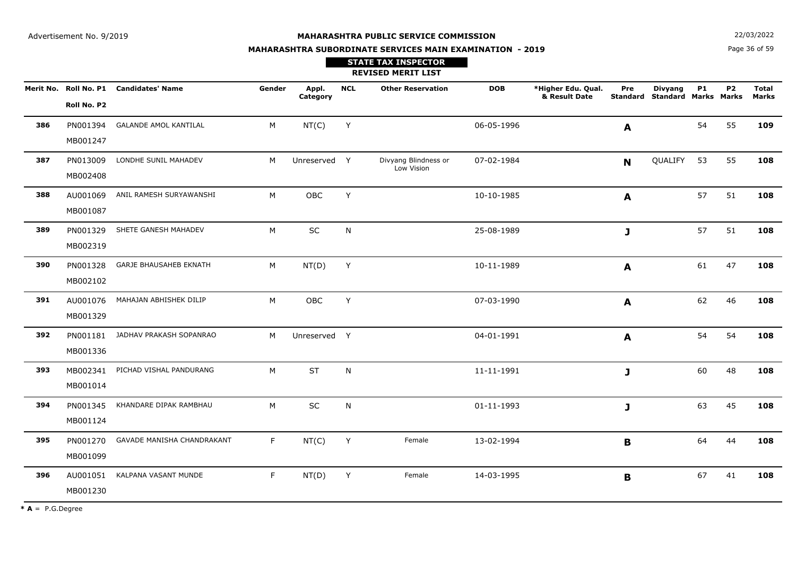**MAHARASHTRA SUBORDINATE SERVICES MAIN EXAMINATION - 2019**

**N**  $22/03/2022$ 

Page 36 of 59

|     |                      |                                        |        |                   |             | <b>STATE TAX INSPECTOR</b><br><b>REVISED MERIT LIST</b> |            |                                     |              |                                                        |           |           |                              |
|-----|----------------------|----------------------------------------|--------|-------------------|-------------|---------------------------------------------------------|------------|-------------------------------------|--------------|--------------------------------------------------------|-----------|-----------|------------------------------|
|     | Roll No. P2          | Merit No. Roll No. P1 Candidates' Name | Gender | Appl.<br>Category | <b>NCL</b>  | <b>Other Reservation</b>                                | <b>DOB</b> | *Higher Edu. Qual.<br>& Result Date | Pre          | <b>Divyang</b><br><b>Standard Standard Marks Marks</b> | <b>P1</b> | <b>P2</b> | <b>Total</b><br><b>Marks</b> |
| 386 | PN001394<br>MB001247 | <b>GALANDE AMOL KANTILAL</b>           | M      | NT(C)             | Y           |                                                         | 06-05-1996 |                                     | A            |                                                        | 54        | 55        | 109                          |
| 387 | PN013009<br>MB002408 | LONDHE SUNIL MAHADEV                   | M      | Unreserved Y      |             | Divyang Blindness or<br>Low Vision                      | 07-02-1984 |                                     | $\mathbf N$  | QUALIFY                                                | 53        | 55        | 108                          |
| 388 | AU001069<br>MB001087 | ANIL RAMESH SURYAWANSHI                | M      | OBC               | Y           |                                                         | 10-10-1985 |                                     | $\mathbf{A}$ |                                                        | 57        | 51        | 108                          |
| 389 | PN001329<br>MB002319 | SHETE GANESH MAHADEV                   | M      | $\sf SC$          | N           |                                                         | 25-08-1989 |                                     | J            |                                                        | 57        | 51        | 108                          |
| 390 | PN001328<br>MB002102 | <b>GARJE BHAUSAHEB EKNATH</b>          | M      | NT(D)             | $\mathsf Y$ |                                                         | 10-11-1989 |                                     | A            |                                                        | 61        | 47        | 108                          |
| 391 | AU001076<br>MB001329 | MAHAJAN ABHISHEK DILIP                 | M      | OBC               | Y           |                                                         | 07-03-1990 |                                     | A            |                                                        | 62        | 46        | 108                          |
| 392 | PN001181<br>MB001336 | JADHAV PRAKASH SOPANRAO                | M      | Unreserved Y      |             |                                                         | 04-01-1991 |                                     | A            |                                                        | 54        | 54        | 108                          |
| 393 | MB002341<br>MB001014 | PICHAD VISHAL PANDURANG                | M      | <b>ST</b>         | N           |                                                         | 11-11-1991 |                                     | $\mathbf{J}$ |                                                        | 60        | 48        | 108                          |
| 394 | PN001345<br>MB001124 | KHANDARE DIPAK RAMBHAU                 | M      | SC                | N           |                                                         | 01-11-1993 |                                     | J            |                                                        | 63        | 45        | 108                          |
| 395 | PN001270<br>MB001099 | GAVADE MANISHA CHANDRAKANT             | F.     | NT(C)             | Y           | Female                                                  | 13-02-1994 |                                     | B            |                                                        | 64        | 44        | 108                          |
| 396 | AU001051<br>MB001230 | KALPANA VASANT MUNDE                   | F.     | NT(D)             | Y           | Female                                                  | 14-03-1995 |                                     | $\mathbf B$  |                                                        | 67        | 41        | 108                          |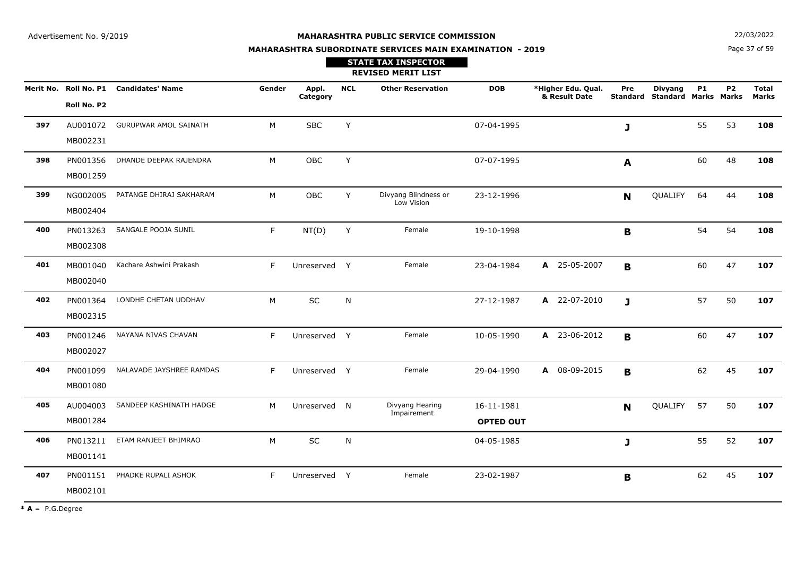**N**  $22/03/2022$ 

# **MAHARASHTRA SUBORDINATE SERVICES MAIN EXAMINATION - 2019STATE TAX INSPECTOR**

Page 37 of 59

|     |                      |                                        |        |                   |            | <b>REVISED MERIT LIST</b>          |                                |                                     |     |                                                 |           |           |                              |
|-----|----------------------|----------------------------------------|--------|-------------------|------------|------------------------------------|--------------------------------|-------------------------------------|-----|-------------------------------------------------|-----------|-----------|------------------------------|
|     | Roll No. P2          | Merit No. Roll No. P1 Candidates' Name | Gender | Appl.<br>Category | <b>NCL</b> | <b>Other Reservation</b>           | <b>DOB</b>                     | *Higher Edu. Qual.<br>& Result Date | Pre | <b>Divyang</b><br>Standard Standard Marks Marks | <b>P1</b> | <b>P2</b> | <b>Total</b><br><b>Marks</b> |
| 397 | AU001072<br>MB002231 | <b>GURUPWAR AMOL SAINATH</b>           | M      | <b>SBC</b>        | Y          |                                    | 07-04-1995                     |                                     | J   |                                                 | 55        | 53        | 108                          |
| 398 | PN001356<br>MB001259 | DHANDE DEEPAK RAJENDRA                 | M      | OBC               | Y          |                                    | 07-07-1995                     |                                     | A   |                                                 | 60        | 48        | 108                          |
| 399 | NG002005<br>MB002404 | PATANGE DHIRAJ SAKHARAM                | M      | <b>OBC</b>        | Y          | Divyang Blindness or<br>Low Vision | 23-12-1996                     |                                     | N   | QUALIFY                                         | 64        | 44        | 108                          |
| 400 | PN013263<br>MB002308 | SANGALE POOJA SUNIL                    | F.     | NT(D)             | Y          | Female                             | 19-10-1998                     |                                     | B   |                                                 | 54        | 54        | 108                          |
| 401 | MB001040<br>MB002040 | Kachare Ashwini Prakash                | F      | Unreserved Y      |            | Female                             | 23-04-1984                     | A 25-05-2007                        | B   |                                                 | 60        | 47        | 107                          |
| 402 | PN001364<br>MB002315 | LONDHE CHETAN UDDHAV                   | M      | SC                | N          |                                    | 27-12-1987                     | A 22-07-2010                        | J   |                                                 | 57        | 50        | 107                          |
| 403 | PN001246<br>MB002027 | NAYANA NIVAS CHAVAN                    | F      | Unreserved Y      |            | Female                             | 10-05-1990                     | A 23-06-2012                        | B   |                                                 | 60        | 47        | 107                          |
| 404 | PN001099<br>MB001080 | NALAVADE JAYSHREE RAMDAS               | F.     | Unreserved Y      |            | Female                             | 29-04-1990                     | A 08-09-2015                        | B   |                                                 | 62        | 45        | 107                          |
| 405 | AU004003<br>MB001284 | SANDEEP KASHINATH HADGE                | M      | Unreserved N      |            | Divyang Hearing<br>Impairement     | 16-11-1981<br><b>OPTED OUT</b> |                                     | N   | QUALIFY                                         | 57        | 50        | 107                          |
| 406 | PN013211<br>MB001141 | ETAM RANJEET BHIMRAO                   | M      | <b>SC</b>         | N          |                                    | 04-05-1985                     |                                     | J   |                                                 | 55        | 52        | 107                          |
| 407 | PN001151<br>MB002101 | PHADKE RUPALI ASHOK                    | F      | Unreserved Y      |            | Female                             | 23-02-1987                     |                                     | B   |                                                 | 62        | 45        | 107                          |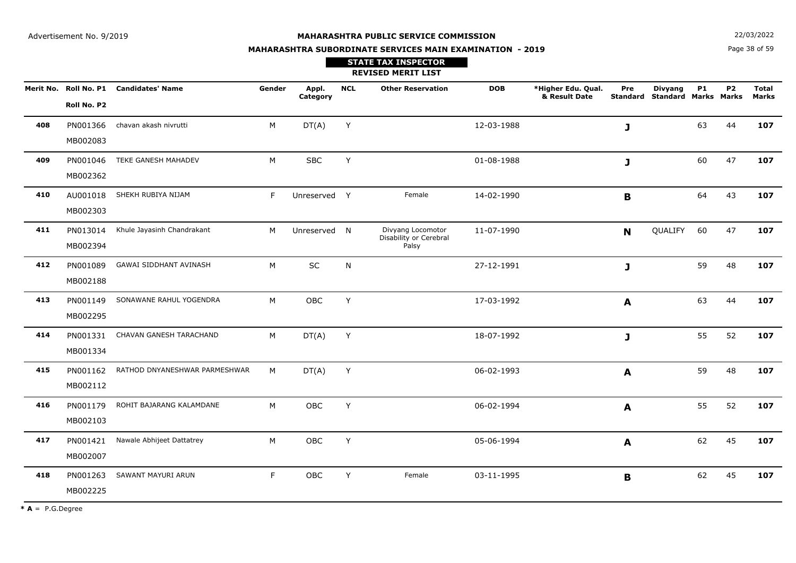**MAHARASHTRA SUBORDINATE SERVICES MAIN EXAMINATION - 2019**

**N**  $22/03/2022$ 

Page 38 of 59

|     |                      |                                        |        |                   |            | <b>STATE TAX INSPECTOR</b><br><b>REVISED MERIT LIST</b> |            |                                     |              |                                                        |           |           |                              |
|-----|----------------------|----------------------------------------|--------|-------------------|------------|---------------------------------------------------------|------------|-------------------------------------|--------------|--------------------------------------------------------|-----------|-----------|------------------------------|
|     | Roll No. P2          | Merit No. Roll No. P1 Candidates' Name | Gender | Appl.<br>Category | <b>NCL</b> | <b>Other Reservation</b>                                | <b>DOB</b> | *Higher Edu. Qual.<br>& Result Date | Pre          | <b>Divyang</b><br><b>Standard Standard Marks Marks</b> | <b>P1</b> | <b>P2</b> | <b>Total</b><br><b>Marks</b> |
| 408 | PN001366<br>MB002083 | chavan akash nivrutti                  | M      | DT(A)             | Y          |                                                         | 12-03-1988 |                                     | J            |                                                        | 63        | 44        | 107                          |
| 409 | PN001046<br>MB002362 | TEKE GANESH MAHADEV                    | M      | <b>SBC</b>        | Y          |                                                         | 01-08-1988 |                                     | J            |                                                        | 60        | 47        | 107                          |
| 410 | AU001018<br>MB002303 | SHEKH RUBIYA NIJAM                     | F.     | Unreserved Y      |            | Female                                                  | 14-02-1990 |                                     | $\mathbf B$  |                                                        | 64        | 43        | 107                          |
| 411 | PN013014<br>MB002394 | Khule Jayasinh Chandrakant             | M      | Unreserved N      |            | Divyang Locomotor<br>Disability or Cerebral<br>Palsy    | 11-07-1990 |                                     | N            | QUALIFY                                                | 60        | 47        | 107                          |
| 412 | PN001089<br>MB002188 | GAWAI SIDDHANT AVINASH                 | M      | SC                | N          |                                                         | 27-12-1991 |                                     | $\mathbf{J}$ |                                                        | 59        | 48        | 107                          |
| 413 | PN001149<br>MB002295 | SONAWANE RAHUL YOGENDRA                | M      | OBC               | Y          |                                                         | 17-03-1992 |                                     | A            |                                                        | 63        | 44        | 107                          |
| 414 | PN001331<br>MB001334 | CHAVAN GANESH TARACHAND                | M      | DT(A)             | Y          |                                                         | 18-07-1992 |                                     | J            |                                                        | 55        | 52        | 107                          |
| 415 | PN001162<br>MB002112 | RATHOD DNYANESHWAR PARMESHWAR          | М      | DT(A)             | Y          |                                                         | 06-02-1993 |                                     | A            |                                                        | 59        | 48        | 107                          |
| 416 | PN001179<br>MB002103 | ROHIT BAJARANG KALAMDANE               | M      | OBC               | Y          |                                                         | 06-02-1994 |                                     | A            |                                                        | 55        | 52        | 107                          |
| 417 | PN001421<br>MB002007 | Nawale Abhijeet Dattatrey              | M      | OBC               | Y          |                                                         | 05-06-1994 |                                     | A            |                                                        | 62        | 45        | 107                          |
| 418 | PN001263<br>MB002225 | SAWANT MAYURI ARUN                     | F.     | OBC               | Y          | Female                                                  | 03-11-1995 |                                     | B            |                                                        | 62        | 45        | 107                          |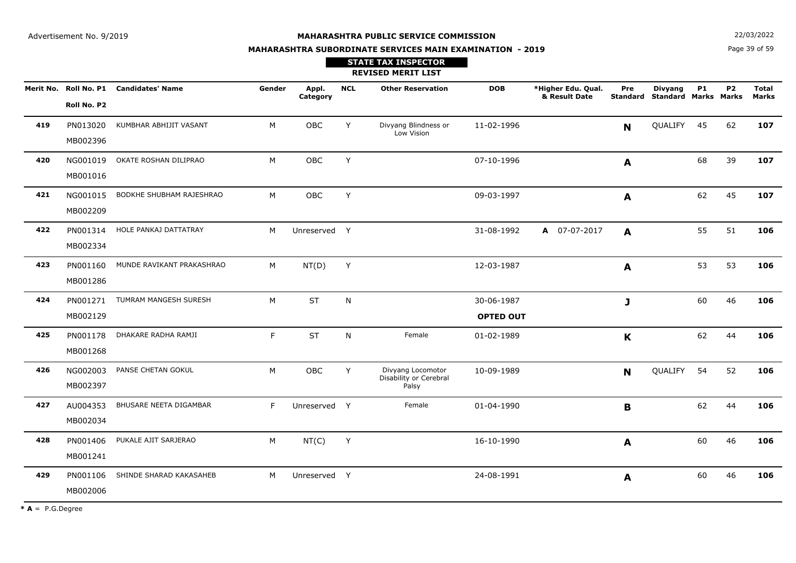**STATE TAX INSPECTOR**

**MAHARASHTRA SUBORDINATE SERVICES MAIN EXAMINATION - 2019**

**N**  $22/03/2022$ 

Page 39 of 59

|           |                      |                              |        |                   |            | <b>REVISED MERIT LIST</b>                            |                                |                                     |             |                                                        |           |           |                       |
|-----------|----------------------|------------------------------|--------|-------------------|------------|------------------------------------------------------|--------------------------------|-------------------------------------|-------------|--------------------------------------------------------|-----------|-----------|-----------------------|
| Merit No. | Roll No. P2          | Roll No. P1 Candidates' Name | Gender | Appl.<br>Category | <b>NCL</b> | <b>Other Reservation</b>                             | <b>DOB</b>                     | *Higher Edu. Qual.<br>& Result Date | Pre         | <b>Divyang</b><br><b>Standard Standard Marks Marks</b> | <b>P1</b> | <b>P2</b> | <b>Total</b><br>Marks |
| 419       | PN013020<br>MB002396 | KUMBHAR ABHIJIT VASANT       | M      | OBC               | Y          | Divyang Blindness or<br>Low Vision                   | 11-02-1996                     |                                     | $\mathbf N$ | QUALIFY                                                | 45        | 62        | 107                   |
| 420       | NG001019<br>MB001016 | OKATE ROSHAN DILIPRAO        | M      | <b>OBC</b>        | Y          |                                                      | 07-10-1996                     |                                     | A           |                                                        | 68        | 39        | 107                   |
| 421       | NG001015<br>MB002209 | BODKHE SHUBHAM RAJESHRAO     | M      | OBC               | Y          |                                                      | 09-03-1997                     |                                     | A           |                                                        | 62        | 45        | 107                   |
| 422       | PN001314<br>MB002334 | HOLE PANKAJ DATTATRAY        | M      | Unreserved Y      |            |                                                      | 31-08-1992                     | A 07-07-2017                        | A           |                                                        | 55        | 51        | 106                   |
| 423       | PN001160<br>MB001286 | MUNDE RAVIKANT PRAKASHRAO    | M      | NT(D)             | Υ          |                                                      | 12-03-1987                     |                                     | A           |                                                        | 53        | 53        | 106                   |
| 424       | PN001271<br>MB002129 | TUMRAM MANGESH SURESH        | M      | <b>ST</b>         | N          |                                                      | 30-06-1987<br><b>OPTED OUT</b> |                                     | J           |                                                        | 60        | 46        | 106                   |
| 425       | PN001178<br>MB001268 | DHAKARE RADHA RAMJI          | F.     | <b>ST</b>         | N          | Female                                               | 01-02-1989                     |                                     | K           |                                                        | 62        | 44        | 106                   |
| 426       | NG002003<br>MB002397 | PANSE CHETAN GOKUL           | M      | <b>OBC</b>        | Y          | Divyang Locomotor<br>Disability or Cerebral<br>Palsy | 10-09-1989                     |                                     | <b>N</b>    | QUALIFY                                                | 54        | 52        | 106                   |
| 427       | AU004353<br>MB002034 | BHUSARE NEETA DIGAMBAR       | F.     | Unreserved Y      |            | Female                                               | 01-04-1990                     |                                     | B           |                                                        | 62        | 44        | 106                   |
| 428       | PN001406<br>MB001241 | PUKALE AJIT SARJERAO         | M      | NT(C)             | Υ          |                                                      | 16-10-1990                     |                                     | A           |                                                        | 60        | 46        | 106                   |
| 429       | PN001106<br>MB002006 | SHINDE SHARAD KAKASAHEB      | M      | Unreserved Y      |            |                                                      | 24-08-1991                     |                                     | A           |                                                        | 60        | 46        | 106                   |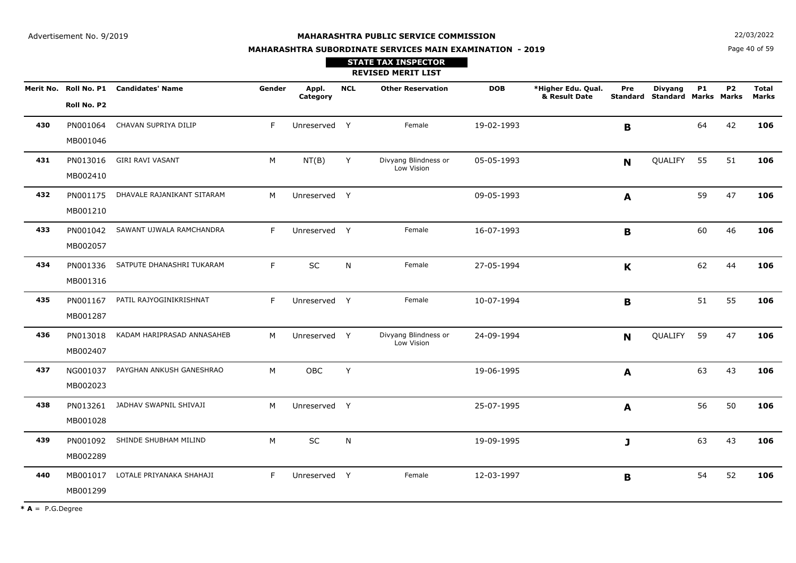**N**  $22/03/2022$ 

# **MAHARASHTRA SUBORDINATE SERVICES MAIN EXAMINATION - 2019STATE TAX INSPECTOR**

Page 40 of 59

|     |                      |                                        |        |                   |            | <b>REVISED MERIT LIST</b>          |            |                                     |             |                                                        |           |           |                       |
|-----|----------------------|----------------------------------------|--------|-------------------|------------|------------------------------------|------------|-------------------------------------|-------------|--------------------------------------------------------|-----------|-----------|-----------------------|
|     | Roll No. P2          | Merit No. Roll No. P1 Candidates' Name | Gender | Appl.<br>Category | <b>NCL</b> | <b>Other Reservation</b>           | <b>DOB</b> | *Higher Edu. Qual.<br>& Result Date | Pre         | <b>Divyang</b><br><b>Standard Standard Marks Marks</b> | <b>P1</b> | <b>P2</b> | <b>Total</b><br>Marks |
| 430 | PN001064<br>MB001046 | CHAVAN SUPRIYA DILIP                   | F.     | Unreserved Y      |            | Female                             | 19-02-1993 |                                     | B           |                                                        | 64        | 42        | 106                   |
| 431 | PN013016<br>MB002410 | <b>GIRI RAVI VASANT</b>                | M      | NT(B)             | Y          | Divyang Blindness or<br>Low Vision | 05-05-1993 |                                     | N           | QUALIFY                                                | 55        | 51        | 106                   |
| 432 | PN001175<br>MB001210 | DHAVALE RAJANIKANT SITARAM             | M      | Unreserved Y      |            |                                    | 09-05-1993 |                                     | A           |                                                        | 59        | 47        | 106                   |
| 433 | PN001042<br>MB002057 | SAWANT UJWALA RAMCHANDRA               | F.     | Unreserved Y      |            | Female                             | 16-07-1993 |                                     | B           |                                                        | 60        | 46        | 106                   |
| 434 | PN001336<br>MB001316 | SATPUTE DHANASHRI TUKARAM              | F.     | <b>SC</b>         | N          | Female                             | 27-05-1994 |                                     | $\mathbf K$ |                                                        | 62        | 44        | 106                   |
| 435 | PN001167<br>MB001287 | PATIL RAJYOGINIKRISHNAT                | F      | Unreserved Y      |            | Female                             | 10-07-1994 |                                     | B           |                                                        | 51        | 55        | 106                   |
| 436 | PN013018<br>MB002407 | KADAM HARIPRASAD ANNASAHEB             | M      | Unreserved Y      |            | Divyang Blindness or<br>Low Vision | 24-09-1994 |                                     | N           | QUALIFY                                                | 59        | 47        | 106                   |
| 437 | NG001037<br>MB002023 | PAYGHAN ANKUSH GANESHRAO               | M      | <b>OBC</b>        | Y          |                                    | 19-06-1995 |                                     | A           |                                                        | 63        | 43        | 106                   |
| 438 | PN013261<br>MB001028 | JADHAV SWAPNIL SHIVAJI                 | M      | Unreserved Y      |            |                                    | 25-07-1995 |                                     | A           |                                                        | 56        | 50        | 106                   |
| 439 | PN001092<br>MB002289 | SHINDE SHUBHAM MILIND                  | M      | <b>SC</b>         | N          |                                    | 19-09-1995 |                                     | J           |                                                        | 63        | 43        | 106                   |
| 440 | MB001017<br>MB001299 | LOTALE PRIYANAKA SHAHAJI               | F.     | Unreserved Y      |            | Female                             | 12-03-1997 |                                     | $\mathbf B$ |                                                        | 54        | 52        | 106                   |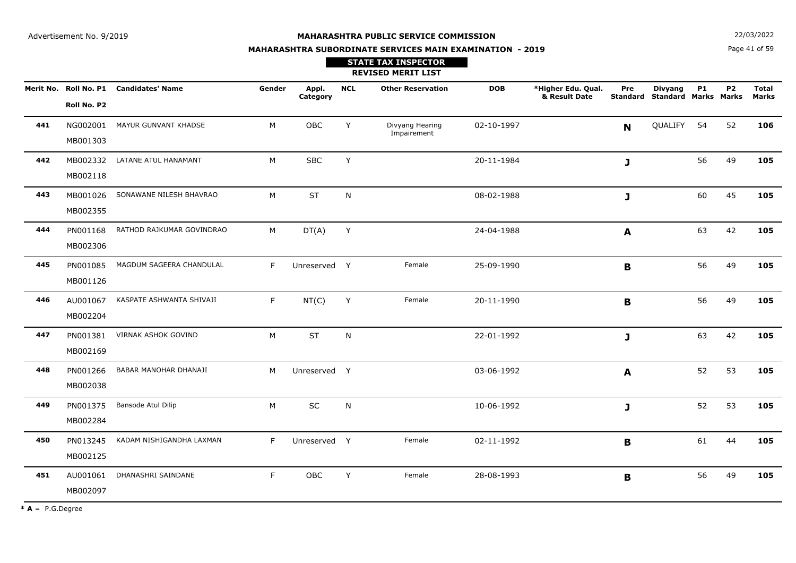**N**  $22/03/2022$ 

# **MAHARASHTRA SUBORDINATE SERVICES MAIN EXAMINATION - 2019STATE TAX INSPECTOR**

Page 41 of 59

|     |                      |                                        |        |                   |              | <b>REVISED MERIT LIST</b>      |            |                                     |              |                                                 |    |                |                       |
|-----|----------------------|----------------------------------------|--------|-------------------|--------------|--------------------------------|------------|-------------------------------------|--------------|-------------------------------------------------|----|----------------|-----------------------|
|     | Roll No. P2          | Merit No. Roll No. P1 Candidates' Name | Gender | Appl.<br>Category | <b>NCL</b>   | <b>Other Reservation</b>       | <b>DOB</b> | *Higher Edu. Qual.<br>& Result Date | Pre          | <b>Divyang</b><br>Standard Standard Marks Marks | P1 | P <sub>2</sub> | <b>Total</b><br>Marks |
| 441 | NG002001<br>MB001303 | MAYUR GUNVANT KHADSE                   | M      | OBC               | Y            | Divyang Hearing<br>Impairement | 02-10-1997 |                                     | N            | QUALIFY                                         | 54 | 52             | 106                   |
| 442 | MB002332<br>MB002118 | LATANE ATUL HANAMANT                   | M      | <b>SBC</b>        | Y            |                                | 20-11-1984 |                                     | J            |                                                 | 56 | 49             | 105                   |
| 443 | MB001026<br>MB002355 | SONAWANE NILESH BHAVRAO                | M      | <b>ST</b>         | $\mathsf{N}$ |                                | 08-02-1988 |                                     | $\mathbf{J}$ |                                                 | 60 | 45             | 105                   |
| 444 | PN001168<br>MB002306 | RATHOD RAJKUMAR GOVINDRAO              | M      | DT(A)             | Y            |                                | 24-04-1988 |                                     | A            |                                                 | 63 | 42             | 105                   |
| 445 | PN001085<br>MB001126 | MAGDUM SAGEERA CHANDULAL               | F.     | Unreserved Y      |              | Female                         | 25-09-1990 |                                     | B            |                                                 | 56 | 49             | 105                   |
| 446 | AU001067<br>MB002204 | KASPATE ASHWANTA SHIVAJI               | F.     | NT(C)             | Y            | Female                         | 20-11-1990 |                                     | B            |                                                 | 56 | 49             | 105                   |
| 447 | PN001381<br>MB002169 | <b>VIRNAK ASHOK GOVIND</b>             | M      | <b>ST</b>         | ${\sf N}$    |                                | 22-01-1992 |                                     | J            |                                                 | 63 | 42             | 105                   |
| 448 | PN001266<br>MB002038 | BABAR MANOHAR DHANAJI                  | M      | Unreserved Y      |              |                                | 03-06-1992 |                                     | A            |                                                 | 52 | 53             | 105                   |
| 449 | PN001375<br>MB002284 | Bansode Atul Dilip                     | M      | SC                | N            |                                | 10-06-1992 |                                     | $\mathbf{J}$ |                                                 | 52 | 53             | 105                   |
| 450 | PN013245<br>MB002125 | KADAM NISHIGANDHA LAXMAN               | F.     | Unreserved Y      |              | Female                         | 02-11-1992 |                                     | B            |                                                 | 61 | 44             | 105                   |
| 451 | AU001061<br>MB002097 | DHANASHRI SAINDANE                     | F.     | OBC               | Y            | Female                         | 28-08-1993 |                                     | B            |                                                 | 56 | 49             | 105                   |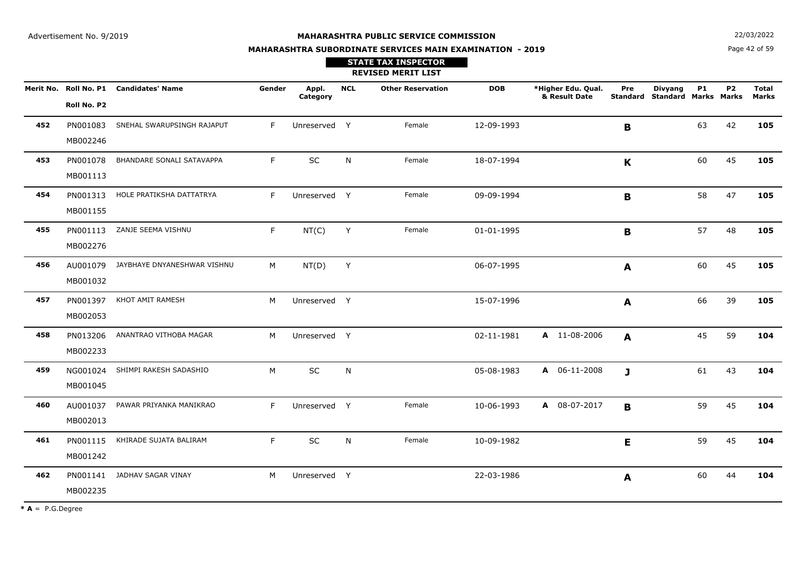**N**  $22/03/2022$ 

# **MAHARASHTRA SUBORDINATE SERVICES MAIN EXAMINATION - 2019**

Page 42 of 59

|     |                      |                                        |        |                   |            | <b>STATE TAX INSPECTOR</b><br><b>REVISED MERIT LIST</b> |            |                                     |              |                                                 |           |           |                              |
|-----|----------------------|----------------------------------------|--------|-------------------|------------|---------------------------------------------------------|------------|-------------------------------------|--------------|-------------------------------------------------|-----------|-----------|------------------------------|
|     | Roll No. P2          | Merit No. Roll No. P1 Candidates' Name | Gender | Appl.<br>Category | <b>NCL</b> | <b>Other Reservation</b>                                | <b>DOB</b> | *Higher Edu. Qual.<br>& Result Date | Pre          | <b>Divyang</b><br>Standard Standard Marks Marks | <b>P1</b> | <b>P2</b> | <b>Total</b><br><b>Marks</b> |
| 452 | MB002246             | PN001083 SNEHAL SWARUPSINGH RAJAPUT    | F.     | Unreserved Y      |            | Female                                                  | 12-09-1993 |                                     | B            |                                                 | 63        | 42        | 105                          |
| 453 | PN001078<br>MB001113 | BHANDARE SONALI SATAVAPPA              | F.     | SC                | N          | Female                                                  | 18-07-1994 |                                     | $\mathbf{K}$ |                                                 | 60        | 45        | 105                          |
| 454 | MB001155             | PN001313 HOLE PRATIKSHA DATTATRYA      | F      | Unreserved Y      |            | Female                                                  | 09-09-1994 |                                     | B            |                                                 | 58        | 47        | 105                          |
| 455 | MB002276             | PN001113 ZANJE SEEMA VISHNU            | F      | NT(C)             | Y          | Female                                                  | 01-01-1995 |                                     | B            |                                                 | 57        | 48        | 105                          |
| 456 | MB001032             | AU001079 JAYBHAYE DNYANESHWAR VISHNU   | М      | NT(D)             | Y          |                                                         | 06-07-1995 |                                     | A            |                                                 | 60        | 45        | 105                          |
| 457 | MB002053             | PN001397 KHOT AMIT RAMESH              | M      | Unreserved Y      |            |                                                         | 15-07-1996 |                                     | A            |                                                 | 66        | 39        | 105                          |
| 458 | PN013206<br>MB002233 | ANANTRAO VITHOBA MAGAR                 | M      | Unreserved Y      |            |                                                         | 02-11-1981 | A 11-08-2006                        | A            |                                                 | 45        | 59        | 104                          |
| 459 | NG001024<br>MB001045 | SHIMPI RAKESH SADASHIO                 | M      | SC                | N          |                                                         | 05-08-1983 | A 06-11-2008                        | $\mathbf{J}$ |                                                 | 61        | 43        | 104                          |
| 460 | AU001037<br>MB002013 | PAWAR PRIYANKA MANIKRAO                | F      | Unreserved Y      |            | Female                                                  | 10-06-1993 | A 08-07-2017                        | B            |                                                 | 59        | 45        | 104                          |
| 461 | PN001115<br>MB001242 | KHIRADE SUJATA BALIRAM                 | F      | SC                | N          | Female                                                  | 10-09-1982 |                                     | E            |                                                 | 59        | 45        | 104                          |
| 462 | PN001141<br>MB002235 | JADHAV SAGAR VINAY                     | M      | Unreserved Y      |            |                                                         | 22-03-1986 |                                     | A            |                                                 | 60        | 44        | 104                          |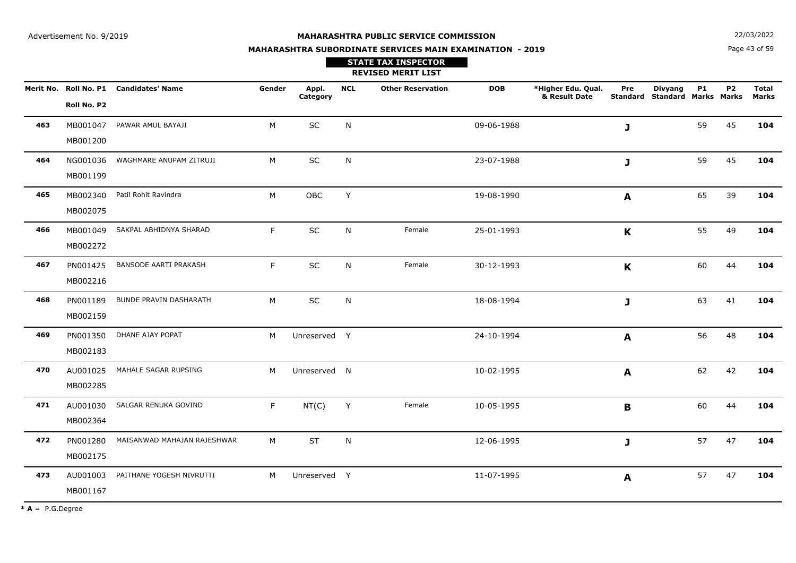**STATE TAX INSPECTOR**

**N**  $22/03/2022$ 

# **MAHARASHTRA SUBORDINATE SERVICES MAIN EXAMINATION - 2019**

Page 43 of 59

|     |                      |                                        |        |                   |              | <b>REVISED MERIT LIST</b> |            |                                     |              |                                                 |           |           |                       |
|-----|----------------------|----------------------------------------|--------|-------------------|--------------|---------------------------|------------|-------------------------------------|--------------|-------------------------------------------------|-----------|-----------|-----------------------|
|     | Roll No. P2          | Merit No. Roll No. P1 Candidates' Name | Gender | Appl.<br>Category | <b>NCL</b>   | <b>Other Reservation</b>  | <b>DOB</b> | *Higher Edu. Qual.<br>& Result Date | Pre          | <b>Divyang</b><br>Standard Standard Marks Marks | <b>P1</b> | <b>P2</b> | <b>Total</b><br>Marks |
| 463 | MB001047<br>MB001200 | PAWAR AMUL BAYAJI                      | M      | SC                | N            |                           | 09-06-1988 |                                     | $\mathbf{J}$ |                                                 | 59        | 45        | 104                   |
| 464 | NG001036<br>MB001199 | WAGHMARE ANUPAM ZITRUJI                | M      | SC                | N            |                           | 23-07-1988 |                                     | J            |                                                 | 59        | 45        | 104                   |
| 465 | MB002340<br>MB002075 | Patil Rohit Ravindra                   | M      | OBC               | Y            |                           | 19-08-1990 |                                     | $\mathbf{A}$ |                                                 | 65        | 39        | 104                   |
| 466 | MB001049<br>MB002272 | SAKPAL ABHIDNYA SHARAD                 | F.     | SC                | N            | Female                    | 25-01-1993 |                                     | K            |                                                 | 55        | 49        | 104                   |
| 467 | PN001425<br>MB002216 | <b>BANSODE AARTI PRAKASH</b>           | F.     | SC                | $\mathsf{N}$ | Female                    | 30-12-1993 |                                     | K            |                                                 | 60        | 44        | 104                   |
| 468 | PN001189<br>MB002159 | BUNDE PRAVIN DASHARATH                 | M      | <b>SC</b>         | N            |                           | 18-08-1994 |                                     | J            |                                                 | 63        | 41        | 104                   |
| 469 | PN001350<br>MB002183 | DHANE AJAY POPAT                       | M      | Unreserved Y      |              |                           | 24-10-1994 |                                     | A            |                                                 | 56        | 48        | 104                   |
| 470 | AU001025<br>MB002285 | MAHALE SAGAR RUPSING                   | M      | Unreserved N      |              |                           | 10-02-1995 |                                     | A            |                                                 | 62        | 42        | 104                   |
| 471 | AU001030<br>MB002364 | SALGAR RENUKA GOVIND                   | F      | NT(C)             | Y            | Female                    | 10-05-1995 |                                     | B            |                                                 | 60        | 44        | 104                   |
| 472 | PN001280<br>MB002175 | MAISANWAD MAHAJAN RAJESHWAR            | M      | <b>ST</b>         | N            |                           | 12-06-1995 |                                     | $\mathbf{J}$ |                                                 | 57        | 47        | 104                   |
| 473 | AU001003<br>MB001167 | PAITHANE YOGESH NIVRUTTI               | M      | Unreserved Y      |              |                           | 11-07-1995 |                                     | A            |                                                 | 57        | 47        | 104                   |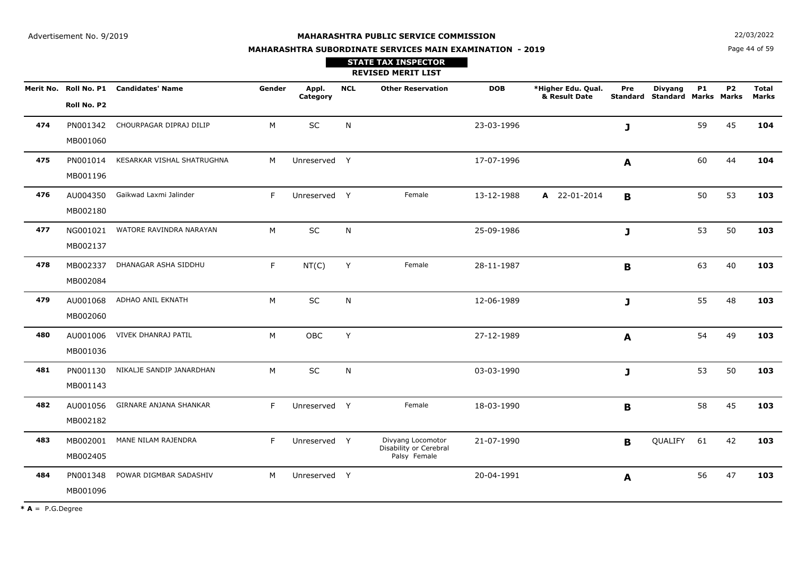**N**  $22/03/2022$ 

# **MAHARASHTRA SUBORDINATE SERVICES MAIN EXAMINATION - 2019STATE TAX INSPECTOR**

Page 44 of 59

|     |                      |                                        |        |                   |            | <b>REVISED MERIT LIST</b>                                   |            |                                     |              |                                                        |           |                |                              |
|-----|----------------------|----------------------------------------|--------|-------------------|------------|-------------------------------------------------------------|------------|-------------------------------------|--------------|--------------------------------------------------------|-----------|----------------|------------------------------|
|     | Roll No. P2          | Merit No. Roll No. P1 Candidates' Name | Gender | Appl.<br>Category | <b>NCL</b> | <b>Other Reservation</b>                                    | <b>DOB</b> | *Higher Edu. Qual.<br>& Result Date | Pre          | <b>Divyang</b><br><b>Standard Standard Marks Marks</b> | <b>P1</b> | P <sub>2</sub> | <b>Total</b><br><b>Marks</b> |
| 474 | PN001342<br>MB001060 | CHOURPAGAR DIPRAJ DILIP                | M      | $\sf SC$          | ${\sf N}$  |                                                             | 23-03-1996 |                                     | J            |                                                        | 59        | 45             | 104                          |
| 475 | PN001014<br>MB001196 | KESARKAR VISHAL SHATRUGHNA             | M      | Unreserved Y      |            |                                                             | 17-07-1996 |                                     | $\mathbf{A}$ |                                                        | 60        | 44             | 104                          |
| 476 | AU004350<br>MB002180 | Gaikwad Laxmi Jalinder                 | F.     | Unreserved Y      |            | Female                                                      | 13-12-1988 | A 22-01-2014                        | B            |                                                        | 50        | 53             | 103                          |
| 477 | NG001021<br>MB002137 | WATORE RAVINDRA NARAYAN                | M      | $\sf SC$          | ${\sf N}$  |                                                             | 25-09-1986 |                                     | J            |                                                        | 53        | 50             | 103                          |
| 478 | MB002337<br>MB002084 | DHANAGAR ASHA SIDDHU                   | F.     | NT(C)             | Y          | Female                                                      | 28-11-1987 |                                     | B            |                                                        | 63        | 40             | 103                          |
| 479 | AU001068<br>MB002060 | ADHAO ANIL EKNATH                      | M      | SC                | N          |                                                             | 12-06-1989 |                                     | J            |                                                        | 55        | 48             | 103                          |
| 480 | AU001006<br>MB001036 | VIVEK DHANRAJ PATIL                    | M      | OBC               | Y          |                                                             | 27-12-1989 |                                     | A            |                                                        | 54        | 49             | 103                          |
| 481 | PN001130<br>MB001143 | NIKALJE SANDIP JANARDHAN               | M      | SC                | N          |                                                             | 03-03-1990 |                                     | J            |                                                        | 53        | 50             | 103                          |
| 482 | AU001056<br>MB002182 | GIRNARE ANJANA SHANKAR                 | F      | Unreserved Y      |            | Female                                                      | 18-03-1990 |                                     | B            |                                                        | 58        | 45             | 103                          |
| 483 | MB002001<br>MB002405 | MANE NILAM RAJENDRA                    | F      | Unreserved Y      |            | Divyang Locomotor<br>Disability or Cerebral<br>Palsy Female | 21-07-1990 |                                     | B            | QUALIFY                                                | 61        | 42             | 103                          |
| 484 | PN001348<br>MB001096 | POWAR DIGMBAR SADASHIV                 | M      | Unreserved Y      |            |                                                             | 20-04-1991 |                                     | A            |                                                        | 56        | 47             | 103                          |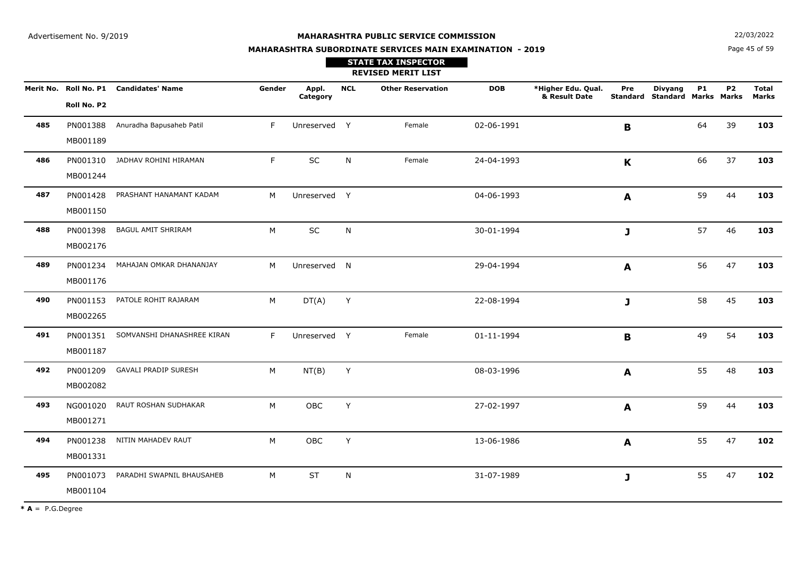**N**  $22/03/2022$ 

#### **MAHARASHTRA SUBORDINATE SERVICES MAIN EXAMINATION - 2019**

Page 45 of 59

|     |                      |                                        |        |                   |            | <b>STATE TAX INSPECTOR</b><br><b>REVISED MERIT LIST</b> |            |                                     |                  |                                                 |           |           |                       |
|-----|----------------------|----------------------------------------|--------|-------------------|------------|---------------------------------------------------------|------------|-------------------------------------|------------------|-------------------------------------------------|-----------|-----------|-----------------------|
|     | Roll No. P2          | Merit No. Roll No. P1 Candidates' Name | Gender | Appl.<br>Category | <b>NCL</b> | <b>Other Reservation</b>                                | <b>DOB</b> | *Higher Edu. Qual.<br>& Result Date | Pre              | <b>Divyang</b><br>Standard Standard Marks Marks | <b>P1</b> | <b>P2</b> | <b>Total</b><br>Marks |
| 485 | PN001388<br>MB001189 | Anuradha Bapusaheb Patil               | F      | Unreserved Y      |            | Female                                                  | 02-06-1991 |                                     | $\mathbf{B}$     |                                                 | 64        | 39        | 103                   |
| 486 | PN001310<br>MB001244 | JADHAV ROHINI HIRAMAN                  | F      | SC                | N          | Female                                                  | 24-04-1993 |                                     | $\mathbf{K}$     |                                                 | 66        | 37        | 103                   |
| 487 | PN001428<br>MB001150 | PRASHANT HANAMANT KADAM                | M      | Unreserved Y      |            |                                                         | 04-06-1993 |                                     | A                |                                                 | 59        | 44        | 103                   |
| 488 | PN001398<br>MB002176 | <b>BAGUL AMIT SHRIRAM</b>              | M      | SC                | N          |                                                         | 30-01-1994 |                                     | J                |                                                 | 57        | 46        | 103                   |
| 489 | PN001234<br>MB001176 | MAHAJAN OMKAR DHANANJAY                | M      | Unreserved N      |            |                                                         | 29-04-1994 |                                     | $\boldsymbol{A}$ |                                                 | 56        | 47        | 103                   |
| 490 | PN001153<br>MB002265 | PATOLE ROHIT RAJARAM                   | M      | DT(A)             | Y          |                                                         | 22-08-1994 |                                     | J                |                                                 | 58        | 45        | 103                   |
| 491 | PN001351<br>MB001187 | SOMVANSHI DHANASHREE KIRAN             | F      | Unreserved Y      |            | Female                                                  | 01-11-1994 |                                     | $\mathbf B$      |                                                 | 49        | 54        | 103                   |
| 492 | PN001209<br>MB002082 | <b>GAVALI PRADIP SURESH</b>            | M      | NT(B)             | Y          |                                                         | 08-03-1996 |                                     | A                |                                                 | 55        | 48        | 103                   |
| 493 | NG001020<br>MB001271 | RAUT ROSHAN SUDHAKAR                   | M      | OBC               | Y          |                                                         | 27-02-1997 |                                     | A                |                                                 | 59        | 44        | 103                   |
| 494 | PN001238<br>MB001331 | NITIN MAHADEV RAUT                     | M      | OBC               | Y          |                                                         | 13-06-1986 |                                     | A                |                                                 | 55        | 47        | 102                   |
| 495 | MB001104             | PN001073 PARADHI SWAPNIL BHAUSAHEB     | M      | <b>ST</b>         | N          |                                                         | 31-07-1989 |                                     | J                |                                                 | 55        | 47        | 102                   |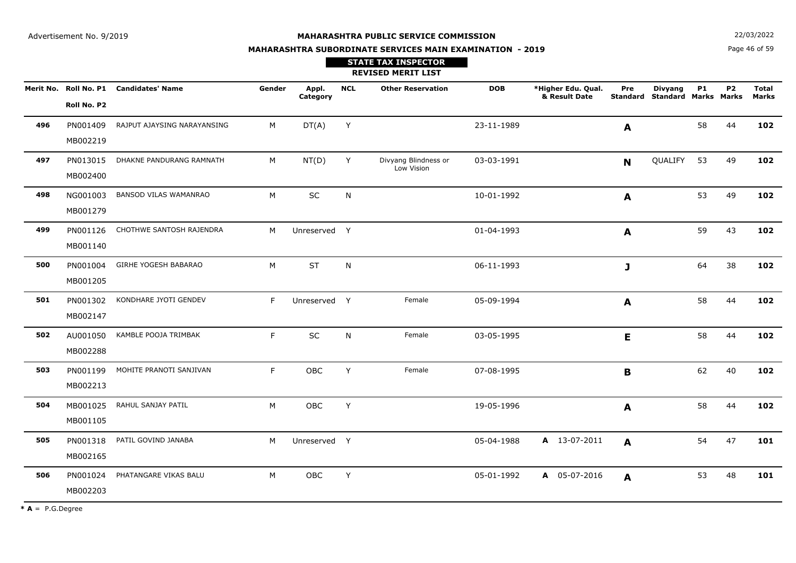**MAHARASHTRA SUBORDINATE SERVICES MAIN EXAMINATION - 2019**

**N**  $22/03/2022$ 

Page 46 of 59

|     |                      |                                        |        |                   |            | <b>STATE TAX INSPECTOR</b><br><b>REVISED MERIT LIST</b> |            |                                     |              |                                                        |           |                |                       |
|-----|----------------------|----------------------------------------|--------|-------------------|------------|---------------------------------------------------------|------------|-------------------------------------|--------------|--------------------------------------------------------|-----------|----------------|-----------------------|
|     | Roll No. P2          | Merit No. Roll No. P1 Candidates' Name | Gender | Appl.<br>Category | <b>NCL</b> | <b>Other Reservation</b>                                | <b>DOB</b> | *Higher Edu. Qual.<br>& Result Date | Pre          | <b>Divyang</b><br><b>Standard Standard Marks Marks</b> | <b>P1</b> | P <sub>2</sub> | <b>Total</b><br>Marks |
| 496 | PN001409<br>MB002219 | RAJPUT AJAYSING NARAYANSING            | M      | DT(A)             | Y          |                                                         | 23-11-1989 |                                     | A            |                                                        | 58        | 44             | 102                   |
| 497 | PN013015<br>MB002400 | DHAKNE PANDURANG RAMNATH               | M      | NT(D)             | Y          | Divyang Blindness or<br>Low Vision                      | 03-03-1991 |                                     | <b>N</b>     | QUALIFY                                                | 53        | 49             | 102                   |
| 498 | NG001003<br>MB001279 | <b>BANSOD VILAS WAMANRAO</b>           | M      | SC                | N          |                                                         | 10-01-1992 |                                     | $\mathbf{A}$ |                                                        | 53        | 49             | 102                   |
| 499 | PN001126<br>MB001140 | CHOTHWE SANTOSH RAJENDRA               | M      | Unreserved Y      |            |                                                         | 01-04-1993 |                                     | A            |                                                        | 59        | 43             | 102                   |
| 500 | PN001004<br>MB001205 | GIRHE YOGESH BABARAO                   | M      | <b>ST</b>         | N          |                                                         | 06-11-1993 |                                     | $\mathbf{J}$ |                                                        | 64        | 38             | 102                   |
| 501 | PN001302<br>MB002147 | KONDHARE JYOTI GENDEV                  | F      | Unreserved Y      |            | Female                                                  | 05-09-1994 |                                     | $\mathbf{A}$ |                                                        | 58        | 44             | 102                   |
| 502 | AU001050<br>MB002288 | KAMBLE POOJA TRIMBAK                   | F.     | SC                | N          | Female                                                  | 03-05-1995 |                                     | E            |                                                        | 58        | 44             | 102                   |
| 503 | PN001199<br>MB002213 | MOHITE PRANOTI SANJIVAN                | F      | OBC               | Y          | Female                                                  | 07-08-1995 |                                     | B            |                                                        | 62        | 40             | 102                   |
| 504 | MB001025<br>MB001105 | RAHUL SANJAY PATIL                     | M      | OBC               | Y          |                                                         | 19-05-1996 |                                     | $\mathbf{A}$ |                                                        | 58        | 44             | 102                   |
| 505 | PN001318<br>MB002165 | PATIL GOVIND JANABA                    | M      | Unreserved Y      |            |                                                         | 05-04-1988 | A 13-07-2011                        | A            |                                                        | 54        | 47             | 101                   |
| 506 | PN001024<br>MB002203 | PHATANGARE VIKAS BALU                  | M      | <b>OBC</b>        | Y          |                                                         | 05-01-1992 | A 05-07-2016                        | A            |                                                        | 53        | 48             | 101                   |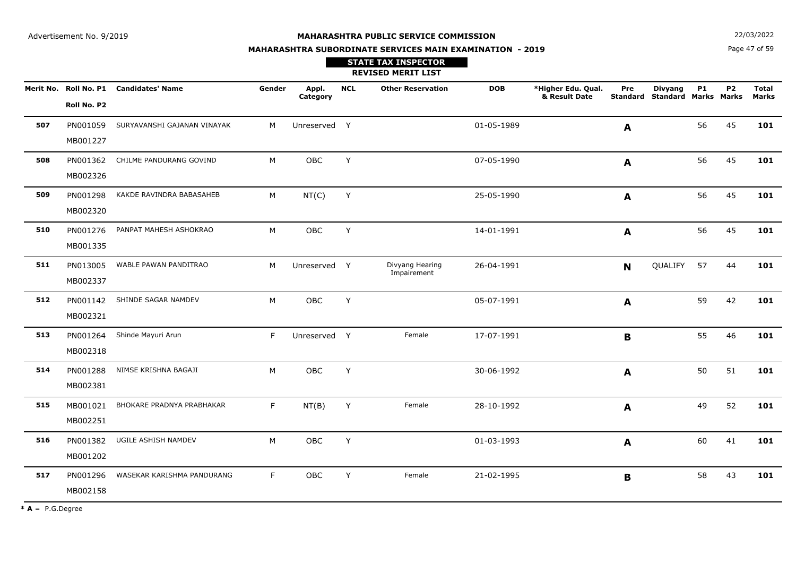**N**  $22/03/2022$ 

# **MAHARASHTRA SUBORDINATE SERVICES MAIN EXAMINATION - 2019STATE TAX INSPECTOR**

Page 47 of 59

|     |                      |                                        |        |                   |            | <b>REVISED MERIT LIST</b>      |            |                                     |             |                                                        |           |           |                              |
|-----|----------------------|----------------------------------------|--------|-------------------|------------|--------------------------------|------------|-------------------------------------|-------------|--------------------------------------------------------|-----------|-----------|------------------------------|
|     | Roll No. P2          | Merit No. Roll No. P1 Candidates' Name | Gender | Appl.<br>Category | <b>NCL</b> | <b>Other Reservation</b>       | <b>DOB</b> | *Higher Edu. Qual.<br>& Result Date | Pre         | <b>Divyang</b><br><b>Standard Standard Marks Marks</b> | <b>P1</b> | <b>P2</b> | <b>Total</b><br><b>Marks</b> |
| 507 | PN001059<br>MB001227 | SURYAVANSHI GAJANAN VINAYAK            | M      | Unreserved Y      |            |                                | 01-05-1989 |                                     | A           |                                                        | 56        | 45        | 101                          |
| 508 | PN001362<br>MB002326 | CHILME PANDURANG GOVIND                | M      | <b>OBC</b>        | Y          |                                | 07-05-1990 |                                     | A           |                                                        | 56        | 45        | 101                          |
| 509 | PN001298<br>MB002320 | KAKDE RAVINDRA BABASAHEB               | M      | NT(C)             | Y          |                                | 25-05-1990 |                                     | A           |                                                        | 56        | 45        | 101                          |
| 510 | PN001276<br>MB001335 | PANPAT MAHESH ASHOKRAO                 | M      | <b>OBC</b>        | Y          |                                | 14-01-1991 |                                     | A           |                                                        | 56        | 45        | 101                          |
| 511 | PN013005<br>MB002337 | WABLE PAWAN PANDITRAO                  | M      | Unreserved Y      |            | Divyang Hearing<br>Impairement | 26-04-1991 |                                     | $\mathbf N$ | QUALIFY                                                | 57        | 44        | 101                          |
| 512 | MB002321             | PN001142 SHINDE SAGAR NAMDEV           | M      | OBC               | Y          |                                | 05-07-1991 |                                     | A           |                                                        | 59        | 42        | 101                          |
| 513 | PN001264<br>MB002318 | Shinde Mayuri Arun                     | F      | Unreserved Y      |            | Female                         | 17-07-1991 |                                     | $\mathbf B$ |                                                        | 55        | 46        | 101                          |
| 514 | PN001288<br>MB002381 | NIMSE KRISHNA BAGAJI                   | M      | OBC               | Y          |                                | 30-06-1992 |                                     | A           |                                                        | 50        | 51        | 101                          |
| 515 | MB001021<br>MB002251 | BHOKARE PRADNYA PRABHAKAR              | F.     | NT(B)             | Υ          | Female                         | 28-10-1992 |                                     | A           |                                                        | 49        | 52        | 101                          |
| 516 | PN001382<br>MB001202 | UGILE ASHISH NAMDEV                    | M      | OBC               | Y          |                                | 01-03-1993 |                                     | A           |                                                        | 60        | 41        | 101                          |
| 517 | PN001296<br>MB002158 | WASEKAR KARISHMA PANDURANG             | F.     | <b>OBC</b>        | Y          | Female                         | 21-02-1995 |                                     | B           |                                                        | 58        | 43        | 101                          |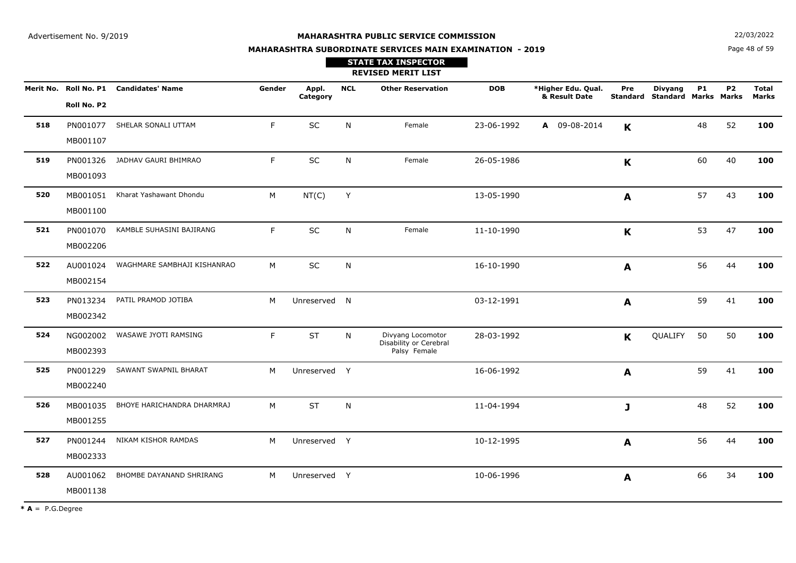**N**  $22/03/2022$ 

# **MAHARASHTRA SUBORDINATE SERVICES MAIN EXAMINATION - 2019STATE TAX INSPECTOR**

Page 48 of 59

|     |                      |                                        |        |                   |            | <b>REVISED MERIT LIST</b>                                   |            |                                     |             |                                                        |           |                |                       |
|-----|----------------------|----------------------------------------|--------|-------------------|------------|-------------------------------------------------------------|------------|-------------------------------------|-------------|--------------------------------------------------------|-----------|----------------|-----------------------|
|     | Roll No. P2          | Merit No. Roll No. P1 Candidates' Name | Gender | Appl.<br>Category | <b>NCL</b> | <b>Other Reservation</b>                                    | <b>DOB</b> | *Higher Edu. Qual.<br>& Result Date | Pre         | <b>Divyang</b><br><b>Standard Standard Marks Marks</b> | <b>P1</b> | P <sub>2</sub> | <b>Total</b><br>Marks |
| 518 | PN001077<br>MB001107 | SHELAR SONALI UTTAM                    | F.     | SC                | N          | Female                                                      | 23-06-1992 | A 09-08-2014                        | $\mathbf K$ |                                                        | 48        | 52             | 100                   |
| 519 | PN001326<br>MB001093 | JADHAV GAURI BHIMRAO                   | F      | $\sf SC$          | N          | Female                                                      | 26-05-1986 |                                     | $\mathbf K$ |                                                        | 60        | 40             | 100                   |
| 520 | MB001051<br>MB001100 | Kharat Yashawant Dhondu                | M      | NT(C)             | Y          |                                                             | 13-05-1990 |                                     | A           |                                                        | 57        | 43             | 100                   |
| 521 | PN001070<br>MB002206 | KAMBLE SUHASINI BAJIRANG               | F      | SC                | N          | Female                                                      | 11-10-1990 |                                     | $\mathbf K$ |                                                        | 53        | 47             | 100                   |
| 522 | AU001024<br>MB002154 | WAGHMARE SAMBHAJI KISHANRAO            | M      | SC                | N          |                                                             | 16-10-1990 |                                     | A           |                                                        | 56        | 44             | 100                   |
| 523 | PN013234<br>MB002342 | PATIL PRAMOD JOTIBA                    | M      | Unreserved N      |            |                                                             | 03-12-1991 |                                     | A           |                                                        | 59        | 41             | 100                   |
| 524 | NG002002<br>MB002393 | WASAWE JYOTI RAMSING                   | F      | <b>ST</b>         | N          | Divyang Locomotor<br>Disability or Cerebral<br>Palsy Female | 28-03-1992 |                                     | $\mathbf K$ | QUALIFY                                                | 50        | 50             | 100                   |
| 525 | PN001229<br>MB002240 | SAWANT SWAPNIL BHARAT                  | M      | Unreserved Y      |            |                                                             | 16-06-1992 |                                     | A           |                                                        | 59        | 41             | 100                   |
| 526 | MB001035<br>MB001255 | BHOYE HARICHANDRA DHARMRAJ             | M      | <b>ST</b>         | N          |                                                             | 11-04-1994 |                                     | J           |                                                        | 48        | 52             | 100                   |
| 527 | PN001244<br>MB002333 | NIKAM KISHOR RAMDAS                    | M      | Unreserved Y      |            |                                                             | 10-12-1995 |                                     | A           |                                                        | 56        | 44             | 100                   |
| 528 | AU001062<br>MB001138 | BHOMBE DAYANAND SHRIRANG               | M      | Unreserved Y      |            |                                                             | 10-06-1996 |                                     | A           |                                                        | 66        | 34             | 100                   |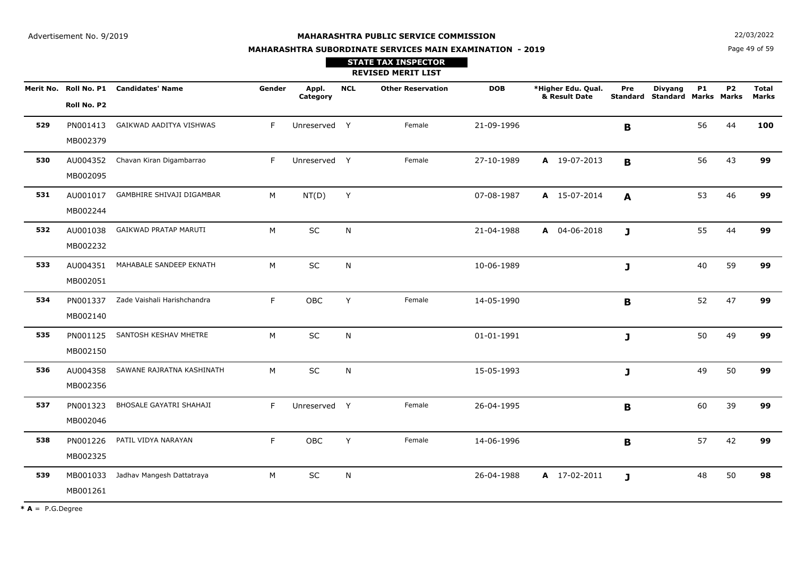**N**  $22/03/2022$ 

# **MAHARASHTRA SUBORDINATE SERVICES MAIN EXAMINATION - 2019STATE TAX INSPECTOR**

Page 49 of 59

|     |                      |                                        |        |                   |            | <b>REVISED MERIT LIST</b> |            |                                     |              |                                                        |           |           |                              |
|-----|----------------------|----------------------------------------|--------|-------------------|------------|---------------------------|------------|-------------------------------------|--------------|--------------------------------------------------------|-----------|-----------|------------------------------|
|     | Roll No. P2          | Merit No. Roll No. P1 Candidates' Name | Gender | Appl.<br>Category | <b>NCL</b> | <b>Other Reservation</b>  | <b>DOB</b> | *Higher Edu. Qual.<br>& Result Date | Pre          | <b>Divyang</b><br><b>Standard Standard Marks Marks</b> | <b>P1</b> | <b>P2</b> | <b>Total</b><br><b>Marks</b> |
| 529 | PN001413<br>MB002379 | GAIKWAD AADITYA VISHWAS                | F.     | Unreserved Y      |            | Female                    | 21-09-1996 |                                     | B            |                                                        | 56        | 44        | 100                          |
| 530 | AU004352<br>MB002095 | Chavan Kiran Digambarrao               | F      | Unreserved Y      |            | Female                    | 27-10-1989 | A 19-07-2013                        | B            |                                                        | 56        | 43        | 99                           |
| 531 | AU001017<br>MB002244 | GAMBHIRE SHIVAJI DIGAMBAR              | M      | NT(D)             | Y          |                           | 07-08-1987 | A 15-07-2014                        | $\mathbf{A}$ |                                                        | 53        | 46        | 99                           |
| 532 | AU001038<br>MB002232 | GAIKWAD PRATAP MARUTI                  | M      | SC                | ${\sf N}$  |                           | 21-04-1988 | A 04-06-2018                        | J            |                                                        | 55        | 44        | 99                           |
| 533 | AU004351<br>MB002051 | MAHABALE SANDEEP EKNATH                | M      | SC                | N          |                           | 10-06-1989 |                                     | J            |                                                        | 40        | 59        | 99                           |
| 534 | PN001337<br>MB002140 | Zade Vaishali Harishchandra            | F.     | OBC               | Y          | Female                    | 14-05-1990 |                                     | B            |                                                        | 52        | 47        | 99                           |
| 535 | PN001125<br>MB002150 | SANTOSH KESHAV MHETRE                  | M      | SC                | ${\sf N}$  |                           | 01-01-1991 |                                     | J            |                                                        | 50        | 49        | 99                           |
| 536 | AU004358<br>MB002356 | SAWANE RAJRATNA KASHINATH              | M      | SC                | N          |                           | 15-05-1993 |                                     | J            |                                                        | 49        | 50        | 99                           |
| 537 | PN001323<br>MB002046 | BHOSALE GAYATRI SHAHAJI                | F.     | Unreserved Y      |            | Female                    | 26-04-1995 |                                     | $\mathbf B$  |                                                        | 60        | 39        | 99                           |
| 538 | PN001226<br>MB002325 | PATIL VIDYA NARAYAN                    | F.     | OBC               | Y          | Female                    | 14-06-1996 |                                     | B            |                                                        | 57        | 42        | 99                           |
| 539 | MB001033<br>MB001261 | Jadhav Mangesh Dattatraya              | M      | SC                | N          |                           | 26-04-1988 | A 17-02-2011                        | J            |                                                        | 48        | 50        | 98                           |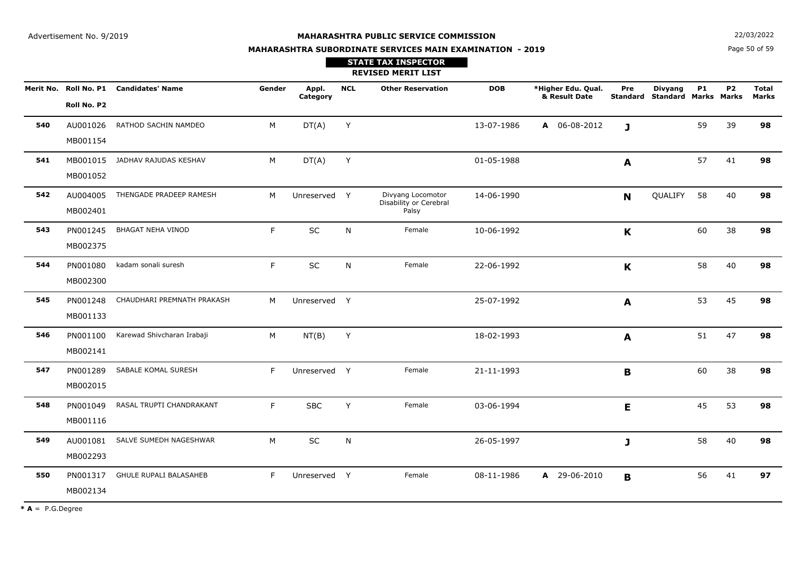**MAHARASHTRA SUBORDINATE SERVICES MAIN EXAMINATION - 2019STATE TAX INSPECTOR**

**REVISED MERIT LIST Merit No. \*Higher Edu. Qual. Roll No. P1 Candidates' Name Gender Appl. DOB& Result Date CategoryNCL Other Reservation Total Standard Marks Marks StandardMarksPreP1P2Roll No. P2Divyang540** AU001026RATHOD SACHIN NAMDEO M DT(A) <sup>Y</sup> 13-07-1986 **<sup>A</sup>** 06-08-2012 <sup>59</sup> <sup>39</sup> **<sup>98</sup>** MB001154**J541** MB001015 JADHAV RAJUDAS KESHAV <sup>M</sup>M DT(A) Y 01-05-1988 **A** 57 41 **98** MB001052**A542** AU004005 THENGADE PRADEEP RAMESH <sup>M</sup> <sup>Y</sup> Divyang Locomotor 14-06-1990 **<sup>98</sup>** Disability or Cerebral <sup>58</sup> <sup>40</sup> Palsy Unreserved Y MB002401**N** QUALIFY **543** PN001245BHAGAT NEHA VINOD F SC C N Female 10-06-1992 **K K** 60 38 **98** MB002375**K544** PN001080kadam sonali suresh F SC C N Female 22-06-1992 **K K** 58 40 **98** MB002300**K545** PN001248 CHAUDHARI PREMNATH PRAKASH <sup>M</sup>M Unreserved Y 25-07-1992 **A** 53 45 **98** MB001133**A546** PN001100Karewad Shivcharan Irabaji M NT(B) <sup>Y</sup> 18-02-1993 <sup>51</sup> <sup>47</sup> **<sup>98</sup>** MB002141**A547** PN001289 SABALE KOMAL SURESH <sup>F</sup> Unreserved <sup>Y</sup> Female 21-11-1993 <sup>60</sup> <sup>38</sup> **<sup>98</sup>** MB002015**B548** PN001049RASAL TRUPTI CHANDRAKANT F SBC C Y Female 03-06-1994 **E** 45 53 **98** MB001116**E5499** AU001081 SALVE SUMEDH NAGESHWAR M M SC N 26-05-1997 **J** 58 40 **98** MB002293**J5500** PN001317 GHULE RUPALI BALASAHEB F Unreserved Y Female 08-11-1986 **A**  29-06-2010 <sup>56</sup> <sup>41</sup> **<sup>97</sup>** MB002134**B**

 $* A = P.G.Degree$ 

**N**  $22/03/2022$ 

Page 50 of 59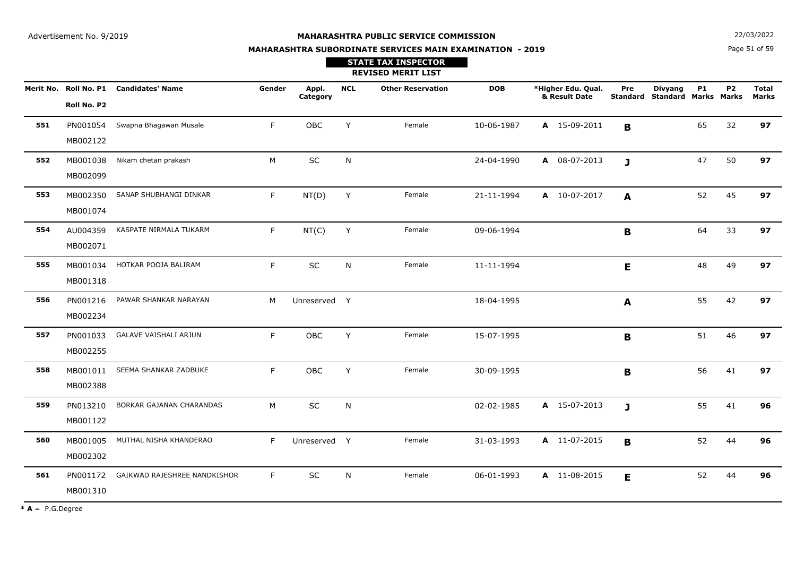**N**  $22/03/2022$ 

# **MAHARASHTRA SUBORDINATE SERVICES MAIN EXAMINATION - 2019STATE TAX INSPECTOR**

Page 51 of 59

|     |                      |                                        |        |                   |            | <b>REVISED MERIT LIST</b> |            |                                     |                 |                                               |           |                |                              |
|-----|----------------------|----------------------------------------|--------|-------------------|------------|---------------------------|------------|-------------------------------------|-----------------|-----------------------------------------------|-----------|----------------|------------------------------|
|     | Roll No. P2          | Merit No. Roll No. P1 Candidates' Name | Gender | Appl.<br>Category | <b>NCL</b> | <b>Other Reservation</b>  | <b>DOB</b> | *Higher Edu. Qual.<br>& Result Date | Pre<br>Standard | <b>Divyang</b><br><b>Standard Marks Marks</b> | <b>P1</b> | P <sub>2</sub> | <b>Total</b><br><b>Marks</b> |
| 551 | PN001054<br>MB002122 | Swapna Bhagawan Musale                 | F.     | OBC               | Y          | Female                    | 10-06-1987 | A 15-09-2011                        | B               |                                               | 65        | 32             | 97                           |
| 552 | MB001038<br>MB002099 | Nikam chetan prakash                   | M      | SC                | N          |                           | 24-04-1990 | A 08-07-2013                        | $\mathbf{J}$    |                                               | 47        | 50             | 97                           |
| 553 | MB002350<br>MB001074 | SANAP SHUBHANGI DINKAR                 | F.     | NT(D)             | Y          | Female                    | 21-11-1994 | A 10-07-2017                        | A               |                                               | 52        | 45             | 97                           |
| 554 | AU004359<br>MB002071 | KASPATE NIRMALA TUKARM                 | F.     | NT(C)             | Y          | Female                    | 09-06-1994 |                                     | B               |                                               | 64        | 33             | 97                           |
| 555 | MB001318             | MB001034 HOTKAR POOJA BALIRAM          | F.     | $\sf SC$          | N          | Female                    | 11-11-1994 |                                     | E               |                                               | 48        | 49             | 97                           |
| 556 | PN001216<br>MB002234 | PAWAR SHANKAR NARAYAN                  | M      | Unreserved Y      |            |                           | 18-04-1995 |                                     | A               |                                               | 55        | 42             | 97                           |
| 557 | PN001033<br>MB002255 | <b>GALAVE VAISHALI ARJUN</b>           | F.     | OBC               | Y          | Female                    | 15-07-1995 |                                     | B               |                                               | 51        | 46             | 97                           |
| 558 | MB001011<br>MB002388 | SEEMA SHANKAR ZADBUKE                  | F.     | OBC               | Y          | Female                    | 30-09-1995 |                                     | B               |                                               | 56        | 41             | 97                           |
| 559 | PN013210<br>MB001122 | BORKAR GAJANAN CHARANDAS               | M      | SC                | N          |                           | 02-02-1985 | A 15-07-2013                        | $\mathbf{J}$    |                                               | 55        | 41             | 96                           |
| 560 | MB001005<br>MB002302 | MUTHAL NISHA KHANDERAO                 | F.     | Unreserved Y      |            | Female                    | 31-03-1993 | A 11-07-2015                        | $\mathbf{B}$    |                                               | 52        | 44             | 96                           |
| 561 | PN001172<br>MB001310 | GAIKWAD RAJESHREE NANDKISHOR           | F.     | SC                | N          | Female                    | 06-01-1993 | A 11-08-2015                        | E               |                                               | 52        | 44             | 96                           |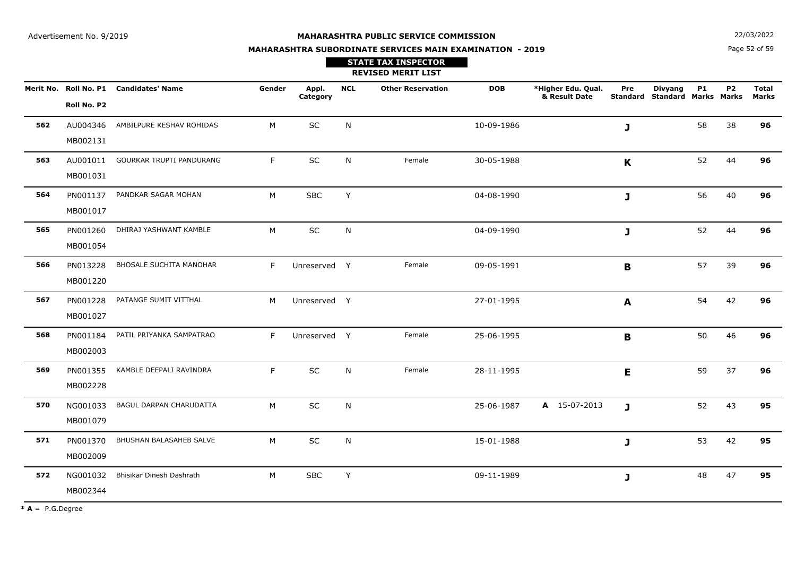**N**  $22/03/2022$ 

# **MAHARASHTRA SUBORDINATE SERVICES MAIN EXAMINATION - 2019STATE TAX INSPECTOR**

Page 52 of 59

|     |                      |                                        |        |                   |            | <b>REVISED MERIT LIST</b> |            |                                     |              |                                                 |           |           |                              |
|-----|----------------------|----------------------------------------|--------|-------------------|------------|---------------------------|------------|-------------------------------------|--------------|-------------------------------------------------|-----------|-----------|------------------------------|
|     | Roll No. P2          | Merit No. Roll No. P1 Candidates' Name | Gender | Appl.<br>Category | <b>NCL</b> | <b>Other Reservation</b>  | <b>DOB</b> | *Higher Edu. Qual.<br>& Result Date | Pre          | <b>Divyang</b><br>Standard Standard Marks Marks | <b>P1</b> | <b>P2</b> | <b>Total</b><br><b>Marks</b> |
| 562 | AU004346<br>MB002131 | AMBILPURE KESHAV ROHIDAS               | M      | SC                | N          |                           | 10-09-1986 |                                     | J            |                                                 | 58        | 38        | 96                           |
| 563 | AU001011<br>MB001031 | GOURKAR TRUPTI PANDURANG               | F.     | SC                | N          | Female                    | 30-05-1988 |                                     | K            |                                                 | 52        | 44        | 96                           |
| 564 | PN001137<br>MB001017 | PANDKAR SAGAR MOHAN                    | М      | <b>SBC</b>        | Y          |                           | 04-08-1990 |                                     | J            |                                                 | 56        | 40        | 96                           |
| 565 | PN001260<br>MB001054 | DHIRAJ YASHWANT KAMBLE                 | M      | SC                | N          |                           | 04-09-1990 |                                     | J            |                                                 | 52        | 44        | 96                           |
| 566 | PN013228<br>MB001220 | <b>BHOSALE SUCHITA MANOHAR</b>         | F      | Unreserved Y      |            | Female                    | 09-05-1991 |                                     | B            |                                                 | 57        | 39        | 96                           |
| 567 | PN001228<br>MB001027 | PATANGE SUMIT VITTHAL                  | M      | Unreserved Y      |            |                           | 27-01-1995 |                                     | A            |                                                 | 54        | 42        | 96                           |
| 568 | PN001184<br>MB002003 | PATIL PRIYANKA SAMPATRAO               | F.     | Unreserved Y      |            | Female                    | 25-06-1995 |                                     | B            |                                                 | 50        | 46        | 96                           |
| 569 | PN001355<br>MB002228 | KAMBLE DEEPALI RAVINDRA                | F      | <b>SC</b>         | N          | Female                    | 28-11-1995 |                                     | E            |                                                 | 59        | 37        | 96                           |
| 570 | NG001033<br>MB001079 | BAGUL DARPAN CHARUDATTA                | M      | SC                | N          |                           | 25-06-1987 | A 15-07-2013                        | $\mathbf{J}$ |                                                 | 52        | 43        | 95                           |
| 571 | PN001370<br>MB002009 | BHUSHAN BALASAHEB SALVE                | M      | <b>SC</b>         | N          |                           | 15-01-1988 |                                     | $\mathbf{J}$ |                                                 | 53        | 42        | 95                           |
| 572 | NG001032<br>MB002344 | Bhisikar Dinesh Dashrath               | M      | <b>SBC</b>        | Y          |                           | 09-11-1989 |                                     | J            |                                                 | 48        | 47        | 95                           |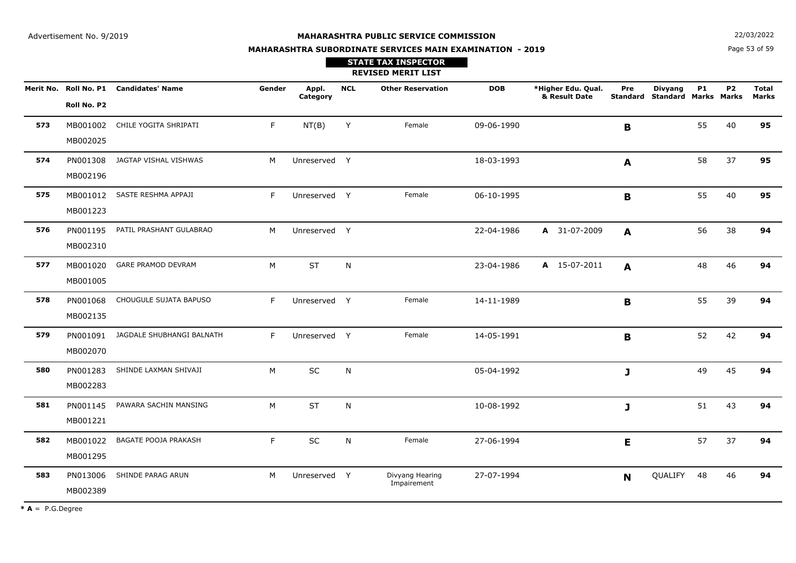Page 53 of 59**N**  $22/03/2022$ 

# **MAHARASHTRA SUBORDINATE SERVICES MAIN EXAMINATION - 2019**

| <b>STATE TAX INSPECTOR</b> |
|----------------------------|
| <b>REVISED MERIT LIST</b>  |

|     |             | Merit No. Roll No. P1 Candidates' Name | Gender | Appl.<br>Category | <b>NCL</b> | <b>Other Reservation</b> | <b>DOB</b> | *Higher Edu. Qual.<br>& Result Date | Pre            | <b>Divyang</b><br><b>Standard Standard Marks Marks</b> | <b>P1</b> | P <sub>2</sub> | <b>Total</b><br><b>Marks</b> |
|-----|-------------|----------------------------------------|--------|-------------------|------------|--------------------------|------------|-------------------------------------|----------------|--------------------------------------------------------|-----------|----------------|------------------------------|
|     | Roll No. P2 |                                        |        |                   |            |                          |            |                                     |                |                                                        |           |                |                              |
| 573 | MB001002    | CHILE YOGITA SHRIPATI                  | F.     | NT(B)             | Y          | Female                   | 09-06-1990 |                                     | $\mathbf B$    |                                                        | 55        | 40             | 95                           |
|     | MB002025    |                                        |        |                   |            |                          |            |                                     |                |                                                        |           |                |                              |
| 574 | PN001308    | JAGTAP VISHAL VISHWAS                  | M      | Unreserved Y      |            |                          | 18-03-1993 |                                     | A              |                                                        | 58        | 37             | 95                           |
|     | MB002196    |                                        |        |                   |            |                          |            |                                     |                |                                                        |           |                |                              |
| 575 | MB001012    | SASTE RESHMA APPAJI                    | F      | Unreserved Y      |            | Female                   | 06-10-1995 |                                     | $\mathbf B$    |                                                        | 55        | 40             | 95                           |
|     | MB001223    |                                        |        |                   |            |                          |            |                                     |                |                                                        |           |                |                              |
| 576 | PN001195    | PATIL PRASHANT GULABRAO                | M      | Unreserved Y      |            |                          | 22-04-1986 | A 31-07-2009                        | $\mathbf{A}$   |                                                        | 56        | 38             | 94                           |
|     | MB002310    |                                        |        |                   |            |                          |            |                                     |                |                                                        |           |                |                              |
| 577 | MB001020    | GARE PRAMOD DEVRAM                     | M      | <b>ST</b>         | N          |                          | 23-04-1986 | A 15-07-2011                        | $\mathbf{A}$   |                                                        | 48        | 46             | 94                           |
|     | MB001005    |                                        |        |                   |            |                          |            |                                     |                |                                                        |           |                |                              |
| 578 | PN001068    | CHOUGULE SUJATA BAPUSO                 | F.     | Unreserved Y      |            | Female                   | 14-11-1989 |                                     | $\mathbf B$    |                                                        | 55        | 39             | 94                           |
|     | MB002135    |                                        |        |                   |            |                          |            |                                     |                |                                                        |           |                |                              |
| 579 | PN001091    | JAGDALE SHUBHANGI BALNATH              | F.     | Unreserved Y      |            | Female                   | 14-05-1991 |                                     | $\mathbf{B}$   |                                                        | 52        | 42             | 94                           |
|     | MB002070    |                                        |        |                   |            |                          |            |                                     |                |                                                        |           |                |                              |
| 580 | PN001283    | SHINDE LAXMAN SHIVAJI                  | M      | SC                | N          |                          | 05-04-1992 |                                     | J              |                                                        | 49        | 45             | 94                           |
|     | MB002283    |                                        |        |                   |            |                          |            |                                     |                |                                                        |           |                |                              |
| 581 | PN001145    | PAWARA SACHIN MANSING                  | M      | <b>ST</b>         | N          |                          | 10-08-1992 |                                     | J              |                                                        | 51        | 43             | 94                           |
|     | MB001221    |                                        |        |                   |            |                          |            |                                     |                |                                                        |           |                |                              |
| 582 | MB001022    | <b>BAGATE POOJA PRAKASH</b>            | F      | SC                | N          | Female                   | 27-06-1994 |                                     | E              |                                                        | 57        | 37             | 94                           |
|     | MB001295    |                                        |        |                   |            |                          |            |                                     |                |                                                        |           |                |                              |
| 583 | PN013006    | SHINDE PARAG ARUN                      | M      | Unreserved Y      |            | Divyang Hearing          | 27-07-1994 |                                     | N <sub>1</sub> | QUALIFY                                                | 48        | 46             | 94                           |
|     | MB002389    |                                        |        |                   |            | Impairement              |            |                                     |                |                                                        |           |                |                              |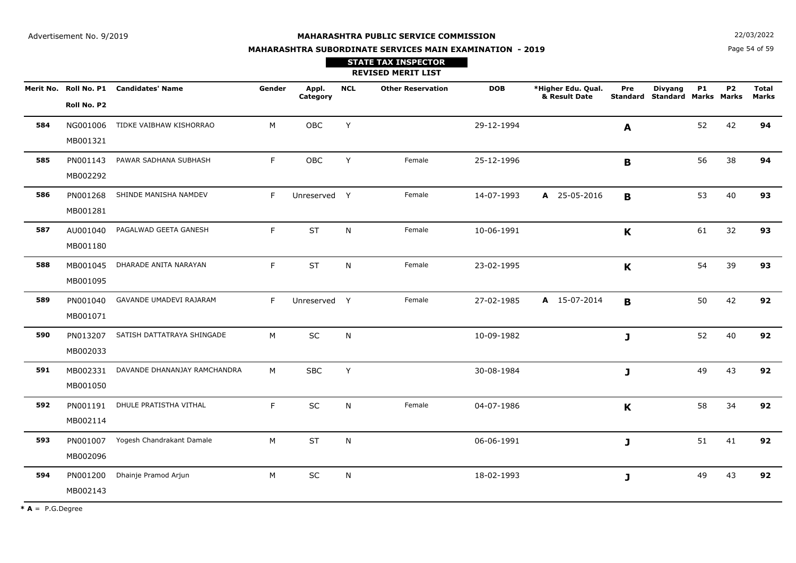**STATE TAX INSPECTOR**

**MAHARASHTRA SUBORDINATE SERVICES MAIN EXAMINATION - 2019**

**N**  $22/03/2022$ 

Page 54 of 59

|     |                      |                                        |        |                   |            | <b>REVISED MERIT LIST</b> |            |                                     |              |                                                        |           |           |                              |
|-----|----------------------|----------------------------------------|--------|-------------------|------------|---------------------------|------------|-------------------------------------|--------------|--------------------------------------------------------|-----------|-----------|------------------------------|
|     | Roll No. P2          | Merit No. Roll No. P1 Candidates' Name | Gender | Appl.<br>Category | <b>NCL</b> | <b>Other Reservation</b>  | <b>DOB</b> | *Higher Edu. Qual.<br>& Result Date | Pre          | <b>Divyang</b><br><b>Standard Standard Marks Marks</b> | <b>P1</b> | <b>P2</b> | <b>Total</b><br><b>Marks</b> |
| 584 | NG001006<br>MB001321 | TIDKE VAIBHAW KISHORRAO                | M      | OBC               | Y          |                           | 29-12-1994 |                                     | A            |                                                        | 52        | 42        | 94                           |
| 585 | PN001143<br>MB002292 | PAWAR SADHANA SUBHASH                  | F.     | OBC               | Y          | Female                    | 25-12-1996 |                                     | $\mathbf B$  |                                                        | 56        | 38        | 94                           |
| 586 | PN001268<br>MB001281 | SHINDE MANISHA NAMDEV                  | F.     | Unreserved Y      |            | Female                    | 14-07-1993 | A 25-05-2016                        | B            |                                                        | 53        | 40        | 93                           |
| 587 | AU001040<br>MB001180 | PAGALWAD GEETA GANESH                  | F.     | <b>ST</b>         | N          | Female                    | 10-06-1991 |                                     | $\mathbf K$  |                                                        | 61        | 32        | 93                           |
| 588 | MB001045<br>MB001095 | DHARADE ANITA NARAYAN                  | F.     | <b>ST</b>         | N          | Female                    | 23-02-1995 |                                     | $\mathbf K$  |                                                        | 54        | 39        | 93                           |
| 589 | PN001040<br>MB001071 | GAVANDE UMADEVI RAJARAM                | F.     | Unreserved Y      |            | Female                    | 27-02-1985 | A 15-07-2014                        | B            |                                                        | 50        | 42        | 92                           |
| 590 | PN013207<br>MB002033 | SATISH DATTATRAYA SHINGADE             | M      | SC                | N          |                           | 10-09-1982 |                                     | $\mathbf{J}$ |                                                        | 52        | 40        | 92                           |
| 591 | MB002331<br>MB001050 | DAVANDE DHANANJAY RAMCHANDRA           | M      | <b>SBC</b>        | Y          |                           | 30-08-1984 |                                     | J            |                                                        | 49        | 43        | 92                           |
| 592 | PN001191<br>MB002114 | DHULE PRATISTHA VITHAL                 | F.     | SC                | N          | Female                    | 04-07-1986 |                                     | K            |                                                        | 58        | 34        | 92                           |
| 593 | PN001007<br>MB002096 | Yogesh Chandrakant Damale              | М      | <b>ST</b>         | N          |                           | 06-06-1991 |                                     | J            |                                                        | 51        | 41        | 92                           |
| 594 | PN001200<br>MB002143 | Dhainje Pramod Arjun                   | M      | SC                | N          |                           | 18-02-1993 |                                     | J            |                                                        | 49        | 43        | 92                           |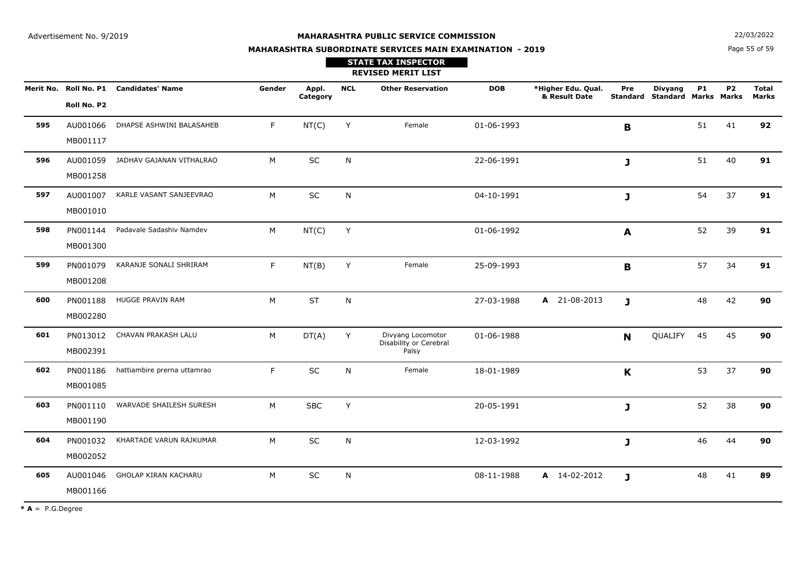**N**  $22/03/2022$ 

# **MAHARASHTRA SUBORDINATE SERVICES MAIN EXAMINATION - 2019**

Page 55 of 59

|     |                      |                                        |        |                   |              | <b>STATE TAX INSPECTOR</b><br><b>REVISED MERIT LIST</b> |            |                                     |              |                                                        |           |           |                              |
|-----|----------------------|----------------------------------------|--------|-------------------|--------------|---------------------------------------------------------|------------|-------------------------------------|--------------|--------------------------------------------------------|-----------|-----------|------------------------------|
|     | Roll No. P2          | Merit No. Roll No. P1 Candidates' Name | Gender | Appl.<br>Category | <b>NCL</b>   | <b>Other Reservation</b>                                | <b>DOB</b> | *Higher Edu. Qual.<br>& Result Date | Pre          | <b>Divyang</b><br><b>Standard Standard Marks Marks</b> | <b>P1</b> | <b>P2</b> | <b>Total</b><br><b>Marks</b> |
| 595 | AU001066<br>MB001117 | DHAPSE ASHWINI BALASAHEB               | F.     | NT(C)             | Y            | Female                                                  | 01-06-1993 |                                     | $\mathbf{B}$ |                                                        | 51        | 41        | 92                           |
| 596 | AU001059<br>MB001258 | JADHAV GAJANAN VITHALRAO               | M      | SC                | $\mathsf{N}$ |                                                         | 22-06-1991 |                                     | J            |                                                        | 51        | 40        | 91                           |
| 597 | MB001010             | AU001007 KARLE VASANT SANJEEVRAO       | M      | SC                | N            |                                                         | 04-10-1991 |                                     | J            |                                                        | 54        | 37        | 91                           |
| 598 | PN001144<br>MB001300 | Padavale Sadashiv Namdev               | M      | NT(C)             | Y            |                                                         | 01-06-1992 |                                     | A            |                                                        | 52        | 39        | 91                           |
| 599 | PN001079<br>MB001208 | KARANJE SONALI SHRIRAM                 | F      | NT(B)             | Y            | Female                                                  | 25-09-1993 |                                     | B            |                                                        | 57        | 34        | 91                           |
| 600 | PN001188<br>MB002280 | HUGGE PRAVIN RAM                       | M      | <b>ST</b>         | N            |                                                         | 27-03-1988 | A 21-08-2013                        | $\mathbf{J}$ |                                                        | 48        | 42        | 90                           |
| 601 | PN013012<br>MB002391 | CHAVAN PRAKASH LALU                    | M      | DT(A)             | Y            | Divyang Locomotor<br>Disability or Cerebral<br>Palsy    | 01-06-1988 |                                     | N            | QUALIFY 45                                             |           | 45        | 90                           |
| 602 | PN001186<br>MB001085 | hattiambire prerna uttamrao            | F      | SC                | N            | Female                                                  | 18-01-1989 |                                     | K            |                                                        | 53        | 37        | 90                           |
| 603 | PN001110<br>MB001190 | WARVADE SHAILESH SURESH                | M      | <b>SBC</b>        | Y            |                                                         | 20-05-1991 |                                     | $\mathbf{J}$ |                                                        | 52        | 38        | 90                           |
| 604 | PN001032<br>MB002052 | KHARTADE VARUN RAJKUMAR                | M      | SC                | N            |                                                         | 12-03-1992 |                                     | J            |                                                        | 46        | 44        | 90                           |
| 605 | AU001046<br>MB001166 | GHOLAP KIRAN KACHARU                   | M      | SC                | N            |                                                         | 08-11-1988 | A 14-02-2012                        | J            |                                                        | 48        | 41        | 89                           |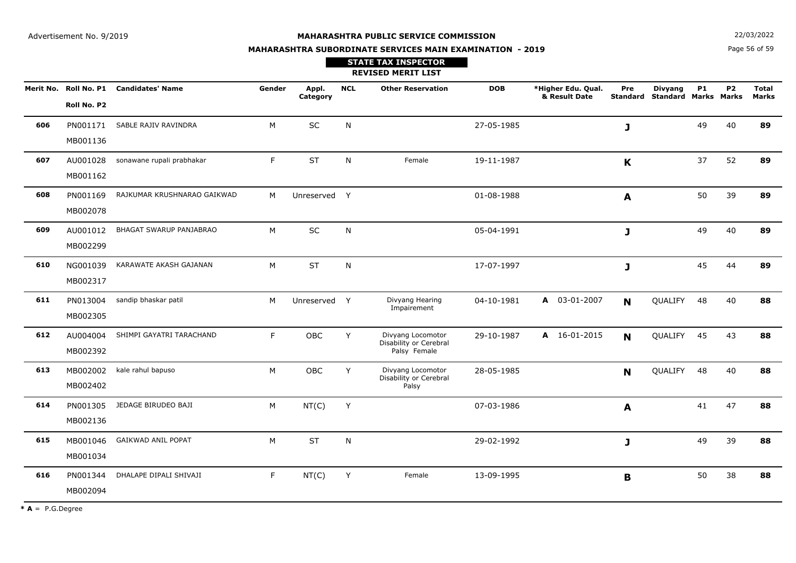Page 56 of 59**N**  $22/03/2022$ 

# **MAHARASHTRA SUBORDINATE SERVICES MAIN EXAMINATION - 2019STATE TAX INSPECTOR**

|     |                      |                                        |        |                   |            | <b>REVISED MERIT LIST</b>                                   |            |                                     |             |                                                 |           |           |                              |
|-----|----------------------|----------------------------------------|--------|-------------------|------------|-------------------------------------------------------------|------------|-------------------------------------|-------------|-------------------------------------------------|-----------|-----------|------------------------------|
|     | Roll No. P2          | Merit No. Roll No. P1 Candidates' Name | Gender | Appl.<br>Category | <b>NCL</b> | <b>Other Reservation</b>                                    | <b>DOB</b> | *Higher Edu. Qual.<br>& Result Date | Pre         | <b>Divyang</b><br>Standard Standard Marks Marks | <b>P1</b> | <b>P2</b> | <b>Total</b><br><b>Marks</b> |
| 606 | PN001171<br>MB001136 | SABLE RAJIV RAVINDRA                   | M      | SC                | N          |                                                             | 27-05-1985 |                                     | J           |                                                 | 49        | 40        | 89                           |
| 607 | AU001028<br>MB001162 | sonawane rupali prabhakar              | F.     | <b>ST</b>         | N          | Female                                                      | 19-11-1987 |                                     | K           |                                                 | 37        | 52        | 89                           |
| 608 | PN001169<br>MB002078 | RAJKUMAR KRUSHNARAO GAIKWAD            | M      | Unreserved Y      |            |                                                             | 01-08-1988 |                                     | A           |                                                 | 50        | 39        | 89                           |
| 609 | AU001012<br>MB002299 | <b>BHAGAT SWARUP PANJABRAO</b>         | M      | SC                | N          |                                                             | 05-04-1991 |                                     | J           |                                                 | 49        | 40        | 89                           |
| 610 | NG001039<br>MB002317 | KARAWATE AKASH GAJANAN                 | M      | <b>ST</b>         | N          |                                                             | 17-07-1997 |                                     | J           |                                                 | 45        | 44        | 89                           |
| 611 | PN013004<br>MB002305 | sandip bhaskar patil                   | M      | Unreserved Y      |            | Divyang Hearing<br>Impairement                              | 04-10-1981 | A 03-01-2007                        | N           | QUALIFY                                         | 48        | 40        | 88                           |
| 612 | AU004004<br>MB002392 | SHIMPI GAYATRI TARACHAND               | F.     | OBC               | Y          | Divyang Locomotor<br>Disability or Cerebral<br>Palsy Female | 29-10-1987 | A 16-01-2015                        | N           | QUALIFY                                         | 45        | 43        | 88                           |
| 613 | MB002002<br>MB002402 | kale rahul bapuso                      | M      | OBC               | Y          | Divyang Locomotor<br>Disability or Cerebral<br>Palsy        | 28-05-1985 |                                     | N           | QUALIFY                                         | 48        | 40        | 88                           |
| 614 | PN001305<br>MB002136 | JEDAGE BIRUDEO BAJI                    | M      | NT(C)             | Y          |                                                             | 07-03-1986 |                                     | A           |                                                 | 41        | 47        | 88                           |
| 615 | MB001046<br>MB001034 | <b>GAIKWAD ANIL POPAT</b>              | M      | <b>ST</b>         | N          |                                                             | 29-02-1992 |                                     | J           |                                                 | 49        | 39        | 88                           |
| 616 | PN001344<br>MB002094 | DHALAPE DIPALI SHIVAJI                 | F      | NT(C)             | Y          | Female                                                      | 13-09-1995 |                                     | $\mathbf B$ |                                                 | 50        | 38        | 88                           |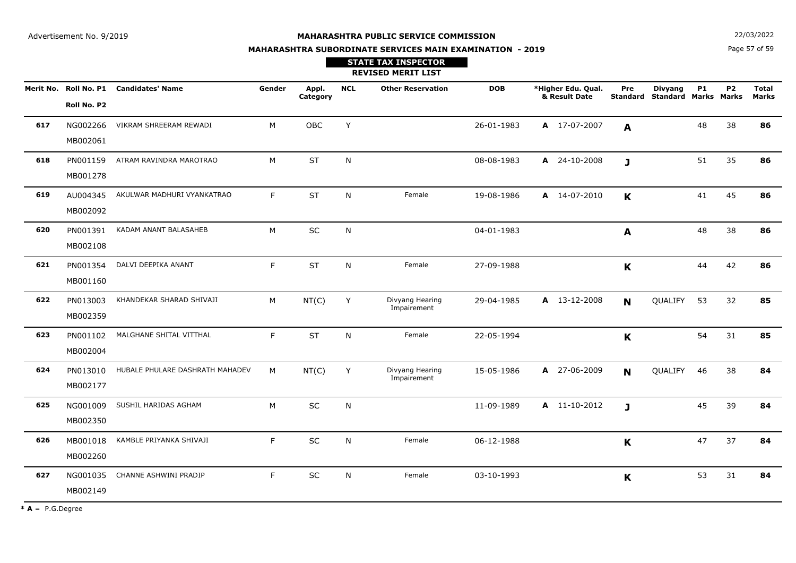**STATE TAX INSPECTOR**

**MAHARASHTRA SUBORDINATE SERVICES MAIN EXAMINATION - 2019**

**N**  $22/03/2022$ 

Page 57 of 59

|     |                      |                                        |        |                   |            | <b>REVISED MERIT LIST</b>      |            |                                     |                        |                                               |           |           |                              |
|-----|----------------------|----------------------------------------|--------|-------------------|------------|--------------------------------|------------|-------------------------------------|------------------------|-----------------------------------------------|-----------|-----------|------------------------------|
|     | Roll No. P2          | Merit No. Roll No. P1 Candidates' Name | Gender | Appl.<br>Category | <b>NCL</b> | <b>Other Reservation</b>       | <b>DOB</b> | *Higher Edu. Qual.<br>& Result Date | Pre<br><b>Standard</b> | <b>Divyang</b><br><b>Standard Marks Marks</b> | <b>P1</b> | <b>P2</b> | <b>Total</b><br><b>Marks</b> |
| 617 | NG002266<br>MB002061 | VIKRAM SHREERAM REWADI                 | M      | OBC               | Y          |                                | 26-01-1983 | A 17-07-2007                        | A                      |                                               | 48        | 38        | 86                           |
| 618 | PN001159<br>MB001278 | ATRAM RAVINDRA MAROTRAO                | M      | <b>ST</b>         | N          |                                | 08-08-1983 | A 24-10-2008                        | $\mathbf{J}$           |                                               | 51        | 35        | 86                           |
| 619 | AU004345<br>MB002092 | AKULWAR MADHURI VYANKATRAO             | F.     | <b>ST</b>         | N          | Female                         | 19-08-1986 | A 14-07-2010                        | K                      |                                               | 41        | 45        | 86                           |
| 620 | PN001391<br>MB002108 | KADAM ANANT BALASAHEB                  | M      | SC                | N          |                                | 04-01-1983 |                                     | A                      |                                               | 48        | 38        | 86                           |
| 621 | PN001354<br>MB001160 | DALVI DEEPIKA ANANT                    | F.     | <b>ST</b>         | N          | Female                         | 27-09-1988 |                                     | K                      |                                               | 44        | 42        | 86                           |
| 622 | PN013003<br>MB002359 | KHANDEKAR SHARAD SHIVAJI               | М      | NT(C)             | Y          | Divyang Hearing<br>Impairement | 29-04-1985 | A 13-12-2008                        | N                      | QUALIFY                                       | 53        | 32        | 85                           |
| 623 | PN001102<br>MB002004 | MALGHANE SHITAL VITTHAL                | F      | <b>ST</b>         | N          | Female                         | 22-05-1994 |                                     | K                      |                                               | 54        | 31        | 85                           |
| 624 | PN013010<br>MB002177 | HUBALE PHULARE DASHRATH MAHADEV        | M      | NT(C)             | Y          | Divyang Hearing<br>Impairement | 15-05-1986 | A 27-06-2009                        | N                      | QUALIFY                                       | 46        | 38        | 84                           |
| 625 | NG001009<br>MB002350 | SUSHIL HARIDAS AGHAM                   | M      | <b>SC</b>         | Ν          |                                | 11-09-1989 | A 11-10-2012                        | $\mathbf{J}$           |                                               | 45        | 39        | 84                           |
| 626 | MB001018<br>MB002260 | KAMBLE PRIYANKA SHIVAJI                | F.     | SC                | N          | Female                         | 06-12-1988 |                                     | K                      |                                               | 47        | 37        | 84                           |
| 627 | NG001035<br>MB002149 | CHANNE ASHWINI PRADIP                  | F      | SC                | N          | Female                         | 03-10-1993 |                                     | K                      |                                               | 53        | 31        | 84                           |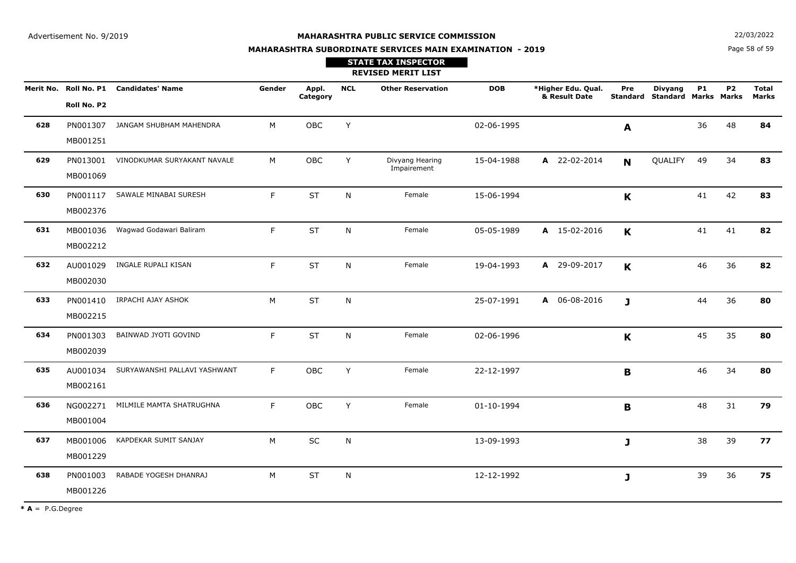**N**  $22/03/2022$ 

# **MAHARASHTRA SUBORDINATE SERVICES MAIN EXAMINATION - 2019STATE TAX INSPECTOR**

Page 58 of 59

|     |                      |                                        |        |                   |            | <b>REVISED MERIT LIST</b>      |            |                                     |             |                                                 |           |                |                       |
|-----|----------------------|----------------------------------------|--------|-------------------|------------|--------------------------------|------------|-------------------------------------|-------------|-------------------------------------------------|-----------|----------------|-----------------------|
|     | Roll No. P2          | Merit No. Roll No. P1 Candidates' Name | Gender | Appl.<br>Category | <b>NCL</b> | <b>Other Reservation</b>       | <b>DOB</b> | *Higher Edu. Qual.<br>& Result Date | Pre         | <b>Divyang</b><br>Standard Standard Marks Marks | <b>P1</b> | P <sub>2</sub> | <b>Total</b><br>Marks |
| 628 | PN001307<br>MB001251 | JANGAM SHUBHAM MAHENDRA                | M      | OBC               | Y          |                                | 02-06-1995 |                                     | A           |                                                 | 36        | 48             | 84                    |
| 629 | PN013001<br>MB001069 | VINODKUMAR SURYAKANT NAVALE            | M      | <b>OBC</b>        | Y          | Divyang Hearing<br>Impairement | 15-04-1988 | A 22-02-2014                        | $\mathbf N$ | QUALIFY                                         | 49        | 34             | 83                    |
| 630 | PN001117<br>MB002376 | SAWALE MINABAI SURESH                  | F.     | <b>ST</b>         | N          | Female                         | 15-06-1994 |                                     | $\mathbf K$ |                                                 | 41        | 42             | 83                    |
| 631 | MB001036<br>MB002212 | Wagwad Godawari Baliram                | F.     | <b>ST</b>         | N          | Female                         | 05-05-1989 | A 15-02-2016                        | $\mathbf K$ |                                                 | 41        | 41             | 82                    |
| 632 | AU001029<br>MB002030 | INGALE RUPALI KISAN                    | F.     | <b>ST</b>         | N          | Female                         | 19-04-1993 | A 29-09-2017                        | $\mathbf K$ |                                                 | 46        | 36             | 82                    |
| 633 | PN001410<br>MB002215 | IRPACHI AJAY ASHOK                     | M      | <b>ST</b>         | ${\sf N}$  |                                | 25-07-1991 | A 06-08-2016                        | J           |                                                 | 44        | 36             | 80                    |
| 634 | PN001303<br>MB002039 | BAINWAD JYOTI GOVIND                   | F.     | <b>ST</b>         | N          | Female                         | 02-06-1996 |                                     | K           |                                                 | 45        | 35             | 80                    |
| 635 | AU001034<br>MB002161 | SURYAWANSHI PALLAVI YASHWANT           | F.     | <b>OBC</b>        | Y          | Female                         | 22-12-1997 |                                     | B           |                                                 | 46        | 34             | 80                    |
| 636 | NG002271<br>MB001004 | MILMILE MAMTA SHATRUGHNA               | F.     | OBC               | Y          | Female                         | 01-10-1994 |                                     | B           |                                                 | 48        | 31             | 79                    |
| 637 | MB001006<br>MB001229 | KAPDEKAR SUMIT SANJAY                  | M      | SC                | N          |                                | 13-09-1993 |                                     | J           |                                                 | 38        | 39             | 77                    |
| 638 | PN001003<br>MB001226 | RABADE YOGESH DHANRAJ                  | M      | <b>ST</b>         | N          |                                | 12-12-1992 |                                     | J           |                                                 | 39        | 36             | 75                    |